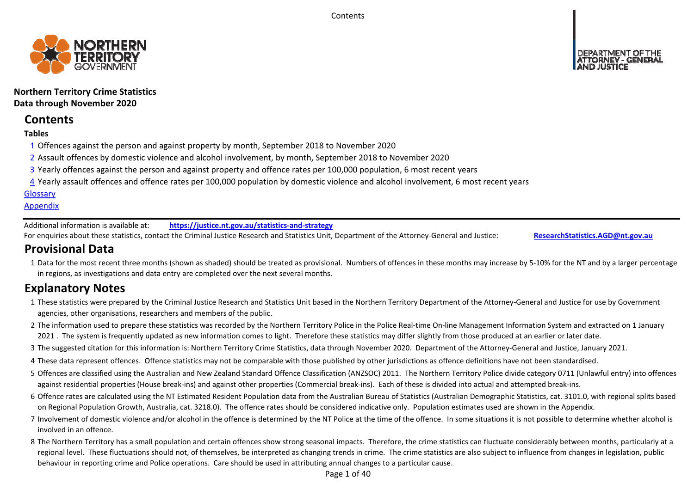**Contents** 



**Northern Territory Crime Statistics Data through November 2020**

# **Contents**

### **Tables**

- 1 Offences against the person and against property by month, September 2018 to November 2020
- 2 Assault offences by domestic violence and alcohol involvement, by month, September 2018 to November 2020
- 3 Yearly offences against the person and against property and offence rates per 100,000 population, 6 most recent years
- 4 Yearly assault offences and offence rates per 100,000 population by domestic violence and alcohol involvement, 6 most recent years

### **Glossary**

### **Appendix**

Additional information is available at:**https://justice.nt.gov.au/statistics‐and‐strategy**

For enquiries about these statistics, contact the Criminal Justice Research and Statistics Unit, Department of the Attorney‐General and Justice: **ResearchStatistics.AGD@nt.gov.au**

# **Provisional Data**

1 Data for the most recent three months (shown as shaded) should be treated as provisional. Numbers of offences in these months may increase by 5‐10% for the NT and by a larger percentage in regions, as investigations and data entry are completed over the next several months.

# **Explanatory Notes**

- 1These statistics were prepared by the Criminal Justice Research and Statistics Unit based in the Northern Territory Department of the Attorney‐General and Justice for use by Government agencies, other organisations, researchers and members of the public.
- 2 The information used to prepare these statistics was recorded by the Northern Territory Police in the Police Real‐time On‐line Management Information System and extracted on 1 January 2021 . The system is frequently updated as new information comes to light. Therefore these statistics may differ slightly from those produced at an earlier or later date.
- 3 The suggested citation for this information is: Northern Territory Crime Statistics, data through November 2020. Department of the Attorney‐General and Justice, January 2021.
- 4These data represent offences. Offence statistics may not be comparable with those published by other jurisdictions as offence definitions have not been standardised.
- 5 Offences are classified using the Australian and New Zealand Standard Offence Classification (ANZSOC) 2011. The Northern Territory Police divide category 0711 (Unlawful entry) into offences against residential properties (House break‐ins) and against other properties (Commercial break‐ins). Each of these is divided into actual and attempted break‐ins.
- 6 Offence rates are calculated using the NT Estimated Resident Population data from the Australian Bureau of Statistics (Australian Demographic Statistics, cat. 3101.0, with regional splits based on Regional Population Growth, Australia, cat. 3218.0). The offence rates should be considered indicative only. Population estimates used are shown in the Appendix.
- 7 Involvement of domestic violence and/or alcohol in the offence is determined by the NT Police at the time of the offence. In some situations it is not possible to determine whether alcohol is involved in an offence.
- 8 The Northern Territory has a small population and certain offences show strong seasonal impacts. Therefore, the crime statistics can fluctuate considerably between months, particularly at a regional level. These fluctuations should not, of themselves, be interpreted as changing trends in crime. The crime statistics are also subject to influence from changes in legislation, public behaviour in reporting crime and Police operations. Care should be used in attributing annual changes to a particular cause.

Page 1 of 40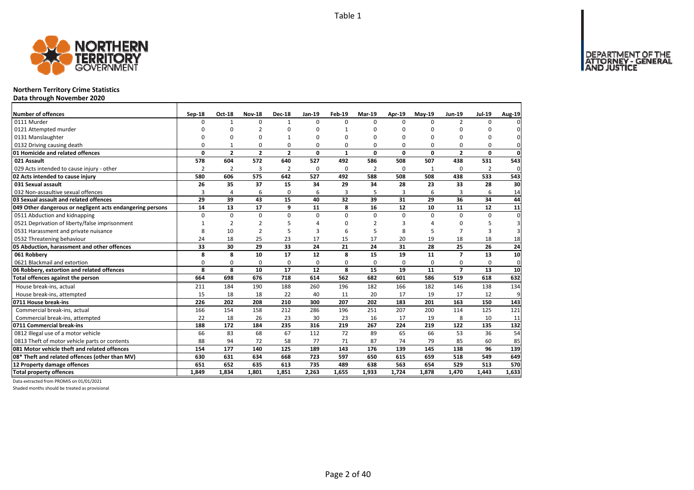

### **Northern Territory Crime Statistics**

**Data through November 2020**

| Number of offences                                        | Sep-18        | <b>Oct-18</b>  | <b>Nov-18</b>  | <b>Dec-18</b>  | Jan-19   | <b>Feb-19</b> | <b>Mar-19</b> | Apr-19   | $May-19$    | <b>Jun-19</b>            | <b>Jul-19</b>  | Aug-19      |
|-----------------------------------------------------------|---------------|----------------|----------------|----------------|----------|---------------|---------------|----------|-------------|--------------------------|----------------|-------------|
| 0111 Murder                                               | 0             | $\mathbf{1}$   | 0              | $\mathbf{1}$   | $\Omega$ | $\Omega$      | <sup>0</sup>  | $\Omega$ | $\Omega$    | $\overline{2}$           | $\Omega$       |             |
| 0121 Attempted murder                                     | $\Omega$      | $\Omega$       | $\overline{2}$ | $\Omega$       |          | 1             | 0             | ŋ        | $\Omega$    |                          | O              |             |
| 0131 Manslaughter                                         | $\Omega$      | 0              | 0              | $\mathbf{1}$   |          | $\Omega$      | 0             | 0        | 0           | $\Omega$                 | 0              | 0           |
| 0132 Driving causing death                                | $\Omega$      | 1              | 0              | $\Omega$       |          | 0             | 0             | O        | $\Omega$    | $\Omega$                 | $\Omega$       | 0           |
| 01 Homicide and related offences                          | 0             | $\overline{2}$ | $\overline{2}$ | $\overline{2}$ | 0        | 1             | 0             | 0        | $\mathbf 0$ | $\mathbf{2}$             | $\mathbf{0}$   | $\mathbf 0$ |
| 021 Assault                                               | 578           | 604            | 572            | 640            | 527      | 492           | 586           | 508      | 507         | 438                      | 531            | 543         |
| 029 Acts intended to cause injury - other                 | $\mathcal{P}$ | $\overline{2}$ | 3              | $\overline{2}$ | $\Omega$ | $\Omega$      | 2             | $\Omega$ | 1           | $\Omega$                 | $\overline{2}$ | 0           |
| 02 Acts intended to cause injury                          | 580           | 606            | 575            | 642            | 527      | 492           | 588           | 508      | 508         | 438                      | 533            | 543         |
| 031 Sexual assault                                        | 26            | 35             | 37             | 15             | 34       | 29            | 34            | 28       | 23          | 33                       | 28             | 30          |
| 032 Non-assaultive sexual offences                        | 3             | 4              | 6              | $\mathbf 0$    | 6        | 3             | 5             | 3        | 6           | 3                        | 6              | 14          |
| 03 Sexual assault and related offences                    | 29            | 39             | 43             | 15             | 40       | 32            | 39            | 31       | 29          | 36                       | 34             | 44          |
| 049 Other dangerous or negligent acts endangering persons | 14            | 13             | 17             | 9              | 11       | 8             | 16            | 12       | 10          | 11                       | 12             | 11          |
| 0511 Abduction and kidnapping                             | $\Omega$      | $\Omega$       | $\mathbf 0$    | $\Omega$       | $\Omega$ | $\Omega$      | 0             | $\Omega$ | $\Omega$    | $\Omega$                 | $\Omega$       | $\Omega$    |
| 0521 Deprivation of liberty/false imprisonment            | 1             | $\overline{2}$ | 2              | 5              |          | ŋ             | 2             | 3        |             | n                        | 5              |             |
| 0531 Harassment and private nuisance                      | 8             | 10             | 2              | 5              | 3        | 6             | 5             | 8        | 5           | $\overline{7}$           | 3              | 3           |
| 0532 Threatening behaviour                                | 24            | 18             | 25             | 23             | 17       | 15            | 17            | 20       | 19          | 18                       | 18             | 18          |
| 05 Abduction, harassment and other offences               | 33            | 30             | 29             | 33             | 24       | 21            | 24            | 31       | 28          | 25                       | 26             | 24          |
| 061 Robbery                                               | 8             | 8              | 10             | 17             | 12       | 8             | 15            | 19       | 11          | $\overline{\phantom{a}}$ | 13             | 10          |
| 0621 Blackmail and extortion                              | 0             | 0              | 0              | 0              | $\Omega$ | 0             | 0             | 0        | 0           | 0                        | 0              | 0           |
| 06 Robbery, extortion and related offences                | 8             | 8              | 10             | 17             | 12       | 8             | 15            | 19       | 11          | $\overline{z}$           | 13             | 10          |
| Total offences against the person                         | 664           | 698            | 676            | 718            | 614      | 562           | 682           | 601      | 586         | 519                      | 618            | 632         |
| House break-ins, actual                                   | 211           | 184            | 190            | 188            | 260      | 196           | 182           | 166      | 182         | 146                      | 138            | 134         |
| House break-ins, attempted                                | 15            | 18             | 18             | 22             | 40       | 11            | 20            | 17       | 19          | 17                       | 12             | 9           |
| 0711 House break-ins                                      | 226           | 202            | 208            | 210            | 300      | 207           | 202           | 183      | 201         | 163                      | 150            | 143         |
| Commercial break-ins, actual                              | 166           | 154            | 158            | 212            | 286      | 196           | 251           | 207      | 200         | 114                      | 125            | 121         |
| Commercial break-ins, attempted                           | 22            | 18             | 26             | 23             | 30       | 23            | 16            | 17       | 19          | 8                        | 10             | 11          |
| 0711 Commercial break-ins                                 | 188           | 172            | 184            | 235            | 316      | 219           | 267           | 224      | 219         | 122                      | 135            | 132         |
| 0812 Illegal use of a motor vehicle                       | 66            | 83             | 68             | 67             | 112      | 72            | 89            | 65       | 66          | 53                       | 36             | 54          |
| 0813 Theft of motor vehicle parts or contents             | 88            | 94             | 72             | 58             | 77       | 71            | 87            | 74       | 79          | 85                       | 60             | 85          |
| 081 Motor vehicle theft and related offences              | 154           | 177            | 140            | 125            | 189      | 143           | 176           | 139      | 145         | 138                      | 96             | 139         |
| 08* Theft and related offences (other than MV)            | 630           | 631            | 634            | 668            | 723      | 597           | 650           | 615      | 659         | 518                      | 549            | 649         |
| 12 Property damage offences                               | 651           | 652            | 635            | 613            | 735      | 489           | 638           | 563      | 654         | 529                      | 513            | 570         |
| <b>Total property offences</b>                            | 1.849         | 1,834          | 1.801          | 1.851          | 2,263    | 1,655         | 1,933         | 1,724    | 1,878       | 1,470                    | 1,443          | 1,633       |

Data extracted from PROMIS on 01/01/2021

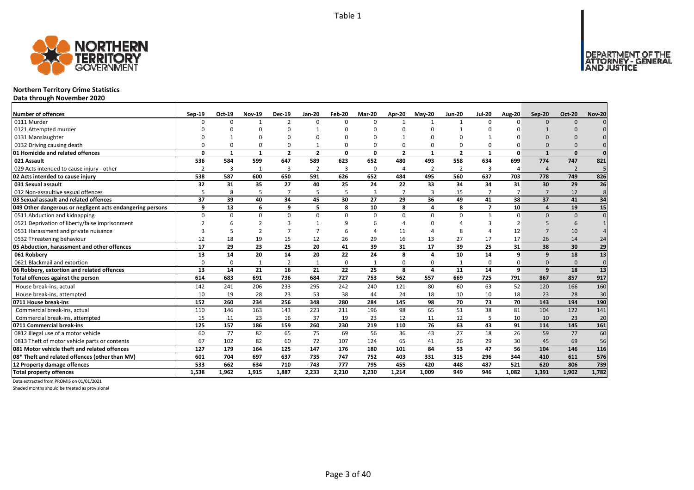

### **Northern Territory Crime Statistics**

**Data through November 2020**

| <b>Number of offences</b>                                 | Sep-19         | Oct-19       | <b>Nov-19</b> | <b>Dec-19</b>  | <b>Jan-20</b>  | Feb-20   | <b>Mar-20</b> | Apr-20         | $May-20$                | <b>Jun-20</b>  | <b>Jul-20</b>  | <b>Aug-20</b>  | Sep-20                | <b>Oct-20</b>  | <b>Nov-20</b>   |
|-----------------------------------------------------------|----------------|--------------|---------------|----------------|----------------|----------|---------------|----------------|-------------------------|----------------|----------------|----------------|-----------------------|----------------|-----------------|
| 0111 Murder                                               | n              | <sup>0</sup> |               | $\overline{2}$ | $\Omega$       | n        | $\Omega$      | $\mathbf 1$    | $\mathbf{1}$            | $\overline{1}$ | $\Omega$       | $\Omega$       | $\Omega$              | $\Omega$       |                 |
| 0121 Attempted murder                                     |                |              | $\Omega$      | $\Omega$       | $\mathbf{1}$   |          |               | n              |                         | -1             |                |                |                       |                |                 |
| 0131 Manslaughter                                         |                |              |               | O              | O              |          |               |                | n                       |                |                |                |                       |                |                 |
| 0132 Driving causing death                                |                |              | $\Omega$      | $\Omega$       | $\mathbf{1}$   |          |               | O              | $\Omega$                | 0              |                |                | $\Omega$              |                |                 |
| 01 Homicide and related offences                          | n              | 1            | $\mathbf{1}$  | $\overline{2}$ | $\overline{2}$ | $\Omega$ | 0             | $\overline{2}$ | $\mathbf{1}$            | $\overline{2}$ | $\mathbf{1}$   | $\mathbf{0}$   |                       | $\Omega$       | $\Omega$        |
| 021 Assault                                               | 536            | 584          | 599           | 647            | 589            | 623      | 652           | 480            | 493                     | 558            | 634            | 699            | 774                   | 747            | 821             |
| 029 Acts intended to cause injury - other                 | $\overline{2}$ | 3            | $\mathbf{1}$  | -3             | 2              | 3        | 0             | 4              | $\overline{2}$          | $\overline{2}$ | 3              | $\overline{4}$ | $\boldsymbol{\Delta}$ | $\overline{2}$ | 5               |
| 02 Acts intended to cause injury                          | 538            | 587          | 600           | 650            | 591            | 626      | 652           | 484            | 495                     | 560            | 637            | 703            | 778                   | 749            | 826             |
| 031 Sexual assault                                        | 32             | 31           | 35            | 27             | 40             | 25       | 24            | 22             | 33                      | 34             | 34             | 31             | 30                    | 29             | 26              |
| 032 Non-assaultive sexual offences                        | 5              | 8            | 5             | $\overline{7}$ | 5              |          | 3             | $\overline{7}$ | $\overline{3}$          | 15             | $\overline{7}$ | $\overline{7}$ | $\overline{7}$        | 12             | 8               |
| 03 Sexual assault and related offences                    | 37             | 39           | 40            | 34             | 45             | 30       | 27            | 29             | 36                      | 49             | 41             | 38             | 37                    | 41             | 34              |
| 049 Other dangerous or negligent acts endangering persons | a              | 13           | 6             | 9              | 5              | 8        | 10            | 8              | $\overline{\mathbf{a}}$ | 8              | $\overline{ }$ | 10             | 4                     | 19             | 15              |
| 0511 Abduction and kidnapping                             | $\Omega$       | <sup>n</sup> | $\Omega$      | $\Omega$       | $\Omega$       | $\Omega$ | $\Omega$      | $\Omega$       | $\Omega$                | $\Omega$       |                | $\Omega$       | $\Omega$              | $\Omega$       | $\Omega$        |
| 0521 Deprivation of liberty/false imprisonment            |                |              |               | ∍              | $\mathbf{1}$   |          |               |                |                         |                |                |                |                       | -6             |                 |
| 0531 Harassment and private nuisance                      |                |              | $\mathcal{D}$ | $\overline{ }$ | $\overline{7}$ |          |               | 11             |                         | 8              |                | 12             | $\overline{ }$        | 10             |                 |
| 0532 Threatening behaviour                                | 12             | 18           | 19            | 15             | 12             | 26       | 29            | 16             | 13                      | 27             | 17             | 17             | 26                    | 14             | 24              |
| 05 Abduction, harassment and other offences               | 17             | 29           | 23            | 25             | 20             | 41       | 39            | 31             | 17                      | 39             | 25             | 31             | 38                    | 30             | 29              |
| 061 Robbery                                               | 13             | 14           | 20            | 14             | 20             | 22       | 24            | 8              | $\overline{a}$          | 10             | 14             | 9              | 9                     | 18             | $\overline{13}$ |
| 0621 Blackmail and extortion                              | $\Omega$       | <sup>0</sup> |               | $\overline{2}$ | 1              |          |               | $\Omega$       | $\Omega$                | 1              |                |                | $\Omega$              | $\Omega$       | $\mathbf{0}$    |
| 06 Robbery, extortion and related offences                | 13             | 14           | 21            | 16             | 21             | 22       | 25            | 8              | $\overline{a}$          | 11             | 14             | $\mathbf{q}$   | 9                     | 18             | 13              |
| Total offences against the person                         | 614            | 683          | 691           | 736            | 684            | 727      | 753           | 562            | 557                     | 669            | 725            | 791            | 867                   | 857            | 917             |
| House break-ins, actual                                   | 142            | 241          | 206           | 233            | 295            | 242      | 240           | 121            | 80                      | 60             | 63             | 52             | 120                   | 166            | 160             |
| House break-ins, attempted                                | 10             | 19           | 28            | 23             | 53             | 38       | 44            | 24             | 18                      | 10             | 10             | 18             | 23                    | 28             | 30              |
| 0711 House break-ins                                      | 152            | 260          | 234           | 256            | 348            | 280      | 284           | 145            | 98                      | 70             | 73             | 70             | 143                   | 194            | 190             |
| Commercial break-ins, actual                              | 110            | 146          | 163           | 143            | 223            | 211      | 196           | 98             | 65                      | 51             | 38             | 81             | 104                   | 122            | 141             |
| Commercial break-ins, attempted                           | 15             | 11           | 23            | 16             | 37             | 19       | 23            | 12             | 11                      | 12             |                | 10             | 10                    | 23             | 20              |
| 0711 Commercial break-ins                                 | 125            | 157          | 186           | 159            | 260            | 230      | 219           | 110            | 76                      | 63             | 43             | 91             | 114                   | 145            | 161             |
| 0812 Illegal use of a motor vehicle                       | 60             | 77           | 82            | 65             | 75             | 69       | 56            | 36             | 43                      | 27             | 18             | 26             | 59                    | 77             | 60              |
| 0813 Theft of motor vehicle parts or contents             | 67             | 102          | 82            | 60             | 72             | 107      | 124           | 65             | 41                      | 26             | 29             | 30             | 45                    | 69             | 56              |
| 081 Motor vehicle theft and related offences              | 127            | 179          | 164           | 125            | 147            | 176      | 180           | 101            | 84                      | 53             | 47             | 56             | 104                   | 146            | 116             |
| 08* Theft and related offences (other than MV)            | 601            | 704          | 697           | 637            | 735            | 747      | 752           | 403            | 331                     | 315            | 296            | 344            | 410                   | 611            | 576             |
| 12 Property damage offences                               | 533            | 662          | 634           | 710            | 743            | 777      | 795           | 455            | 420                     | 448            | 487            | 521            | 620                   | 806            | 739             |
| <b>Total property offences</b>                            | 1.538          | 1,962        | 1,915         | 1.887          | 2,233          | 2.210    | 2.230         | 1,214          | 1.009                   | 949            | 946            | 1.082          | 1,391                 | 1.902          | 1,782           |

Data extracted from PROMIS on 01/01/2021

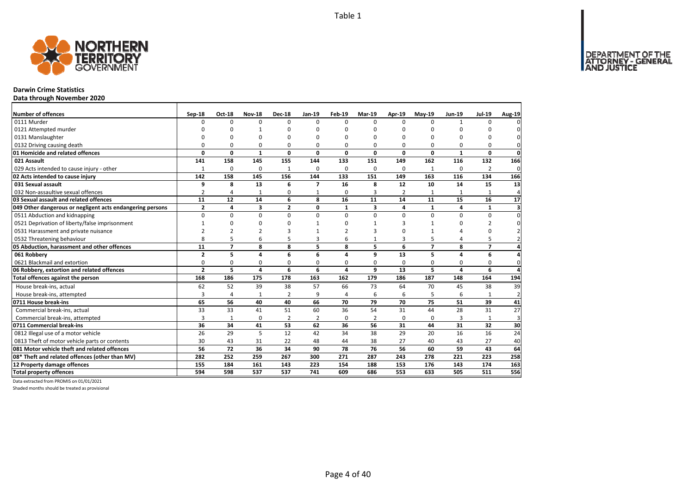

### **Darwin Crime Statistics**

**Data through November 2020**

| Number of offences                                        | Sep-18         | <b>Oct-18</b>  | <b>Nov-18</b>  | <b>Dec-18</b>  | Jan-19                   | Feb-19         | Mar-19         | Apr-19         | $May-19$       | <b>Jun-19</b> | <b>Jul-19</b>  | Aug-19                  |
|-----------------------------------------------------------|----------------|----------------|----------------|----------------|--------------------------|----------------|----------------|----------------|----------------|---------------|----------------|-------------------------|
| 0111 Murder                                               | <sup>0</sup>   | 0              | $\Omega$       | $\Omega$       | $\Omega$                 | $\Omega$       | <sup>0</sup>   | $\Omega$       | $\Omega$       | $\mathbf{1}$  | $\Omega$       |                         |
| 0121 Attempted murder                                     | ŋ              | <sup>0</sup>   |                | $\Omega$       |                          | $\Omega$       | ŋ              | n              | $\Omega$       |               | n              |                         |
| 0131 Manslaughter                                         | $\Omega$       | 0              | O              | $\Omega$       |                          | $\Omega$       | $\Omega$       | O              | $\Omega$       |               | 0              | 0                       |
| 0132 Driving causing death                                | $\Omega$       | 0              | 0              | $\Omega$       | $\Omega$                 | $\Omega$       | 0              | O              | $\Omega$       |               | $\Omega$       | 0                       |
| 01 Homicide and related offences                          | 0              | 0              | $\mathbf{1}$   | $\mathbf 0$    | $\Omega$                 | 0              | 0              | 0              | $\mathbf 0$    | 1             | $\mathbf{0}$   | $\mathbf 0$             |
| 021 Assault                                               | 141            | 158            | 145            | 155            | 144                      | 133            | 151            | 149            | 162            | 116           | 132            | 166                     |
| 029 Acts intended to cause injury - other                 | 1              | 0              | $\Omega$       | $\mathbf{1}$   | $\Omega$                 | $\Omega$       | 0              | $\Omega$       | $\mathbf{1}$   | $\Omega$      | 2              | 0                       |
| 02 Acts intended to cause injury                          | 142            | 158            | 145            | 156            | 144                      | 133            | 151            | 149            | 163            | 116           | 134            | 166                     |
| 031 Sexual assault                                        | 9              | 8              | 13             | 6              | $\overline{\phantom{a}}$ | 16             | 8              | 12             | 10             | 14            | 15             | 13                      |
| 032 Non-assaultive sexual offences                        | $\overline{2}$ | 4              | 1              | 0              | $\mathbf{1}$             | $\Omega$       | 3              | $\overline{2}$ | $\mathbf{1}$   | $\mathbf{1}$  | 1              | $\boldsymbol{\Delta}$   |
| 03 Sexual assault and related offences                    | 11             | 12             | 14             | 6              | 8                        | 16             | 11             | 14             | 11             | 15            | 16             | 17                      |
| 049 Other dangerous or negligent acts endangering persons | $\overline{2}$ | 4              | 3              | $\overline{2}$ | 0                        | $\mathbf{1}$   | 3              | 4              | $\mathbf{1}$   | 4             | $\mathbf{1}$   | $\overline{\mathbf{3}}$ |
| 0511 Abduction and kidnapping                             | $\Omega$       | $\Omega$       | $\Omega$       | $\Omega$       | $\Omega$                 | $\Omega$       | $\Omega$       | $\Omega$       | $\Omega$       | $\Omega$      | $\Omega$       | $\Omega$                |
| 0521 Deprivation of liberty/false imprisonment            | 1              | 0              | $\Omega$       | $\Omega$       |                          | $\Omega$       | $\mathbf{1}$   | 3              | $\mathbf{1}$   | n             | $\overline{2}$ | 0                       |
| 0531 Harassment and private nuisance                      | $\overline{2}$ | $\mathcal{P}$  | $\overline{2}$ | 3              |                          | $\mathcal{P}$  | з              | O              | $\mathbf{1}$   |               | $\Omega$       |                         |
| 0532 Threatening behaviour                                | 8              | 5              | 6              | 5              | 3                        | 6              | $\mathbf{1}$   | 3              | 5              | 4             | 5              |                         |
| 05 Abduction, harassment and other offences               | 11             | $\overline{7}$ | 8              | 8              | 5                        | 8              | 5              | 6              | $\overline{7}$ | 8             | $\overline{7}$ | 4                       |
| 061 Robbery                                               | $\overline{2}$ | 5              | 4              | 6              | 6                        | 4              | 9              | 13             | 5              | 4             | 6              |                         |
| 0621 Blackmail and extortion                              | 0              | 0              | 0              | 0              | 0                        | 0              | 0              | 0              | 0              | 0             | 0              | 0                       |
| 06 Robbery, extortion and related offences                | $\overline{2}$ | 5              | 4              | 6              | 6                        | 4              | 9              | 13             | 5              | 4             | 6              | Δ                       |
| Total offences against the person                         | 168            | 186            | 175            | 178            | 163                      | 162            | 179            | 186            | 187            | 148           | 164            | 194                     |
| House break-ins, actual                                   | 62             | 52             | 39             | 38             | 57                       | 66             | 73             | 64             | 70             | 45            | 38             | 39                      |
| House break-ins, attempted                                | 3              | 4              | $\mathbf{1}$   | $\overline{2}$ | 9                        | $\overline{a}$ | 6              | 6              | 5              | 6             |                | $\overline{2}$          |
| 0711 House break-ins                                      | 65             | 56             | 40             | 40             | 66                       | 70             | 79             | 70             | 75             | 51            | 39             | 41                      |
| Commercial break-ins, actual                              | 33             | 33             | 41             | 51             | 60                       | 36             | 54             | 31             | 44             | 28            | 31             | 27                      |
| Commercial break-ins, attempted                           | 3              | $\mathbf{1}$   | 0              | $\overline{2}$ | 2                        | $\Omega$       | $\overline{2}$ | 0              | 0              | 3             | 1              | 3                       |
| 0711 Commercial break-ins                                 | 36             | 34             | 41             | 53             | 62                       | 36             | 56             | 31             | 44             | 31            | 32             | 30                      |
| 0812 Illegal use of a motor vehicle                       | 26             | 29             | 5              | 12             | 42                       | 34             | 38             | 29             | 20             | 16            | 16             | 24                      |
| 0813 Theft of motor vehicle parts or contents             | 30             | 43             | 31             | 22             | 48                       | 44             | 38             | 27             | 40             | 43            | 27             | 40                      |
| 081 Motor vehicle theft and related offences              | 56             | 72             | 36             | 34             | 90                       | 78             | 76             | 56             | 60             | 59            | 43             | 64                      |
| 08* Theft and related offences (other than MV)            | 282            | 252            | 259            | 267            | 300                      | 271            | 287            | 243            | 278            | 221           | 223            | 258                     |
| 12 Property damage offences                               | 155            | 184            | 161            | 143            | 223                      | 154            | 188            | 153            | 176            | 143           | 174            | 163                     |
| <b>Total property offences</b>                            | 594            | 598            | 537            | 537            | 741                      | 609            | 686            | 553            | 633            | 505           | 511            | 556                     |

Data extracted from PROMIS on 01/01/2021

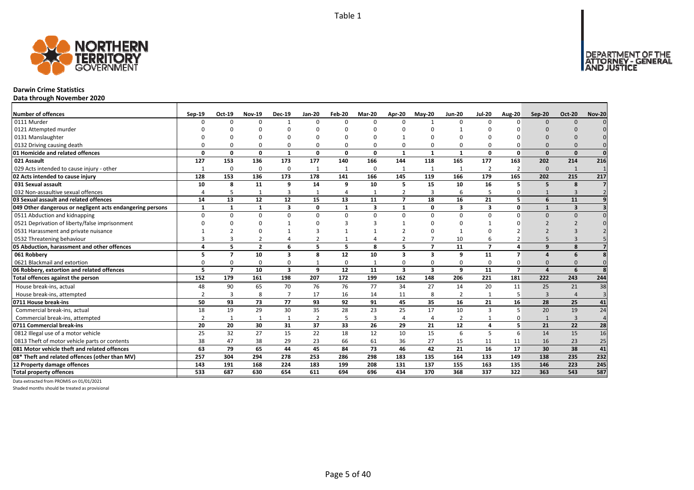

### **Darwin Crime Statistics**

**Data through November 2020**

| <b>Number of offences</b>                                 | Sep-19        | Oct-19         | <b>Nov-19</b>  | <b>Dec-19</b>           | <b>Jan-20</b>  | Feb-20       | <b>Mar-20</b>           | <b>Apr-20</b>            | <b>Mav-20</b>           | <b>Jun-20</b>  | <b>Jul-20</b>           | <b>Aug-20</b>  | Sep-20       | <b>Oct-20</b>           | <b>Nov-20</b>  |
|-----------------------------------------------------------|---------------|----------------|----------------|-------------------------|----------------|--------------|-------------------------|--------------------------|-------------------------|----------------|-------------------------|----------------|--------------|-------------------------|----------------|
| 0111 Murder                                               | n             | $\Omega$       | $\Omega$       | $\mathbf{1}$            | $\Omega$       | n            | $\Omega$                | $\Omega$                 | $\mathbf{1}$            | $\Omega$       | $\Omega$                | n              | $\Omega$     | $\Omega$                |                |
| 0121 Attempted murder                                     |               |                | n              |                         | ŋ              |              |                         | ∩                        |                         |                |                         |                |              |                         |                |
| 0131 Manslaughter                                         |               |                |                |                         |                |              |                         |                          |                         |                |                         |                |              |                         |                |
| 0132 Driving causing death                                |               |                | $\Omega$       | $\Omega$                | $\Omega$       |              |                         | O                        | $\Omega$                | 0              |                         |                |              |                         |                |
| 01 Homicide and related offences                          | O             | n              | $\Omega$       | $\mathbf{1}$            | $\mathbf{0}$   | $\Omega$     | 0                       | 1                        | $\mathbf{1}$            | $\mathbf{1}$   | $\Omega$                | $\Omega$       | $\Omega$     | $\Omega$                |                |
| 021 Assault                                               | 127           | 153            | 136            | 173                     | 177            | 140          | 166                     | 144                      | 118                     | 165            | 177                     | 163            | 202          | 214                     | 216            |
| 029 Acts intended to cause injury - other                 | $\mathbf{1}$  | $\Omega$       | $\Omega$       | $\mathbf 0$             | $\mathbf{1}$   | 1            | $\Omega$                | $\mathbf{1}$             | 1                       | $\mathbf{1}$   | $\overline{2}$          | 2              | $\Omega$     | 1                       |                |
| 02 Acts intended to cause injury                          | 128           | 153            | 136            | 173                     | 178            | 141          | 166                     | 145                      | 119                     | 166            | 179                     | 165            | 202          | 215                     | 217            |
| 031 Sexual assault                                        | 10            | 8              | 11             | 9                       | 14             | q            | 10                      | 5                        | 15                      | 10             | 16                      | 5              | 5            | 8                       | 7              |
| 032 Non-assaultive sexual offences                        |               | 5              |                | $\overline{3}$          | $\mathbf{1}$   |              |                         | $\overline{2}$           | $\overline{3}$          | 6              |                         |                |              | 3                       |                |
| 03 Sexual assault and related offences                    | 14            | 13             | 12             | 12                      | 15             | 13           | 11                      | $\overline{\phantom{a}}$ | 18                      | 16             | 21                      | 5 <sup>1</sup> | 6            | 11                      |                |
| 049 Other dangerous or negligent acts endangering persons | $\mathbf{1}$  |                | $\mathbf{1}$   | $\overline{\mathbf{3}}$ | 0              | $\mathbf{1}$ | $\overline{\mathbf{3}}$ | $\mathbf{1}$             | $\mathbf 0$             | 3              | $\overline{\mathbf{z}}$ | $\mathbf{0}$   |              | $\overline{\mathbf{3}}$ |                |
| 0511 Abduction and kidnapping                             | $\Omega$      | n              | $\Omega$       | $\Omega$                | $\Omega$       | U            | $\Omega$                | $\Omega$                 | $\Omega$                | $\Omega$       | $\Omega$                | $\Omega$       | $\Omega$     | $\Omega$                |                |
| 0521 Deprivation of liberty/false imprisonment            |               |                | $\Omega$       |                         | O              |              |                         |                          | ∩                       | O              |                         |                |              |                         |                |
| 0531 Harassment and private nuisance                      |               |                |                |                         |                |              |                         |                          |                         |                |                         |                |              |                         |                |
| 0532 Threatening behaviour                                |               |                |                |                         | $\overline{2}$ |              |                         |                          |                         | 10             |                         |                |              |                         |                |
| 05 Abduction, harassment and other offences               |               | 5              | $\overline{2}$ | 6                       | 5              | 5            | 8                       | 5                        | $\overline{7}$          | 11             | $\overline{7}$          |                | $\mathbf{q}$ | 8                       |                |
| 061 Robbery                                               |               | 7              | 10             | $\overline{\mathbf{3}}$ | 8              | 12           | 10                      | 3                        | $\overline{\mathbf{3}}$ | 9              | 11                      | $\overline{ }$ |              | 6                       |                |
| 0621 Blackmail and extortion                              |               |                | $\Omega$       | $\Omega$                | $\mathbf{1}$   |              |                         | O                        | $\Omega$                | 0              |                         |                | $\Omega$     |                         |                |
| 06 Robbery, extortion and related offences                | 5             | $\overline{7}$ | 10             | $\overline{\mathbf{3}}$ | 9              | 12           | 11                      | 3                        | $\overline{\mathbf{3}}$ | 9              | 11                      | $\overline{7}$ | $\Delta$     | 6                       |                |
| Total offences against the person                         | 152           | 179            | 161            | 198                     | 207            | 172          | 199                     | 162                      | 148                     | 206            | 221                     | 181            | 222          | 243                     | 244            |
| House break-ins, actual                                   | 48            | 90             | 65             | 70                      | 76             | 76           | 77                      | 34                       | 27                      | 14             | 20                      | 11             | 25           | 21                      | 38             |
| House break-ins, attempted                                | $\mathcal{P}$ | 3              | 8              | $\overline{7}$          | 17             | 16           | 14                      | 11                       | 8                       | $\overline{2}$ |                         | 5              | $\mathbf{3}$ |                         | $\overline{3}$ |
| 0711 House break-ins                                      | 50            | 93             | 73             | 77                      | 93             | 92           | 91                      | 45                       | 35                      | 16             | 21                      | 16             | 28           | 25                      | 41             |
| Commercial break-ins, actual                              | 18            | 19             | 29             | 30                      | 35             | 28           | 23                      | 25                       | 17                      | 10             | 3                       | 5              | 20           | 19                      | 24             |
| Commercial break-ins, attempted                           |               | -1             | -1             | $\mathbf{1}$            | 2              |              | 3                       | 4                        | $\overline{4}$          | $\overline{2}$ |                         |                |              | $\overline{3}$          | $\overline{4}$ |
| 0711 Commercial break-ins                                 | 20            | 20             | 30             | 31                      | 37             | 33           | 26                      | 29                       | 21                      | 12             | 4                       | 5              | 21           | 22                      | 28             |
| 0812 Illegal use of a motor vehicle                       | 25            | 32             | 27             | 15                      | 22             | 18           | 12                      | 10                       | 15                      | 6              | 5                       | 6              | 14           | 15                      | 16             |
| 0813 Theft of motor vehicle parts or contents             | 38            | 47             | 38             | 29                      | 23             | 66           | 61                      | 36                       | 27                      | 15             | 11                      | 11             | 16           | 23                      | 25             |
| 081 Motor vehicle theft and related offences              | 63            | 79             | 65             | 44                      | 45             | 84           | 73                      | 46                       | 42                      | 21             | 16                      | 17             | 30           | 38                      | 41             |
| 08* Theft and related offences (other than MV)            | 257           | 304            | 294            | 278                     | 253            | 286          | 298                     | 183                      | 135                     | 164            | 133                     | 149            | 138          | 235                     | 232            |
| 12 Property damage offences                               | 143           | 191            | 168            | 224                     | 183            | 199          | 208                     | 131                      | 137                     | 155            | 163                     | 135            | 146          | 223                     | 245            |
| <b>Total property offences</b>                            | 533           | 687            | 630            | 654                     | 611            | 694          | 696                     | 434                      | 370                     | 368            | 337                     | 322            | 363          | 543                     | 587            |

Data extracted from PROMIS on 01/01/2021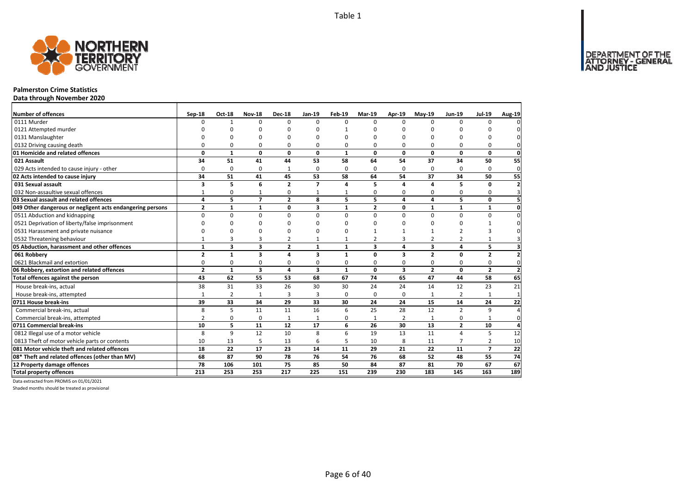

### **Palmerston Crime Statistics**

**Data through November 2020**

| <b>Number of offences</b>                                 | Sep-18         | Oct-18         | <b>Nov-18</b>           | <b>Dec-18</b>  | Jan-19                  | Feb-19       | Mar-19         | Apr-19                  | <b>Mav-19</b>  | <b>Jun-19</b>  | <b>Jul-19</b>            | Aug-19                   |
|-----------------------------------------------------------|----------------|----------------|-------------------------|----------------|-------------------------|--------------|----------------|-------------------------|----------------|----------------|--------------------------|--------------------------|
| 0111 Murder                                               | $\Omega$       | $\mathbf{1}$   | $\Omega$                | $\Omega$       | $\Omega$                | $\Omega$     | $\Omega$       | $\Omega$                | $\Omega$       | $\Omega$       | $\Omega$                 |                          |
| 0121 Attempted murder                                     | ŋ              | <sup>0</sup>   | n                       | n              |                         |              | ŋ              | n                       | n              |                | n                        |                          |
| 0131 Manslaughter                                         | $\Omega$       | O              | O                       | $\Omega$       |                         | $\Omega$     | n              | O                       | n              |                | 0                        |                          |
| 0132 Driving causing death                                | $\Omega$       | 0              | $\Omega$                | $\Omega$       | 0                       | $\Omega$     | 0              | 0                       | $\Omega$       | 0              | $\Omega$                 | 0                        |
| 01 Homicide and related offences                          | 0              | $\mathbf{1}$   | $\mathbf 0$             | $\mathbf 0$    | 0                       | $\mathbf{1}$ | $\Omega$       | $\mathbf{0}$            | $\mathbf 0$    | 0              | $\mathbf{0}$             | $\mathbf 0$              |
| 021 Assault                                               | 34             | 51             | 41                      | 44             | 53                      | 58           | 64             | 54                      | 37             | 34             | 50                       | 55                       |
| 029 Acts intended to cause injury - other                 | $\Omega$       | $\mathbf 0$    | 0                       | 1              | 0                       | $\Omega$     | 0              | $\Omega$                | $\Omega$       | 0              | $\Omega$                 | $\mathbf{0}$             |
| 02 Acts intended to cause injury                          | 34             | 51             | 41                      | 45             | 53                      | 58           | 64             | 54                      | 37             | 34             | 50                       | 55                       |
| 031 Sexual assault                                        | 3              | 5              | 6                       | $\overline{2}$ | $\overline{ }$          | 4            | 5.             | 4                       | 4              | 5              | 0                        | $\overline{\phantom{a}}$ |
| 032 Non-assaultive sexual offences                        | $\mathbf{1}$   | 0              | $\mathbf{1}$            | 0              | $\mathbf{1}$            | $\mathbf{1}$ | 0              | 0                       | 0              | 0              | 0                        | 3                        |
| 03 Sexual assault and related offences                    | 4              | 5.             | $\overline{7}$          | $\overline{2}$ | 8                       | 5            | 5              | 4                       | 4              | 5              | 0                        | 5                        |
| 049 Other dangerous or negligent acts endangering persons | $\overline{2}$ | $\mathbf{1}$   | $\mathbf{1}$            | $\mathbf 0$    | $\overline{\mathbf{3}}$ | $\mathbf{1}$ | $\overline{2}$ | $\mathbf{0}$            | $\mathbf{1}$   | $\mathbf{1}$   | $\mathbf{1}$             | $\mathbf 0$              |
| 0511 Abduction and kidnapping                             | $\Omega$       | $\Omega$       | $\mathbf 0$             | $\Omega$       | $\Omega$                | $\Omega$     | $\Omega$       | $\Omega$                | $\Omega$       | $\Omega$       | $\Omega$                 | $\Omega$                 |
| 0521 Deprivation of liberty/false imprisonment            | $\Omega$       | 0              | 0                       | $\Omega$       |                         | ŋ            | ŋ              | ŋ                       | $\Omega$       | 0              | 1                        |                          |
| 0531 Harassment and private nuisance                      | U              | 0              | O                       | $\Omega$       |                         | $\Omega$     |                |                         | $\mathbf{1}$   | $\overline{2}$ | 3                        |                          |
| 0532 Threatening behaviour                                | $\mathbf{1}$   | 3              | 3                       | $\overline{2}$ | $\mathbf{1}$            | $\mathbf{1}$ | $\overline{2}$ | 3                       | $\overline{2}$ | 2              | $\mathbf{1}$             |                          |
| 05 Abduction, harassment and other offences               | $\mathbf{1}$   | 3              | 3                       | $\overline{2}$ | $\mathbf{1}$            | $\mathbf{1}$ | 3              | 4                       | 3              | 4              | 5                        |                          |
| 061 Robbery                                               | $\overline{2}$ | $\mathbf{1}$   | $\overline{\mathbf{3}}$ | $\overline{a}$ | 3                       | 1            | $\Omega$       | 3                       | $\overline{2}$ | $\Omega$       | $\overline{2}$           | $\overline{2}$           |
| 0621 Blackmail and extortion                              | 0              | 0              | 0                       | 0              | $\Omega$                | 0            | 0              | 0                       | 0              | 0              | 0                        | $\Omega$                 |
| 06 Robbery, extortion and related offences                | $\overline{2}$ | $\mathbf{1}$   | $\overline{\mathbf{3}}$ | $\overline{a}$ | $\overline{\mathbf{3}}$ | $\mathbf{1}$ | $\mathbf{0}$   | $\overline{\mathbf{3}}$ | $\overline{2}$ | $\mathbf{0}$   | $\overline{2}$           | $\overline{2}$           |
| Total offences against the person                         | 43             | 62             | 55                      | 53             | 68                      | 67           | 74             | 65                      | 47             | 44             | 58                       | 65                       |
| House break-ins, actual                                   | 38             | 31             | 33                      | 26             | 30                      | 30           | 24             | 24                      | 14             | 12             | 23                       | 21                       |
| House break-ins, attempted                                | $\mathbf{1}$   | $\overline{2}$ | $\mathbf{1}$            | $\overline{3}$ | 3                       | $\Omega$     | 0              | 0                       | $\mathbf{1}$   | $\overline{2}$ | 1                        | $\mathbf{1}$             |
| 0711 House break-ins                                      | 39             | 33             | 34                      | 29             | 33                      | 30           | 24             | 24                      | 15             | 14             | 24                       | 22                       |
| Commercial break-ins, actual                              | 8              | 5              | 11                      | 11             | 16                      | 6            | 25             | 28                      | 12             | $\overline{2}$ | 9                        |                          |
| Commercial break-ins, attempted                           | $\overline{2}$ | 0              | 0                       | $\mathbf{1}$   | $\mathbf{1}$            | $\Omega$     | 1              | $\overline{2}$          | $\mathbf{1}$   | 0              | $\mathbf{1}$             | 0                        |
| 0711 Commercial break-ins                                 | 10             | 5              | 11                      | 12             | 17                      | 6            | 26             | 30                      | 13             | $\mathbf{2}$   | 10                       | 4                        |
| 0812 Illegal use of a motor vehicle                       | 8              | 9              | 12                      | 10             | 8                       | 6            | 19             | 13                      | 11             | 4              | 5                        | 12                       |
| 0813 Theft of motor vehicle parts or contents             | 10             | 13             | 5                       | 13             | 6                       | 5            | 10             | 8                       | 11             | $\overline{7}$ | 2                        | 10                       |
| 081 Motor vehicle theft and related offences              | 18             | 22             | 17                      | 23             | 14                      | 11           | 29             | 21                      | 22             | 11             | $\overline{\phantom{a}}$ | 22                       |
| 08* Theft and related offences (other than MV)            | 68             | 87             | 90                      | 78             | 76                      | 54           | 76             | 68                      | 52             | 48             | 55                       | 74                       |
| 12 Property damage offences                               | 78             | 106            | 101                     | 75             | 85                      | 50           | 84             | 87                      | 81             | 70             | 67                       | 67                       |
| <b>Total property offences</b>                            | 213            | 253            | 253                     | 217            | 225                     | 151          | 239            | 230                     | 183            | 145            | 163                      | 189                      |

Data extracted from PROMIS on 01/01/2021

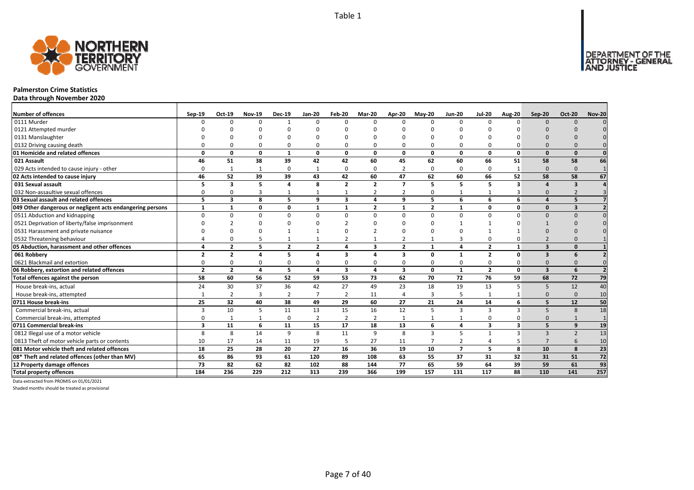

### **Palmerston Crime Statistics**

**Data through November 2020**

| <b>Number of offences</b>                                 | Sep-19                   | Oct-19                  | <b>Nov-19</b>  | <b>Dec-19</b>  | <b>Jan-20</b>  | Feb-20                  | Mar-20         | <b>Apr-20</b>  | <b>Mav-20</b>  | <b>Jun-20</b>   | <b>Jul-20</b>           | <b>Aug-20</b> | Sep-20                  | <b>Oct-20</b>            | <b>Nov-20</b> |
|-----------------------------------------------------------|--------------------------|-------------------------|----------------|----------------|----------------|-------------------------|----------------|----------------|----------------|-----------------|-------------------------|---------------|-------------------------|--------------------------|---------------|
| 0111 Murder                                               |                          | $\Omega$                | $\Omega$       | $\overline{1}$ | $\Omega$       | n                       | $\Omega$       | $\Omega$       | $\Omega$       | $\Omega$        | $\Omega$                | $\Omega$      | $\Omega$                | $\Omega$                 |               |
| 0121 Attempted murder                                     |                          |                         |                |                | n              |                         |                |                |                |                 |                         |               |                         |                          |               |
| 0131 Manslaughter                                         |                          |                         |                |                |                |                         |                |                |                |                 |                         |               |                         |                          |               |
| 0132 Driving causing death                                |                          |                         | $\Omega$       | $\Omega$       | $\Omega$       |                         |                | O              | $\Omega$       | 0               |                         |               |                         |                          |               |
| 01 Homicide and related offences                          | O                        | O                       | $\Omega$       | $\mathbf{1}$   | $\mathbf{0}$   | $\Omega$                | $\Omega$       | $\Omega$       | $\mathbf{0}$   | $\mathbf{0}$    | $\Omega$                | $\Omega$      | $\Omega$                | $\Omega$                 |               |
| 021 Assault                                               | 46                       | 51                      | 38             | 39             | 42             | 42                      | 60             | 45             | 62             | 60              | 66                      | 51            | 58                      | 58                       | 66            |
| 029 Acts intended to cause injury - other                 | O                        | -1                      | 1              | $\Omega$       | 1              | $\Omega$                | $\Omega$       | 2              | $\Omega$       | 0               | $\Omega$                | -1            | $\Omega$                | $\Omega$                 |               |
| 02 Acts intended to cause injury                          | 46                       | 52                      | 39             | 39             | 43             | 42                      | 60             | 47             | 62             | 60              | 66                      | 52            | 58                      | 58                       | 67            |
| 031 Sexual assault                                        |                          | 3                       | 5              | $\overline{a}$ | 8              | $\overline{2}$          | $\overline{2}$ | $\overline{ }$ | 5              | 5               | 5                       | 3             | $\mathbf{A}$            | $\overline{\mathbf{3}}$  |               |
| 032 Non-assaultive sexual offences                        | n                        |                         | 3              | $\mathbf{1}$   | $\mathbf{1}$   |                         | $\overline{2}$ | $\overline{2}$ | $\Omega$       | $\mathbf{1}$    |                         |               | $\Omega$                |                          |               |
| 03 Sexual assault and related offences                    | 5                        | 3                       | 8              | 5              | 9              | $\overline{\mathbf{3}}$ | Δ              | 9              | 5              | 6               | 6                       | 6             | $\Delta$                | 5                        |               |
| 049 Other dangerous or negligent acts endangering persons | $\mathbf{1}$             |                         | 0              | $\mathbf 0$    | $\mathbf{1}$   | $\mathbf{1}$            | $\overline{2}$ | $\mathbf{1}$   | $\overline{2}$ | $\mathbf{1}$    | $\Omega$                | 0             | $\Omega$                | $\overline{\mathbf{3}}$  |               |
| 0511 Abduction and kidnapping                             |                          |                         | $\Omega$       | $\Omega$       | $\Omega$       | U                       | $\Omega$       | $\Omega$       | $\Omega$       | $\Omega$        | $\Omega$                | $\Omega$      | $\Omega$                | $\Omega$                 |               |
| 0521 Deprivation of liberty/false imprisonment            |                          |                         | $\Omega$       |                | ŋ              |                         |                | n              |                |                 |                         |               |                         |                          |               |
| 0531 Harassment and private nuisance                      |                          |                         |                |                |                |                         |                | $\Omega$       |                |                 |                         |               |                         |                          |               |
| 0532 Threatening behaviour                                |                          |                         |                |                | $\mathbf{1}$   |                         |                |                |                | 3               |                         |               |                         |                          |               |
| 05 Abduction, harassment and other offences               |                          | $\overline{\mathbf{z}}$ | 5              | $\overline{2}$ | $\overline{2}$ | Δ                       | $\mathbf{3}$   | $\overline{2}$ | $\mathbf{1}$   | 4               | $\overline{2}$          |               | $\overline{\mathbf{3}}$ | $\Omega$                 |               |
| 061 Robbery                                               | $\overline{\phantom{a}}$ | $\overline{2}$          |                | 5              | 4              | 3                       |                | 3              | 0              | 1               | $\overline{2}$          | $\Omega$      | $\overline{\mathbf{3}}$ | 6                        |               |
| 0621 Blackmail and extortion                              |                          |                         | $\Omega$       | $\Omega$       | 0              |                         |                | O              | $\Omega$       | 0               |                         |               | $\Omega$                |                          |               |
| 06 Robbery, extortion and related offences                | $\overline{2}$           | $\overline{2}$          | 4              | 5              | 4              | $\overline{\mathbf{3}}$ | 4              | 3              | $\mathbf{0}$   | $\mathbf{1}$    | $\overline{2}$          | $\mathbf{0}$  | $\overline{\mathbf{3}}$ | 6                        |               |
| Total offences against the person                         | 58                       | 60                      | 56             | 52             | 59             | 53                      | 73             | 62             | 70             | $\overline{72}$ | $\overline{76}$         | 59            | 68                      | 72                       | 79            |
| House break-ins, actual                                   | 24                       | 30                      | 37             | 36             | 42             | 27                      | 49             | 23             | 18             | 19              | 13                      | 5             | 5                       | 12                       | 40            |
| House break-ins, attempted                                |                          | $\overline{2}$          | $\overline{3}$ | $\overline{2}$ | $\overline{7}$ | $\overline{2}$          | 11             | Δ              | $\overline{3}$ | 5               |                         |               | $\Omega$                | $\Omega$                 | 10            |
| 0711 House break-ins                                      | 25                       | 32                      | 40             | 38             | 49             | 29                      | 60             | 27             | 21             | 24              | 14                      | 6             |                         | 12                       | 50            |
| Commercial break-ins, actual                              |                          | 10                      | 5              | 11             | 13             | 15                      | 16             | 12             | 5              | 3               | 3                       |               | 5                       | 8                        | 18            |
| Commercial break-ins, attempted                           |                          |                         |                | 0              | $\overline{2}$ | $\overline{2}$          | $\overline{2}$ | 1              |                | $\mathbf{1}$    | $\Omega$                |               | $\Omega$                |                          |               |
| 0711 Commercial break-ins                                 | $\overline{\mathbf{3}}$  | 11                      | 6              | 11             | 15             | 17                      | 18             | 13             | 6              | 4               | $\overline{\mathbf{3}}$ | 3             | 5                       | $\mathbf{q}$             | 19            |
| 0812 Illegal use of a motor vehicle                       | 8                        | 8                       | 14             | 9              | 8              | 11                      | 9              | 8              | $\overline{3}$ | 5               |                         | 3             | $\mathbf{3}$            | $\overline{\phantom{0}}$ | 13            |
| 0813 Theft of motor vehicle parts or contents             | 10                       | 17                      | 14             | 11             | 19             |                         | 27             | 11             | $\overline{7}$ | $\overline{2}$  | $\overline{4}$          |               |                         | 6                        | 10            |
| 081 Motor vehicle theft and related offences              | 18                       | 25                      | 28             | 20             | 27             | 16                      | 36             | 19             | 10             | $\overline{7}$  | 5                       | 8             | 10                      | 8                        | 23            |
| 08* Theft and related offences (other than MV)            | 65                       | 86                      | 93             | 61             | 120            | 89                      | 108            | 63             | 55             | 37              | 31                      | 32            | 31                      | 51                       | 72            |
| 12 Property damage offences                               | 73                       | 82                      | 62             | 82             | 102            | 88                      | 144            | 77             | 65             | 59              | 64                      | 39            | 59                      | 61                       | 93            |
| <b>Total property offences</b>                            | 184                      | 236                     | 229            | 212            | 313            | 239                     | 366            | 199            | 157            | 131             | 117                     | 88            | 110                     | 141                      | 257           |

Data extracted from PROMIS on 01/01/2021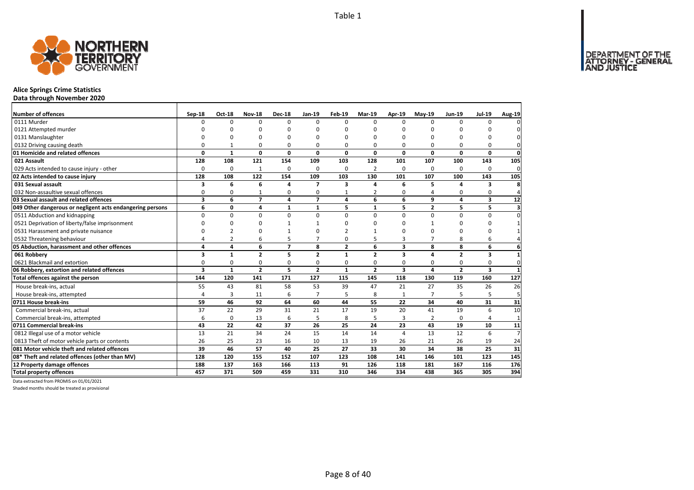

### **Alice Springs Crime Statistics**

**Data through November 2020**

| Number of offences                                        | Sep-18         | <b>Oct-18</b>  | <b>Nov-18</b>  | <b>Dec-18</b>   | Jan-19                   | <b>Feb-19</b>  | Mar-19         | Apr-19                  | $May-19$       | <b>Jun-19</b>  | <b>Jul-19</b> | Aug-19                  |
|-----------------------------------------------------------|----------------|----------------|----------------|-----------------|--------------------------|----------------|----------------|-------------------------|----------------|----------------|---------------|-------------------------|
| 0111 Murder                                               | $\Omega$       | 0              | $\Omega$       | $\Omega$        | 0                        | $\Omega$       | $\Omega$       | <sup>0</sup>            | $\Omega$       | $\Omega$       | 0             | 0                       |
| 0121 Attempted murder                                     |                | O              | 0              | O               |                          | n              | O              | O                       | O              |                |               | 0                       |
| 0131 Manslaughter                                         |                | O              | 0              | O               |                          | $\Omega$       | O              | O                       | $\Omega$       | $\Omega$       | O             | $\Omega$                |
| 0132 Driving causing death                                | 0              | $\mathbf{1}$   | 0              | $\Omega$        | 0                        | 0              | 0              | 0                       | $\Omega$       | 0              | 0             | 0l                      |
| 01 Homicide and related offences                          | $\Omega$       | $\mathbf{1}$   | $\mathbf{0}$   | $\mathbf 0$     | $\Omega$                 | $\Omega$       | $\Omega$       | $\Omega$                | $\mathbf 0$    | 0              | $\mathbf 0$   | $\mathbf{0}$            |
| 021 Assault                                               | 128            | 108            | 121            | 154             | 109                      | 103            | 128            | 101                     | 107            | 100            | 143           | 105                     |
| 029 Acts intended to cause injury - other                 | $\Omega$       | 0              | 1              | 0               | $\Omega$                 | $\Omega$       | $\overline{2}$ | 0                       | 0              | $\Omega$       | 0             | $\mathbf 0$             |
| 02 Acts intended to cause injury                          | 128            | 108            | 122            | 154             | 109                      | 103            | 130            | 101                     | 107            | 100            | 143           | 105                     |
| 031 Sexual assault                                        | 3              | 6              | 6              | 4               | $\overline{\phantom{a}}$ | 3              | Δ              | 6                       | 5              |                | 3             | 8                       |
| 032 Non-assaultive sexual offences                        | 0              | 0              |                | $\Omega$        | O                        |                | $\overline{2}$ | O                       |                | $\Omega$       | 0             | $\overline{4}$          |
| 03 Sexual assault and related offences                    | 3              | 6              | $\overline{7}$ | $\overline{4}$  | $\overline{\phantom{a}}$ | 4              | 6              | 6                       | 9              | 4              | 3             | 12                      |
| 049 Other dangerous or negligent acts endangering persons | 6              | 0              | 4              | $\mathbf{1}$    | $\mathbf{1}$             | 5              | $\mathbf{1}$   | 5                       | $\overline{2}$ | 5              | 5             | $\overline{\mathbf{3}}$ |
| 0511 Abduction and kidnapping                             | $\Omega$       | $\Omega$       | $\Omega$       | $\Omega$        | $\Omega$                 | $\Omega$       | $\Omega$       | $\Omega$                | $\Omega$       | $\Omega$       | 0             | $\mathbf{0}$            |
| 0521 Deprivation of liberty/false imprisonment            | $\Omega$       | $\Omega$       | 0              |                 |                          | n              | $\Omega$       | 0                       |                | $\Omega$       | $\Omega$      | $\mathbf{1}$            |
| 0531 Harassment and private nuisance                      | $\Omega$       |                | 0              |                 |                          |                |                | O                       | $\Omega$       | $\Omega$       | $\Omega$      | 1                       |
| 0532 Threatening behaviour                                | $\overline{4}$ | $\overline{2}$ | 6              | 5               | $\overline{ }$           | $\mathbf 0$    | 5              | 3                       | $\overline{ }$ | 8              | 6             |                         |
| 05 Abduction, harassment and other offences               | 4              | 4              | 6              | $\overline{7}$  | 8                        | $\overline{2}$ | 6              | 3                       | 8              | 8              | 6             | $6 \mid$                |
| 061 Robbery                                               | 3              | $\mathbf{1}$   | $\overline{2}$ | 5               | $\overline{2}$           | 1              | $\overline{2}$ | 3                       | $\overline{a}$ | $\overline{2}$ | 3             | $\mathbf{1}$            |
| 0621 Blackmail and extortion                              | 0              | 0              | 0              | 0               | 0                        | $\Omega$       | 0              | 0                       | 0              | 0              | 0             | $\mathbf{0}$            |
| 06 Robbery, extortion and related offences                | 3              | $\mathbf{1}$   | $\overline{2}$ | 5               | $\overline{2}$           | $\mathbf{1}$   | $\overline{2}$ | $\overline{\mathbf{3}}$ | 4              | $\overline{2}$ | 3             | $\mathbf{1}$            |
| Total offences against the person                         | 144            | 120            | 141            | 171             | 127                      | 115            | 145            | 118                     | 130            | 119            | 160           | 127                     |
| House break-ins, actual                                   | 55             | 43             | 81             | 58              | 53                       | 39             | 47             | 21                      | 27             | 35             | 26            | 26                      |
| House break-ins, attempted                                | $\overline{a}$ | 3              | 11             | 6               | $\overline{7}$           | 5              | 8              | 1                       | 7              |                | 5             | 5                       |
| 0711 House break-ins                                      | 59             | 46             | 92             | 64              | 60                       | 44             | 55             | 22                      | 34             | 40             | 31            | 31                      |
| Commercial break-ins, actual                              | 37             | 22             | 29             | 31              | 21                       | 17             | 19             | 20                      | 41             | 19             | 6             | 10                      |
| Commercial break-ins, attempted                           | 6              | 0              | 13             | 6               | 5                        | 8              | 5              | 3                       | $\overline{2}$ | $\Omega$       | 4             | $\mathbf{1}$            |
| 0711 Commercial break-ins                                 | 43             | 22             | 42             | $\overline{37}$ | 26                       | 25             | 24             | 23                      | 43             | 19             | 10            | 11                      |
| 0812 Illegal use of a motor vehicle                       | 13             | 21             | 34             | 24              | 15                       | 14             | 14             | 4                       | 13             | 12             | 6             | $\overline{7}$          |
| 0813 Theft of motor vehicle parts or contents             | 26             | 25             | 23             | 16              | 10                       | 13             | 19             | 26                      | 21             | 26             | 19            | 24                      |
| 081 Motor vehicle theft and related offences              | 39             | 46             | 57             | 40              | 25                       | 27             | 33             | 30                      | 34             | 38             | 25            | 31                      |
| 08* Theft and related offences (other than MV)            | 128            | 120            | 155            | 152             | 107                      | 123            | 108            | 141                     | 146            | 101            | 123           | 145                     |
| 12 Property damage offences                               | 188            | 137            | 163            | 166             | 113                      | 91             | 126            | 118                     | 181            | 167            | 116           | 176                     |
| <b>Total property offences</b>                            | 457            | 371            | 509            | 459             | 331                      | 310            | 346            | 334                     | 438            | 365            | 305           | 394                     |

Data extracted from PROMIS on 01/01/2021

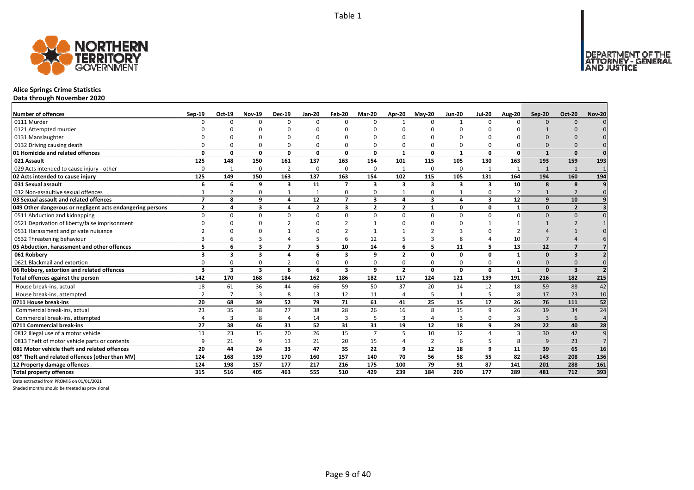

### **Alice Springs Crime Statistics**

**Data through November 2020**

| <b>Number of offences</b>                                 | Sep-19                   | Oct-19                  | <b>Nov-19</b>           | <b>Dec-19</b>           | <b>Jan-20</b>  | Feb-20                   | Mar-20         | <b>Apr-20</b>           | <b>Mav-20</b>           | <b>Jun-20</b> | <b>Jul-20</b> | <b>Aug-20</b>  | $Sep-20$     | <b>Oct-20</b>           | <b>Nov-20</b>  |
|-----------------------------------------------------------|--------------------------|-------------------------|-------------------------|-------------------------|----------------|--------------------------|----------------|-------------------------|-------------------------|---------------|---------------|----------------|--------------|-------------------------|----------------|
| 0111 Murder                                               |                          | $\Omega$                | $\Omega$                | $\Omega$                | $\Omega$       |                          | $\Omega$       |                         | $\Omega$                |               | $\Omega$      | n              | $\Omega$     | $\Omega$                |                |
| 0121 Attempted murder                                     |                          |                         |                         |                         | n              |                          |                |                         |                         |               |               |                |              |                         |                |
| 0131 Manslaughter                                         |                          |                         |                         |                         | O              |                          |                |                         |                         |               |               |                |              |                         |                |
| 0132 Driving causing death                                |                          |                         |                         | 0                       | $\Omega$       |                          |                | $\Omega$                | $\Omega$                | 0             |               |                |              |                         |                |
| 01 Homicide and related offences                          | O                        | 0                       | $\Omega$                | $\mathbf{0}$            | 0              | $\mathbf{0}$             | 0              | $\mathbf{1}$            | $\mathbf{0}$            | $\mathbf{1}$  | 0             | $\mathbf 0$    | $\mathbf{1}$ | $\Omega$                | $\Omega$       |
| 021 Assault                                               | 125                      | 148                     | 150                     | 161                     | 137            | 163                      | 154            | 101                     | 115                     | 105           | 130           | 163            | 193          | 159                     | 193            |
| 029 Acts intended to cause injury - other                 | $\Omega$                 | -1                      | $\Omega$                | $\overline{2}$          | 0              | 0                        | $\Omega$       | $\mathbf{1}$            | $\mathbf 0$             | 0             |               | -1             | $\mathbf{1}$ | $\mathbf{1}$            |                |
| 02 Acts intended to cause injury                          | 125                      | 149                     | 150                     | 163                     | 137            | 163                      | 154            | 102                     | 115                     | 105           | 131           | 164            | 194          | 160                     | 194            |
| 031 Sexual assault                                        | 6                        | 6                       | 9                       | $\overline{\mathbf{3}}$ | 11             | $\overline{7}$           | 3              | 3                       | $\overline{\mathbf{3}}$ | 3             | 3             | 10             | 8            | 8                       |                |
| 032 Non-assaultive sexual offences                        |                          | $\overline{2}$          | $\Omega$                |                         | $\mathbf{1}$   | $\Omega$                 | 0              |                         | $\Omega$                | $\mathbf{1}$  | $\Omega$      | $\overline{2}$ |              | $\overline{2}$          | $\Omega$       |
| 03 Sexual assault and related offences                    | $\overline{\phantom{a}}$ | 8                       | q                       | $\overline{a}$          | 12             | $\overline{\phantom{a}}$ | $\mathbf{3}$   | 4                       | $\overline{\mathbf{3}}$ | 4             | 3             | 12             | 9            | 10                      |                |
| 049 Other dangerous or negligent acts endangering persons | $\overline{2}$           | Δ                       | 3                       | $\overline{a}$          | $\overline{2}$ | 3                        | $\overline{2}$ | $\overline{\mathbf{z}}$ | $\mathbf{1}$            | 0             | 0             | 1              | $\Omega$     | $\overline{\mathbf{z}}$ |                |
| 0511 Abduction and kidnapping                             | $\Omega$                 | O                       | n                       | $\Omega$                | $\Omega$       | $\Omega$                 | $\Omega$       | $\Omega$                | $\Omega$                | $\Omega$      | $\Omega$      | $\Omega$       | $\Omega$     | $\Omega$                |                |
| 0521 Deprivation of liberty/false imprisonment            |                          |                         |                         |                         | ŋ              |                          |                | n                       |                         |               |               |                |              |                         |                |
| 0531 Harassment and private nuisance                      |                          |                         |                         |                         | n              |                          |                |                         |                         |               |               |                |              |                         |                |
| 0532 Threatening behaviour                                |                          |                         |                         |                         | 5              |                          | 12             |                         | 3                       | 8             |               | 10             |              |                         |                |
| 05 Abduction, harassment and other offences               | 5                        | 6                       | $\overline{\mathbf{3}}$ | $\overline{ }$          | 5              | 10                       | 14             | 6                       | 5                       | 11            | 5             | 13             | 12           | $\overline{7}$          |                |
| 061 Robbery                                               | ર                        | 3                       | 3                       | Δ                       | 6              | 3                        | q              | $\overline{\mathbf{z}}$ | $\Omega$                | 0             | $\Omega$      | $\mathbf 1$    | <sup>0</sup> | 3                       |                |
| 0621 Blackmail and extortion                              |                          | O                       |                         |                         | 0              |                          | ŋ              | O                       | $\Omega$                | 0             |               |                | $\Omega$     |                         |                |
| 06 Robbery, extortion and related offences                | $\overline{\mathbf{3}}$  | $\overline{\mathbf{3}}$ | $\overline{\mathbf{3}}$ | 6                       | 6              | $\overline{\mathbf{3}}$  | 9              | $\overline{2}$          | $\mathbf{0}$            | 0             | 0             | $\mathbf{1}$   | $\Omega$     | $\overline{\mathbf{3}}$ |                |
| Total offences against the person                         | 142                      | 170                     | 168                     | 184                     | 162            | 186                      | 182            | 117                     | 124                     | 121           | 139           | 191            | 216          | 182                     | 215            |
| House break-ins, actual                                   | 18                       | 61                      | 36                      | 44                      | 66             | 59                       | 50             | 37                      | 20                      | 14            | 12            | 18             | 59           | 88                      | 42             |
| House break-ins, attempted                                | $\mathcal{I}$            | $\overline{7}$          | 3                       | 8                       | 13             | 12                       | 11             | 4                       | 5                       | $\mathbf{1}$  |               | 8              | 17           | 23                      | 10             |
| 0711 House break-ins                                      | 20                       | 68                      | 39                      | 52                      | 79             | 71                       | 61             | 41                      | 25                      | 15            | 17            | 26             | 76           | 111                     | 52             |
| Commercial break-ins, actual                              | 23                       | 35                      | 38                      | 27                      | 38             | 28                       | 26             | 16                      | 8                       | 15            | 9             | 26             | 19           | 34                      | 24             |
| Commercial break-ins, attempted                           |                          | 3                       | 8                       | $\Delta$                | 14             | 3                        | 5              | 3                       | $\Delta$                | 3             | $\Omega$      |                | 3            | 6                       | $\overline{4}$ |
| 0711 Commercial break-ins                                 | 27                       | 38                      | 46                      | 31                      | 52             | 31                       | 31             | 19                      | 12                      | 18            | 9             | 29             | 22           | 40                      | 28             |
| 0812 Illegal use of a motor vehicle                       | 11                       | 23                      | 15                      | 20                      | 26             | 15                       | $\overline{7}$ | 5                       | 10                      | 12            | Δ             | 3              | 30           | 42                      | 9              |
| 0813 Theft of motor vehicle parts or contents             | q                        | 21                      | $\mathbf{q}$            | 13                      | 21             | 20                       | 15             | Δ                       | $\overline{2}$          | 6             |               | 8              | 9            | 23                      | $\overline{7}$ |
| 081 Motor vehicle theft and related offences              | 20                       | 44                      | 24                      | 33                      | 47             | 35                       | 22             | 9                       | 12                      | 18            | 9             | 11             | 39           | 65                      | 16             |
| 08* Theft and related offences (other than MV)            | 124                      | 168                     | 139                     | 170                     | 160            | 157                      | 140            | 70                      | 56                      | 58            | 55            | 82             | 143          | 208                     | 136            |
| 12 Property damage offences                               | 124                      | 198                     | 157                     | 177                     | 217            | 216                      | 175            | 100                     | 79                      | 91            | 87            | 141            | 201          | 288                     | 161            |
| <b>Total property offences</b>                            | 315                      | 516                     | 405                     | 463                     | 555            | 510                      | 429            | 239                     | 184                     | 200           | 177           | 289            | 481          | 712                     | 393            |

Data extracted from PROMIS on 01/01/2021

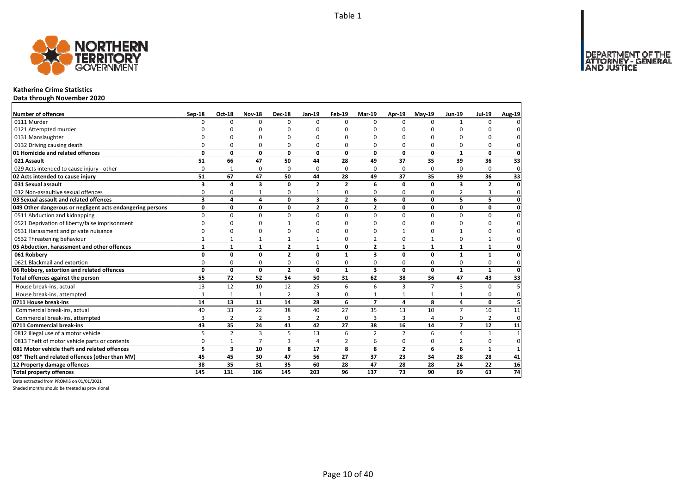DEPARTMENT OF THE<br>ATTORNEY - GENERAL



### **Katherine Crime Statistics**

**Data through November 2020**

| Number of offences                                        | Sep-18                  | <b>Oct-18</b>  | <b>Nov-18</b>  | <b>Dec-18</b>  | Jan-19                  | Feb-19         | Mar-19                  | Apr-19         | $May-19$       | <b>Jun-19</b>  | <b>Jul-19</b>  | Aug-19         |
|-----------------------------------------------------------|-------------------------|----------------|----------------|----------------|-------------------------|----------------|-------------------------|----------------|----------------|----------------|----------------|----------------|
| 0111 Murder                                               | $\Omega$                | 0              | $\Omega$       | $\Omega$       | $\Omega$                | $\Omega$       | $\Omega$                | $\Omega$       | $\Omega$       | $\mathbf{1}$   | $\Omega$       |                |
| 0121 Attempted murder                                     |                         | n              | n              | n              |                         | n              | n                       | n              | n              |                |                |                |
| 0131 Manslaughter                                         |                         | O              | O              | $\Omega$       |                         | $\Omega$       | O                       | O              | $\Omega$       |                | O              |                |
| 0132 Driving causing death                                | $\Omega$                | 0              | 0              | $\Omega$       | $\Omega$                | $\Omega$       | 0                       | O              | $\Omega$       |                | $\Omega$       |                |
| 01 Homicide and related offences                          | 0                       | 0              | 0              | $\mathbf{0}$   | 0                       | 0              | 0                       | 0              | $\mathbf 0$    | $\mathbf{1}$   | 0              | $\mathbf{0}$   |
| 021 Assault                                               | 51                      | 66             | 47             | 50             | 44                      | 28             | 49                      | 37             | 35             | 39             | 36             | 33             |
| 029 Acts intended to cause injury - other                 | $\Omega$                | $\mathbf{1}$   | 0              | $\Omega$       | $\Omega$                | $\Omega$       | 0                       | $\Omega$       | $\Omega$       | $\Omega$       | $\Omega$       | $\mathbf{0}$   |
| 02 Acts intended to cause injury                          | 51                      | 67             | 47             | 50             | 44                      | 28             | 49                      | 37             | 35             | 39             | 36             | 33             |
| 031 Sexual assault                                        | 3                       | 4              | 3              | $\mathbf 0$    | $\overline{2}$          | $\overline{2}$ | 6                       | 0              | 0              | 3              | $\overline{2}$ | $\mathbf{0}$   |
| 032 Non-assaultive sexual offences                        | 0                       | 0              | $\mathbf{1}$   | 0              |                         | 0              | 0                       | 0              | 0              | 2              | 3              | $\mathbf{0}$   |
| 03 Sexual assault and related offences                    | $\overline{\mathbf{3}}$ | 4              | 4              | $\Omega$       | $\overline{\mathbf{3}}$ | $\overline{2}$ | 6                       | $\mathbf{0}$   | $\Omega$       | 5              | 5              | $\mathbf{0}$   |
| 049 Other dangerous or negligent acts endangering persons | 0                       | 0              | 0              | $\mathbf 0$    | $\mathbf{2}$            | 0              | $\overline{2}$          | 0              | 0              | 0              | 0              | $\mathbf 0$    |
| 0511 Abduction and kidnapping                             | $\Omega$                | 0              | 0              | $\mathbf 0$    | $\Omega$                | $\Omega$       | $\Omega$                | $\Omega$       | $\Omega$       | $\Omega$       | $\Omega$       | $\Omega$       |
| 0521 Deprivation of liberty/false imprisonment            | O                       | <sup>0</sup>   | 0              | 1              |                         | O              | <sup>0</sup>            | ŋ              | $\Omega$       | O              | O              | $\Omega$       |
| 0531 Harassment and private nuisance                      | O                       | 0              | O              | $\Omega$       |                         | $\Omega$       | ŋ                       |                | $\Omega$       |                | O              | <sup>0</sup>   |
| 0532 Threatening behaviour                                | $\mathbf{1}$            | $\mathbf{1}$   | $\mathbf{1}$   | $\mathbf{1}$   |                         | $\Omega$       | 2                       | 0              | $\mathbf{1}$   | 0              | $\mathbf{1}$   | 0              |
| 05 Abduction, harassment and other offences               | $\mathbf{1}$            | $\mathbf{1}$   | $\mathbf{1}$   | $\overline{2}$ | $\mathbf{1}$            | $\mathbf{0}$   | $\overline{2}$          | $\mathbf{1}$   | $\mathbf{1}$   | $\mathbf{1}$   | $\mathbf{1}$   | 0              |
| 061 Robbery                                               | 0                       | $\mathbf{0}$   | $\mathbf{0}$   | $\overline{2}$ | $\Omega$                | 1              | 3                       | $\mathbf{0}$   | $\mathbf{0}$   | $\mathbf{1}$   | $\mathbf{1}$   | $\mathbf{0}$   |
| 0621 Blackmail and extortion                              | 0                       | 0              | 0              | 0              | 0                       | 0              | 0                       | 0              | 0              | 0              | 0              | $\mathbf{0}$   |
| 06 Robbery, extortion and related offences                | $\mathbf{0}$            | $\mathbf 0$    | $\mathbf 0$    | $\overline{2}$ | 0                       | $\mathbf{1}$   | $\overline{\mathbf{3}}$ | $\mathbf{0}$   | $\mathbf 0$    | $\mathbf{1}$   | $\mathbf{1}$   | $\mathbf 0$    |
| Total offences against the person                         | 55                      | 72             | 52             | 54             | 50                      | 31             | 62                      | 38             | 36             | 47             | 43             | 33             |
| House break-ins, actual                                   | 13                      | 12             | 10             | 12             | 25                      | 6              | 6                       | 3              | $\overline{7}$ | 3              | $\Omega$       |                |
| House break-ins, attempted                                | $\mathbf{1}$            | $\mathbf{1}$   | 1              | $\overline{2}$ | 3                       | 0              | $\mathbf{1}$            |                | $\mathbf{1}$   |                | $\Omega$       | $\Omega$       |
| 0711 House break-ins                                      | 14                      | 13             | 11             | 14             | 28                      | 6              | $\overline{7}$          | 4              | 8              | 4              | $\mathbf{0}$   |                |
| Commercial break-ins, actual                              | 40                      | 33             | 22             | 38             | 40                      | 27             | 35                      | 13             | 10             | $\overline{7}$ | 10             | 11             |
| Commercial break-ins, attempted                           | 3                       | $\overline{2}$ | $\overline{2}$ | 3              | 2                       | $\Omega$       | 3                       | 3              | 4              | $\Omega$       | $\overline{2}$ | $\mathbf{0}$   |
| 0711 Commercial break-ins                                 | 43                      | 35             | 24             | 41             | 42                      | 27             | 38                      | 16             | 14             | $\overline{ }$ | 12             | 11             |
| 0812 Illegal use of a motor vehicle                       | 5                       | $\overline{2}$ | 3              | 5              | 13                      | 6              | $\overline{2}$          | $\overline{2}$ | 6              | $\overline{4}$ | $\mathbf{1}$   | $\overline{1}$ |
| 0813 Theft of motor vehicle parts or contents             | 0                       | $\mathbf{1}$   | $\overline{7}$ | $\overline{3}$ | 4                       | $\overline{2}$ | 6                       | 0              | 0              | 2              | 0              | $\mathbf{0}$   |
| 081 Motor vehicle theft and related offences              | 5                       | 3              | 10             | 8              | 17                      | 8              | 8                       | $\overline{2}$ | 6              | 6              | $\mathbf{1}$   | $\mathbf{1}$   |
| 08* Theft and related offences (other than MV)            | 45                      | 45             | 30             | 47             | 56                      | 27             | 37                      | 23             | 34             | 28             | 28             | 41             |
| 12 Property damage offences                               | 38                      | 35             | 31             | 35             | 60                      | 28             | 47                      | 28             | 28             | 24             | 22             | 16             |
| <b>Total property offences</b>                            | 145                     | 131            | 106            | 145            | 203                     | 96             | 137                     | 73             | 90             | 69             | 63             | 74             |

Data extracted from PROMIS on 01/01/2021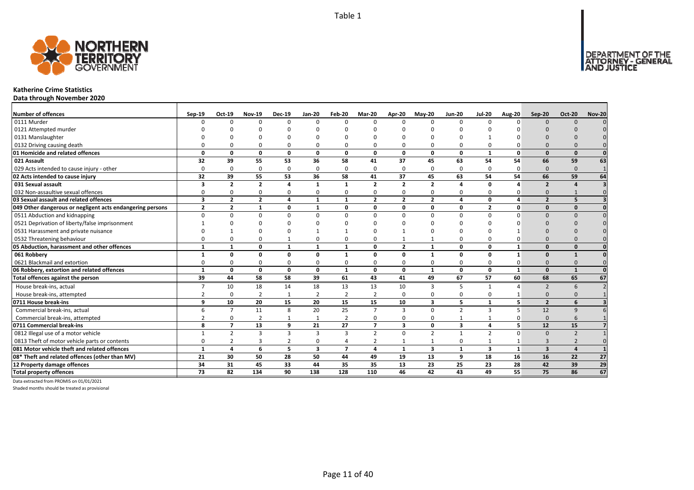

### **Katherine Crime Statistics**

**Data through November 2020**

| <b>Number of offences</b>                                 | $Sep-19$                | Oct-19         | <b>Nov-19</b>  | <b>Dec-19</b>  | <b>Jan-20</b>  | Feb-20                   | Mar-20         | Apr-20         | $May-20$                | <b>Jun-20</b>  | <b>Jul-20</b>           | <b>Aug-20</b>  | Sep-20                   | <b>Oct-20</b>            | <b>Nov-20</b> |
|-----------------------------------------------------------|-------------------------|----------------|----------------|----------------|----------------|--------------------------|----------------|----------------|-------------------------|----------------|-------------------------|----------------|--------------------------|--------------------------|---------------|
| 0111 Murder                                               |                         | <sup>n</sup>   | $\Omega$       | $\Omega$       | $\Omega$       | n                        | $\Omega$       | $\Omega$       | $\Omega$                | $\Omega$       | $\Omega$                | n              | $\Omega$                 | $\Omega$                 |               |
| 0121 Attempted murder                                     |                         |                |                |                |                |                          |                |                |                         |                |                         |                |                          |                          |               |
| 0131 Manslaughter                                         |                         |                |                |                |                |                          |                |                |                         |                |                         |                |                          |                          |               |
| 0132 Driving causing death                                |                         |                | $\Omega$       | 0              | 0              |                          |                | O              | $\Omega$                | 0              |                         |                |                          |                          |               |
| 01 Homicide and related offences                          | $\Omega$                | n              | $\Omega$       | $\mathbf{0}$   | $\mathbf{0}$   | $\Omega$                 | $\Omega$       | $\Omega$       | $\Omega$                | $\mathbf{0}$   | -1                      | $\Omega$       | $\Omega$                 | $\Omega$                 |               |
| 021 Assault                                               | 32                      | 39             | 55             | 53             | 36             | 58                       | 41             | 37             | 45                      | 63             | 54                      | 54             | 66                       | 59                       | 63            |
| 029 Acts intended to cause injury - other                 | $\Omega$                | $\Omega$       | $\Omega$       | $\mathbf 0$    | 0              | n                        | $\Omega$       | $\Omega$       | $\Omega$                | 0              | $\Omega$                | 0              | $\Omega$                 | $\Omega$                 |               |
| 02 Acts intended to cause injury                          | 32                      | 39             | 55             | 53             | 36             | 58                       | 41             | 37             | 45                      | 63             | 54                      | 54             | 66                       | 59                       | 64            |
| 031 Sexual assault                                        | 3                       | $\overline{2}$ | $\overline{2}$ | $\overline{a}$ | $\mathbf{1}$   | $\mathbf{1}$             | $\overline{2}$ | $\overline{2}$ | $\overline{2}$          | 4              | $\Omega$                |                | $\overline{2}$           |                          |               |
| 032 Non-assaultive sexual offences                        | $\Omega$                | O              | $\Omega$       | $\Omega$       | 0              | O                        | 0              | $\Omega$       | $\Omega$                | 0              | $\Omega$                |                | $\Omega$                 |                          |               |
| 03 Sexual assault and related offences                    | $\overline{\mathbf{3}}$ | $\mathbf{2}$   | $\overline{2}$ | $\overline{4}$ | $\mathbf{1}$   | $\mathbf{1}$             | $\overline{2}$ | $\overline{2}$ | $\overline{2}$          | 4              | 0                       | 4              | $\overline{2}$           | 5                        |               |
| 049 Other dangerous or negligent acts endangering persons | $\overline{2}$          | $\overline{2}$ | 1              | $\mathbf{0}$   | 1              | $\Omega$                 | 0              | 0              | $\mathbf{0}$            | 0              | $\overline{2}$          | $\mathbf{0}$   | $\Omega$                 | $\mathbf{0}$             |               |
| 0511 Abduction and kidnapping                             | $\Omega$                | U              | $\Omega$       | $\Omega$       | $\Omega$       | U                        | $\Omega$       | $\Omega$       | $\Omega$                | $\Omega$       | $\Omega$                |                | $\Omega$                 | $\Omega$                 |               |
| 0521 Deprivation of liberty/false imprisonment            |                         |                |                |                |                |                          |                |                |                         |                |                         |                |                          |                          |               |
| 0531 Harassment and private nuisance                      |                         |                |                |                |                |                          |                |                |                         |                |                         |                |                          |                          |               |
| 0532 Threatening behaviour                                |                         |                | $\Omega$       |                | 0              |                          |                |                |                         | 0              |                         |                |                          |                          |               |
| 05 Abduction, harassment and other offences               | $\mathbf{1}$            | 1              | 0              | $\mathbf{1}$   | $\mathbf{1}$   | $\mathbf{1}$             | $\Omega$       | $\overline{2}$ | $\mathbf{1}$            | 0              | $\Omega$                |                | $\Omega$                 | $\Omega$                 |               |
| 061 Robbery                                               |                         | O              | $\Omega$       | $\Omega$       | 0              |                          | O              | O              | $\mathbf{1}$            | 0              | $\Omega$                |                | $\Omega$                 |                          |               |
| 0621 Blackmail and extortion                              |                         |                | $\Omega$       | 0              | 0              |                          | 0              | $\Omega$       | $\Omega$                | 0              |                         |                | $\Omega$                 |                          |               |
| 06 Robbery, extortion and related offences                | $\mathbf{1}$            | 0              | 0              | $\mathbf 0$    | 0              | $\mathbf{1}$             | 0              | 0              | $\mathbf{1}$            | 0              | 0                       | $\mathbf{1}$   | $\Omega$                 | $\mathbf{1}$             |               |
| Total offences against the person                         | 39                      | 44             | 58             | 58             | 39             | 61                       | 43             | 41             | 49                      | 67             | 57                      | 60             | 68                       | 65                       | 67            |
| House break-ins, actual                                   |                         | 10             | 18             | 14             | 18             | 13                       | 13             | 10             | 3                       | 5              |                         |                | $\overline{\phantom{0}}$ | 6                        |               |
| House break-ins, attempted                                |                         | $\Omega$       | $\overline{2}$ | 1              | $\overline{2}$ | $\overline{2}$           | $\overline{2}$ | $\Omega$       | 0                       | 0              | $\Omega$                |                | $\Omega$                 |                          |               |
| 0711 House break-ins                                      | q                       | 10             | 20             | 15             | 20             | 15                       | 15             | 10             | $\overline{\mathbf{3}}$ | 5              |                         | 5              | $\overline{2}$           | 6                        |               |
| Commercial break-ins, actual                              |                         | $\overline{7}$ | 11             | 8              | 20             | 25                       | $\overline{7}$ | 3              | $\Omega$                | $\overline{2}$ | 3                       |                | 12                       | q                        |               |
| Commercial break-ins, attempted                           |                         | 0              | 2              | $\mathbf{1}$   | 1              | 2                        | 0              | 0              | $\Omega$                | $\mathbf{1}$   |                         |                | $\Omega$                 | 6                        |               |
| 0711 Commercial break-ins                                 | 8                       | $\overline{ }$ | 13             | 9              | 21             | 27                       | $\overline{7}$ | 3              | $\mathbf{0}$            | 3              | 4                       | 5 <sup>1</sup> | 12                       | 15                       |               |
| 0812 Illegal use of a motor vehicle                       |                         | $\mathfrak z$  | 3              | $\mathbf{3}$   | 3              | $\mathbf{3}$             | $\mathcal{P}$  | $\Omega$       | $\overline{2}$          | $\overline{1}$ | $\overline{2}$          | $\Omega$       | $\Omega$                 | $\overline{\phantom{0}}$ |               |
| 0813 Theft of motor vehicle parts or contents             | ۵                       |                | 3              | $\overline{2}$ | 0              | 4                        |                |                | 1                       | 0              |                         |                | $\overline{3}$           |                          |               |
| 081 Motor vehicle theft and related offences              | $\mathbf{1}$            | 4              | 6              | 5              | 3              | $\overline{\phantom{a}}$ | Δ              | $\mathbf{1}$   | $\overline{\mathbf{3}}$ | $\mathbf{1}$   | $\overline{\mathbf{3}}$ | $\mathbf{1}$   | $\overline{3}$           |                          |               |
| 08* Theft and related offences (other than MV)            | 21                      | 30             | 50             | 28             | 50             | 44                       | 49             | 19             | 13                      | 9              | 18                      | 16             | 16                       | 22                       | 27            |
| 12 Property damage offences                               | 34                      | 31             | 45             | 33             | 44             | 35                       | 35             | 13             | 23                      | 25             | 23                      | 28             | 42                       | 39                       | 29            |
| <b>Total property offences</b>                            | 73                      | 82             | 134            | 90             | 138            | 128                      | 110            | 46             | 42                      | 43             | 49                      | 55             | 75                       | 86                       | 67            |

Data extracted from PROMIS on 01/01/2021

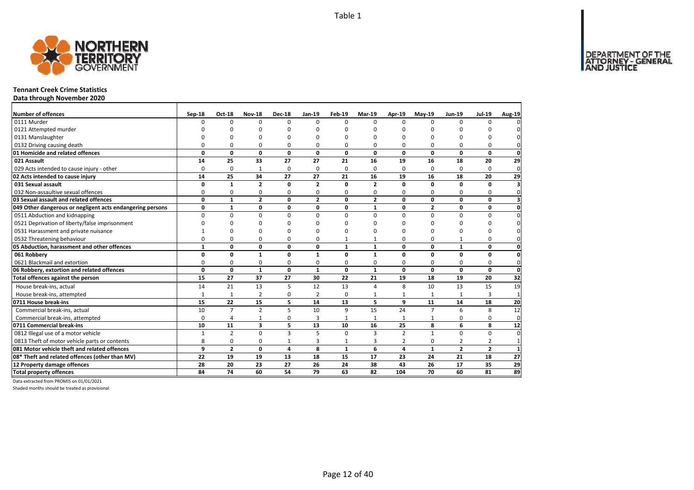

### **Tennant Creek Crime Statistics**

**Data through November 2020**

| Number of offences                                        | Sep-18       | <b>Oct-18</b>  | <b>Nov-18</b>  | <b>Dec-18</b>  | Jan-19         | Feb-19       | Mar-19                  | Apr-19         | $Mav-19$       | Jun-19         | <b>Jul-19</b>  | <b>Aug-19</b>           |
|-----------------------------------------------------------|--------------|----------------|----------------|----------------|----------------|--------------|-------------------------|----------------|----------------|----------------|----------------|-------------------------|
| 0111 Murder                                               | $\Omega$     | 0              | $\Omega$       | $\Omega$       | $\Omega$       | $\Omega$     | $\Omega$                | $\Omega$       | $\Omega$       | $\Omega$       | 0              |                         |
| 0121 Attempted murder                                     | ŋ            | n              | ŋ              | ∩              | ŋ              | ŋ            | O                       |                | ŋ              | U              | n              |                         |
| 0131 Manslaughter                                         |              |                | n              | C              |                | U            | $\Omega$                | n              | $\Omega$       | U              | O              |                         |
| 0132 Driving causing death                                | $\Omega$     | 0              | 0              | $\Omega$       | 0              | 0            | $\Omega$                | 0              | $\Omega$       | $\Omega$       | 0              |                         |
| 01 Homicide and related offences                          | 0            | $\mathbf 0$    | $\mathbf 0$    | $\mathbf 0$    | 0              | 0            | $\mathbf{0}$            | $\mathbf 0$    | $\mathbf{0}$   | $\mathbf{0}$   | $\mathbf{0}$   | $\mathbf 0$             |
| 021 Assault                                               | 14           | 25             | 33             | 27             | 27             | 21           | 16                      | 19             | 16             | 18             | 20             | 29                      |
| 029 Acts intended to cause injury - other                 | $\Omega$     | 0              | 1              | $\mathbf 0$    | $\Omega$       | 0            | $\Omega$                | $\Omega$       | $\Omega$       | $\Omega$       | 0              | $\mathbf 0$             |
| 02 Acts intended to cause injury                          | 14           | 25             | 34             | 27             | 27             | 21           | 16                      | 19             | 16             | 18             | 20             | 29                      |
| 031 Sexual assault                                        | 0            | $\mathbf{1}$   | $\overline{2}$ | $\mathbf 0$    | $\overline{2}$ | $\Omega$     | $\overline{\mathbf{z}}$ | $\Omega$       | $\Omega$       | $\Omega$       | 0              | $\overline{\mathbf{3}}$ |
| 032 Non-assaultive sexual offences                        | 0            | 0              | 0              | $\mathbf 0$    | 0              | 0            | $\mathbf 0$             | 0              | $\Omega$       | $\Omega$       | 0              | $\Omega$                |
| 03 Sexual assault and related offences                    | 0            | $\mathbf{1}$   | $\overline{2}$ | $\mathbf 0$    | $\overline{2}$ | 0            | $\overline{2}$          | 0              | 0              | 0              | 0              |                         |
| 049 Other dangerous or negligent acts endangering persons | 0            | $\mathbf{1}$   | 0              | $\mathbf 0$    | 0              | 0            | $\mathbf{1}$            | $\mathbf 0$    | $\overline{2}$ | 0              | 0              | $\mathbf 0$             |
| 0511 Abduction and kidnapping                             | $\Omega$     | $\Omega$       | $\Omega$       | $\Omega$       | $\Omega$       | $\Omega$     | $\Omega$                | $\Omega$       | $\Omega$       | $\Omega$       | $\Omega$       | $\Omega$                |
| 0521 Deprivation of liberty/false imprisonment            | U            | ŋ              | ŋ              | n              | n              | n            | n                       | n              | ŋ              | O              | ŋ              |                         |
| 0531 Harassment and private nuisance                      |              | $\Omega$       | $\Omega$       | $\Omega$       | ŋ              | ŋ            | $\Omega$                | n              | $\Omega$       | $\Omega$       | O              |                         |
| 0532 Threatening behaviour                                | 0            | 0              | 0              | $\Omega$       | 0              |              | $\mathbf{1}$            | $\Omega$       | $\Omega$       | $\mathbf{1}$   | 0              |                         |
| 05 Abduction, harassment and other offences               | $\mathbf{1}$ | 0              | 0              | $\mathbf 0$    | 0              | $\mathbf{1}$ | $\mathbf{1}$            | 0              | $\mathbf 0$    | $\mathbf{1}$   | 0              | 0                       |
| 061 Robbery                                               | 0            | 0              | $\mathbf{1}$   | $\mathbf 0$    | 1              | 0            | $\mathbf{1}$            | 0              | 0              | 0              | 0              | 0                       |
| 0621 Blackmail and extortion                              | 0            | 0              | 0              | $\Omega$       | $\Omega$       | 0            | 0                       | $\Omega$       | $\Omega$       | $\Omega$       | 0              | $\mathbf 0$             |
| 06 Robbery, extortion and related offences                | $\mathbf{0}$ | 0              | $\mathbf{1}$   | $\mathbf 0$    | $\mathbf{1}$   | 0            | $\mathbf{1}$            | 0              | 0              | 0              | 0              | $\mathbf 0$             |
| Total offences against the person                         | 15           | 27             | 37             | 27             | 30             | 22           | 21                      | 19             | 18             | 19             | 20             | 32                      |
| House break-ins, actual                                   | 14           | 21             | 13             | 5              | 12             | 13           | 4                       | 8              | 10             | 13             | 15             | 19                      |
| House break-ins, attempted                                | $\mathbf{1}$ | $\mathbf{1}$   | $\overline{2}$ | 0              | $\overline{2}$ | 0            | $\mathbf{1}$            | 1              | $\mathbf{1}$   | $\mathbf{1}$   | 3              | $\mathbf{1}$            |
| 0711 House break-ins                                      | 15           | 22             | 15             | 5              | 14             | 13           | 5                       | 9              | 11             | 14             | 18             | 20                      |
| Commercial break-ins, actual                              | 10           | $\overline{7}$ | $\overline{2}$ | 5              | 10             | 9            | 15                      | 24             | $\overline{7}$ | 6              | 8              | $\overline{12}$         |
| Commercial break-ins, attempted                           | 0            | 4              | $\mathbf{1}$   | 0              | 3              | $\mathbf{1}$ | 1                       | 1              | 1              | 0              | 0              | $\mathbf 0$             |
| 0711 Commercial break-ins                                 | 10           | 11             | 3              | 5              | 13             | 10           | 16                      | 25             | 8              | 6              | 8              | 12                      |
| 0812 Illegal use of a motor vehicle                       | $\mathbf{1}$ | $\overline{2}$ | 0              | $\overline{3}$ | 5              | $\Omega$     | $\overline{\mathbf{a}}$ | $\overline{2}$ | $\mathbf{1}$   | $\Omega$       | 0              | $\Omega$                |
| 0813 Theft of motor vehicle parts or contents             | 8            | 0              | 0              | $\mathbf{1}$   | 3              | 1            | 3                       | 2              | 0              | 2              | $\overline{2}$ | $\mathbf{1}$            |
| 081 Motor vehicle theft and related offences              | 9            | $\overline{2}$ | $\mathbf{0}$   | 4              | 8              | $\mathbf{1}$ | 6                       | 4              | $\mathbf{1}$   | $\overline{2}$ | $\overline{2}$ | 1                       |
| 08* Theft and related offences (other than MV)            | 22           | 19             | 19             | 13             | 18             | 15           | 17                      | 23             | 24             | 21             | 18             | 27                      |
| 12 Property damage offences                               | 28           | 20             | 23             | 27             | 26             | 24           | 38                      | 43             | 26             | 17             | 35             | $\overline{29}$         |
| <b>Total property offences</b>                            | 84           | 74             | 60             | 54             | 79             | 63           | 82                      | 104            | 70             | 60             | 81             | 89                      |

Data extracted from PROMIS on 01/01/2021

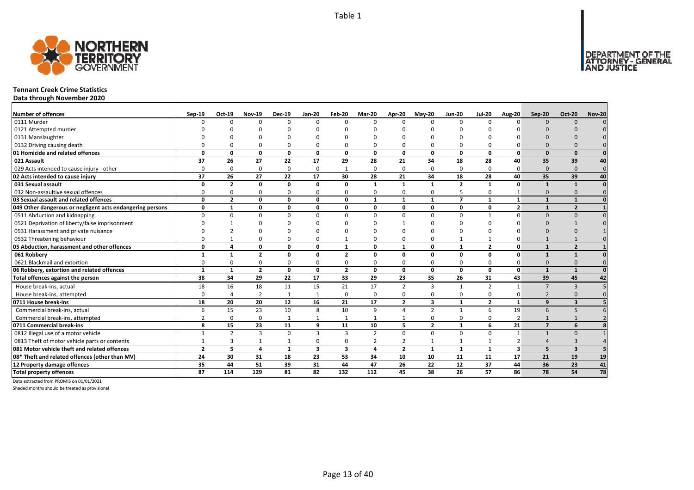

### **Tennant Creek Crime Statistics**

**Data through November 2020**

| <b>Number of offences</b>                                 | $Sep-19$       | Oct-19                   | <b>Nov-19</b>           | <b>Dec-19</b> | $Jan-20$        | Feb-20                  | Mar-20         | Apr-20         | $May-20$       | <b>Jun-20</b>   | <b>Jul-20</b>  | <b>Aug-20</b>           | <b>Sep-20</b>            | <b>Oct-20</b>           | <b>Nov-20</b>   |
|-----------------------------------------------------------|----------------|--------------------------|-------------------------|---------------|-----------------|-------------------------|----------------|----------------|----------------|-----------------|----------------|-------------------------|--------------------------|-------------------------|-----------------|
| 0111 Murder                                               |                | ŋ                        | 0                       | $\Omega$      | 0               | $\Omega$                | $\Omega$       | $\Omega$       | $\Omega$       | $\Omega$        | <sup>0</sup>   | $\Omega$                | $\Omega$                 | $\Omega$                |                 |
| 0121 Attempted murder                                     |                |                          |                         |               |                 |                         |                |                |                |                 |                |                         |                          |                         |                 |
| 0131 Manslaughter                                         |                |                          |                         |               |                 |                         |                |                |                |                 |                |                         |                          |                         |                 |
| 0132 Driving causing death                                |                |                          | $\Omega$                | 0             | 0               |                         |                | <sup>n</sup>   |                | $\Omega$        |                |                         |                          |                         |                 |
| 01 Homicide and related offences                          | $\Omega$       | U                        | 0                       | $\mathbf{0}$  | $\mathbf{0}$    | $\Omega$                | $\Omega$       | <sup>0</sup>   | $\Omega$       | 0               | $\Omega$       | $\Omega$                | $\Omega$                 | $\Omega$                |                 |
| 021 Assault                                               | 37             | 26                       | 27                      | 22            | 17              | 29                      | 28             | 21             | 34             | 18              | 28             | 40                      | 35                       | 39                      | 40              |
| 029 Acts intended to cause injury - other                 |                | $\Omega$                 | 0                       | $\mathbf 0$   | 0               |                         | $\Omega$       | $\Omega$       | $\Omega$       | $\mathbf 0$     | $\Omega$       | $\Omega$                | $\Omega$                 | $\Omega$                | $\Omega$        |
| 02 Acts intended to cause injury                          | 37             | 26                       | 27                      | 22            | 17              | 30                      | 28             | 21             | 34             | 18              | 28             | 40                      | 35                       | 39                      | 40              |
| 031 Sexual assault                                        | $\Omega$       | $\overline{2}$           | 0                       | $\mathbf{0}$  | 0               | $\Omega$                | $\mathbf{1}$   | $\mathbf{1}$   | $\mathbf{1}$   | $\overline{2}$  | $\mathbf{1}$   | $\Omega$                |                          | $\mathbf{1}$            |                 |
| 032 Non-assaultive sexual offences                        |                | ŋ                        | $\Omega$                | $\Omega$      | 0               | $\Omega$                | 0              | $\Omega$       | $\Omega$       | 5               | $\Omega$       |                         | $\Omega$                 |                         |                 |
| 03 Sexual assault and related offences                    | $\Omega$       | $\overline{2}$           | 0                       | $\mathbf 0$   | 0               | 0                       | 1              | $\mathbf{1}$   | $\mathbf{1}$   | $\overline{7}$  | $\mathbf{1}$   | 1                       | $\mathbf{1}$             | $\mathbf{1}$            |                 |
| 049 Other dangerous or negligent acts endangering persons | 0              | $\mathbf{1}$             | 0                       | $\mathbf{0}$  | 0               | $\Omega$                | 0              | 0              | 0              | 0               | 0              | $\overline{2}$          |                          | $\overline{\mathbf{z}}$ |                 |
| 0511 Abduction and kidnapping                             |                | O                        | $\Omega$                | $\Omega$      | $\Omega$        | $\Omega$                | $\Omega$       | $\Omega$       | $\Omega$       | $\Omega$        | -1             | $\Omega$                | $\Omega$                 | $\Omega$                |                 |
| 0521 Deprivation of liberty/false imprisonment            |                |                          | U                       |               |                 |                         |                |                |                |                 |                |                         |                          |                         |                 |
| 0531 Harassment and private nuisance                      |                |                          | n                       |               |                 |                         |                |                |                |                 |                |                         |                          |                         |                 |
| 0532 Threatening behaviour                                |                |                          | U                       | 0             | 0               |                         |                | n              |                | -1              |                |                         |                          |                         |                 |
| 05 Abduction, harassment and other offences               | $\Omega$       |                          | 0                       | 0             | 0               | $\mathbf{1}$            | O              | $\mathbf{1}$   | 0              | $\mathbf{1}$    | $\overline{2}$ | O                       | $\mathbf{1}$             | $\overline{\mathbf{z}}$ |                 |
| 061 Robbery                                               |                |                          | $\overline{\mathbf{z}}$ | 0             | 0               | $\overline{\mathbf{z}}$ | O              | O              | $\Omega$       | 0               | $\Omega$       | O                       |                          | $\mathbf{1}$            |                 |
| 0621 Blackmail and extortion                              |                |                          | $\Omega$                | $\Omega$      | 0               |                         | 0              | $\Omega$       | $\Omega$       | 0               |                |                         |                          |                         |                 |
| 06 Robbery, extortion and related offences                | $\mathbf{1}$   | $\mathbf{1}$             | $\mathbf{2}$            | $\mathbf 0$   | 0               | $\overline{2}$          | 0              | 0              | 0              | 0               | 0              | $\Omega$                |                          | $\mathbf{1}$            |                 |
| Total offences against the person                         | 38             | 34                       | 29                      | 22            | 17              | 33                      | 29             | 23             | 35             | 26              | 31             | 43                      | 39                       | 45                      | 42              |
| House break-ins, actual                                   | 18             | 16                       | 18                      | 11            | 15              | 21                      | 17             | $\mathcal{P}$  | $\overline{3}$ | $\mathbf{1}$    | $\mathcal{P}$  | $\mathbf{1}$            | $\overline{7}$           | $\mathbf{3}$            |                 |
| House break-ins, attempted                                |                |                          | $\overline{2}$          | $\mathbf{1}$  | $\mathbf{1}$    | $\Omega$                | $\mathbf 0$    | $\Omega$       | $\Omega$       | 0               | $\Omega$       | $\Omega$                | $\overline{\phantom{0}}$ |                         |                 |
| 0711 House break-ins                                      | 18             | 20                       | 20                      | 12            | 16              | 21                      | 17             | $\overline{2}$ | 3              | $\mathbf{1}$    | $\mathbf{2}$   | $\mathbf{1}$            | 9                        | 3                       |                 |
| Commercial break-ins, actual                              |                | 15                       | 23                      | 10            | 8               | 10                      | 9              | $\Lambda$      | $\mathcal{P}$  | $\mathbf{1}$    | 6              | 19                      | 6                        | 5                       |                 |
| Commercial break-ins, attempted                           |                | 0                        | $\Omega$                | $\mathbf{1}$  | 1               |                         |                |                | $\Omega$       | 0               | 0              |                         |                          |                         |                 |
| 0711 Commercial break-ins                                 | 8              | 15                       | 23                      | 11            | 9               | 11                      | 10             | 5              | $\overline{2}$ | $\mathbf{1}$    | 6              | 21                      | $\overline{7}$           | 6                       |                 |
| 0812 Illegal use of a motor vehicle                       |                | $\overline{\phantom{a}}$ | $\overline{\mathbf{3}}$ | $\Omega$      | 3               | $\mathbf{3}$            | $\overline{z}$ | $\Omega$       | $\Omega$       | $\Omega$        | $\Omega$       | $\mathbf{1}$            |                          | $\Omega$                |                 |
| 0813 Theft of motor vehicle parts or contents             |                | 3                        |                         | 1             | 0               | $\Omega$                |                | $\overline{2}$ | $\mathbf{1}$   | 1               | 1              |                         |                          | 3                       |                 |
| 081 Motor vehicle theft and related offences              | $\overline{2}$ | 5                        | 4                       | $\mathbf{1}$  | 3               | $\overline{\mathbf{3}}$ | $\overline{a}$ | $\overline{2}$ | $\mathbf{1}$   | $\mathbf{1}$    | $\mathbf{1}$   | $\overline{\mathbf{3}}$ | 5                        | $\overline{\mathbf{3}}$ |                 |
| 08* Theft and related offences (other than MV)            | 24             | 30                       | 31                      | 18            | 23              | 53                      | 34             | 10             | 10             | 11              | 11             | 17                      | 21                       | 19                      | 19              |
| 12 Property damage offences                               | 35             | 44                       | 51                      | 39            | 31              | 44                      | 47             | 26             | 22             | 12              | 37             | 44                      | 36                       | 23                      | 41              |
| <b>Total property offences</b>                            | 87             | 114                      | 129                     | 81            | $\overline{82}$ | 132                     | 112            | 45             | 38             | $\overline{26}$ | 57             | 86                      | $\overline{78}$          | 54                      | $\overline{78}$ |

Data extracted from PROMIS on 01/01/2021

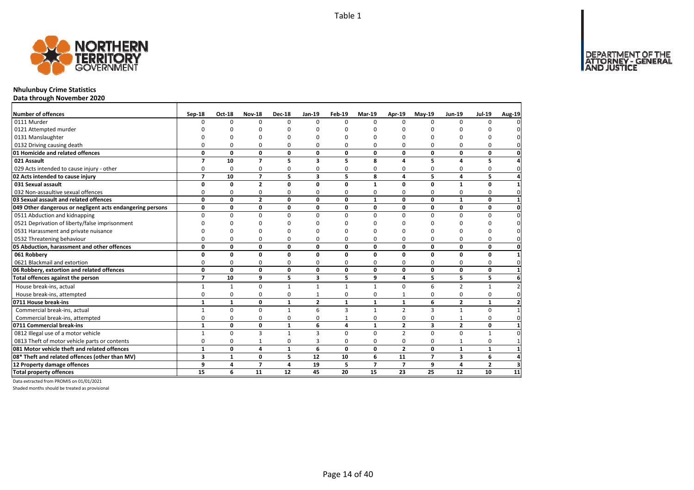

### **Nhulunbuy Crime Statistics**

**Data through November 2020**

| Number of offences                                        | Sep-18         | <b>Oct-18</b> | <b>Nov-18</b>  | <b>Dec-18</b>  | $Jan-19$       | Feb-19       | Mar-19         | Apr-19         | $May-19$       | <b>Jun-19</b>  | <b>Jul-19</b>  | Aug-19       |
|-----------------------------------------------------------|----------------|---------------|----------------|----------------|----------------|--------------|----------------|----------------|----------------|----------------|----------------|--------------|
| 0111 Murder                                               | <sup>0</sup>   | $\Omega$      | $\Omega$       | $\Omega$       | $\Omega$       | $\Omega$     | $\Omega$       | $\Omega$       | $\Omega$       | $\Omega$       | $\Omega$       |              |
| 0121 Attempted murder                                     |                | n             | n              | n              |                | n            |                | n              |                |                |                |              |
| 0131 Manslaughter                                         |                |               | n              | $\Omega$       |                | ŋ            |                | n              | O              |                |                |              |
| 0132 Driving causing death                                | $\Omega$       | 0             | 0              | $\Omega$       | $\Omega$       | $\Omega$     | 0              | O              | $\Omega$       |                | O              |              |
| 01 Homicide and related offences                          | 0              | 0             | $\mathbf 0$    | $\mathbf{0}$   | 0              | 0            | 0              | 0              | $\mathbf 0$    | 0              | 0              | $\mathbf{0}$ |
| 021 Assault                                               | $\overline{ }$ | 10            | $\overline{7}$ | 5              | 3              | 5            | 8              | 4              | 5              | 4              | 5              |              |
| 029 Acts intended to cause injury - other                 | 0              | 0             | 0              | 0              | $\Omega$       | 0            | 0              | O              | $\Omega$       | $\Omega$       | 0              | $\Omega$     |
| 02 Acts intended to cause injury                          | $\overline{ }$ | 10            | $\overline{7}$ | 5              | 3              | 5            | 8              | 4              | 5              | 4              | 5              |              |
| 031 Sexual assault                                        | O              | 0             | $\overline{2}$ | $\mathbf 0$    | n              | O            | $\mathbf{1}$   | 0              | $\mathbf 0$    | 1              | $\mathbf{0}$   |              |
| 032 Non-assaultive sexual offences                        | 0              | 0             | 0              | 0              | $\Omega$       | 0            | 0              | 0              | $\mathbf 0$    | 0              | 0              |              |
| 03 Sexual assault and related offences                    | $\mathbf{0}$   | $\mathbf{0}$  | $\overline{2}$ | $\Omega$       | $\Omega$       | $\Omega$     | $\mathbf{1}$   | $\mathbf{0}$   | $\Omega$       | $\mathbf{1}$   | $\mathbf 0$    |              |
| 049 Other dangerous or negligent acts endangering persons | 0              | 0             | $\mathbf 0$    | $\mathbf 0$    | 0              | 0            | 0              | 0              | 0              | 0              | 0              | 0            |
| 0511 Abduction and kidnapping                             | $\Omega$       | 0             | 0              | $\Omega$       | $\Omega$       | $\Omega$     | $\Omega$       | $\Omega$       | $\Omega$       | $\Omega$       | $\Omega$       | $\Omega$     |
| 0521 Deprivation of liberty/false imprisonment            | U              | ŋ             | n              |                |                | n            | n              | ŋ              | n              |                | n              |              |
| 0531 Harassment and private nuisance                      |                | ŋ             | ŋ              | n              |                | n            | n              | ŋ              | n              |                | ŋ              |              |
| 0532 Threatening behaviour                                | $\Omega$       | 0             | 0              | 0              | $\Omega$       | $\Omega$     | 0              | 0              | $\Omega$       | $\Omega$       | $\Omega$       | $\Omega$     |
| 05 Abduction, harassment and other offences               | 0              | 0             | 0              | $\mathbf 0$    | $\Omega$       | $\Omega$     | $\Omega$       | $\mathbf{0}$   | $\mathbf{0}$   | 0              | 0              | 0            |
| 061 Robbery                                               | 0              | $\mathbf{0}$  | $\mathbf{0}$   | $\mathbf 0$    | $\Omega$       | $\Omega$     | $\Omega$       | $\mathbf{0}$   | $\mathbf{0}$   | O              | 0              |              |
| 0621 Blackmail and extortion                              | 0              | 0             | 0              | 0              | 0              | 0            | 0              | 0              | $\Omega$       | 0              | $\Omega$       | O            |
| 06 Robbery, extortion and related offences                | $\mathbf{0}$   | $\mathbf{0}$  | $\mathbf{0}$   | $\mathbf 0$    | 0              | 0            | 0              | $\mathbf{0}$   | $\mathbf{0}$   | 0              | 0              |              |
| Total offences against the person                         | $\overline{7}$ | 10            | 9              | 5              | 3              | 5            | 9              | 4              | 5              | 5              | 5              | 6            |
| House break-ins, actual                                   | $\mathbf{1}$   | $\mathbf{1}$  | $\Omega$       | $\mathbf{1}$   | $\mathbf{1}$   | $\mathbf{1}$ | $\mathbf{1}$   | $\Omega$       | 6              | $\overline{2}$ | $\mathbf{1}$   |              |
| House break-ins, attempted                                | 0              | 0             | 0              | 0              |                | $\Omega$     | 0              |                | $\Omega$       | $\Omega$       | $\Omega$       |              |
| 0711 House break-ins                                      | $\mathbf{1}$   | $\mathbf{1}$  | $\mathbf 0$    | $\mathbf{1}$   | $\overline{2}$ | $\mathbf{1}$ | $\mathbf{1}$   | $\mathbf{1}$   | 6              | $\overline{2}$ | $\mathbf{1}$   |              |
| Commercial break-ins, actual                              | $\mathbf{1}$   | $\Omega$      | $\Omega$       | $\mathbf{1}$   | 6              | 3            | $\mathbf{1}$   | $\overline{2}$ | $\overline{3}$ | $\mathbf{1}$   | $\Omega$       |              |
| Commercial break-ins, attempted                           | $\Omega$       | 0             | 0              | 0              | 0              | 1            | 0              | $\Omega$       | $\mathbf 0$    | 1              | 0              | 0            |
| 0711 Commercial break-ins                                 | $\mathbf{1}$   | 0             | 0              | 1              | 6              | 4            | $\mathbf{1}$   | $\overline{2}$ | 3              | $\mathbf{2}$   | 0              |              |
| 0812 Illegal use of a motor vehicle                       | $\mathbf{1}$   | 0             | 3              | $\mathbf{1}$   | 3              | $\Omega$     | $\Omega$       | $\overline{2}$ | $\Omega$       | $\Omega$       | 1              |              |
| 0813 Theft of motor vehicle parts or contents             | 0              | 0             | $\mathbf{1}$   | $\mathbf 0$    | 3              | 0            | 0              | 0              | $\mathbf 0$    | 1              | 0              |              |
| 081 Motor vehicle theft and related offences              | $\mathbf{1}$   | 0             | 4              | $\mathbf{1}$   | 6              | $\Omega$     | 0              | $\overline{2}$ | $\mathbf{0}$   | $\mathbf{1}$   | $\mathbf{1}$   |              |
| 08* Theft and related offences (other than MV)            | 3              | $\mathbf{1}$  | 0              | 5              | 12             | 10           | 6              | 11             | $\overline{7}$ | 3              | 6              |              |
| 12 Property damage offences                               | 9              | 4             | $\overline{7}$ | $\overline{a}$ | 19             | 5            | $\overline{7}$ | $\overline{7}$ | 9              | 4              | $\overline{2}$ | з            |
| <b>Total property offences</b>                            | 15             | 6             | 11             | 12             | 45             | 20           | 15             | 23             | 25             | 12             | 10             | 11           |

Data extracted from PROMIS on 01/01/2021

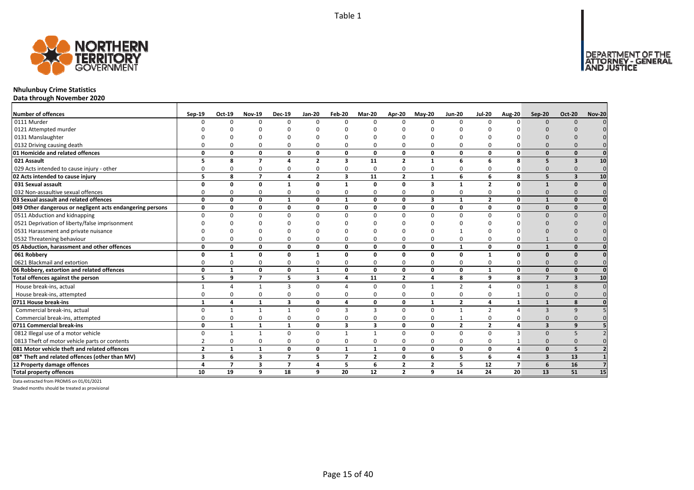

### **Nhulunbuy Crime Statistics**

**Data through November 2020**

| <b>Number of offences</b>                                 | Sep-19                  | Oct-19         | <b>Nov-19</b>           | <b>Dec-19</b>  | <b>Jan-20</b>  | Feb-20                   | Mar-20         | Apr-20         | $Mav-20$                | <b>Jun-20</b>   | <b>Jul-20</b>  | Aug-20         | Sep-20                  | <b>Oct-20</b>           | <b>Nov-20</b> |
|-----------------------------------------------------------|-------------------------|----------------|-------------------------|----------------|----------------|--------------------------|----------------|----------------|-------------------------|-----------------|----------------|----------------|-------------------------|-------------------------|---------------|
| 0111 Murder                                               |                         | n              | $\Omega$                | $\Omega$       | $\Omega$       | $\Omega$                 | <sup>n</sup>   | $\Omega$       | $\Omega$                | $\Omega$        | n              | n              | $\Omega$                | $\Omega$                |               |
| 0121 Attempted murder                                     |                         |                |                         |                |                |                          |                |                |                         |                 |                |                |                         |                         |               |
| 0131 Manslaughter                                         |                         |                |                         |                |                |                          |                |                |                         |                 |                |                |                         |                         |               |
| 0132 Driving causing death                                |                         |                |                         |                | $\Omega$       |                          |                |                | 0                       | $\Omega$        |                |                |                         |                         |               |
| 01 Homicide and related offences                          | $\Omega$                | 0              | $\Omega$                | $\mathbf{0}$   | 0              | $\Omega$                 | O              | $\Omega$       | $\mathbf{0}$            | 0               | $\Omega$       | O              |                         | $\Omega$                |               |
| 021 Assault                                               |                         | 8              | $\overline{7}$          | $\Delta$       | $\overline{2}$ | $\overline{\mathbf{3}}$  | 11             | $\overline{2}$ | $\mathbf{1}$            | 6               | 6              | 8              | 5                       | 3                       | 10            |
| 029 Acts intended to cause injury - other                 |                         |                | n                       | 0              | $\Omega$       | O                        | <sup>0</sup>   | $\Omega$       | $\Omega$                | $\Omega$        |                |                |                         |                         |               |
| 02 Acts intended to cause injury                          | 5                       | 8              | $\overline{ }$          | $\overline{4}$ | $\overline{2}$ | $\overline{\mathbf{3}}$  | 11             | $\overline{2}$ | $\mathbf{1}$            | 6               | 6              | 8              |                         | $\mathbf{3}$            | 10            |
| 031 Sexual assault                                        | n                       | O              | <sup>0</sup>            | $\mathbf{1}$   | 0              | $\mathbf{1}$             | O              | $\Omega$       | $\overline{\mathbf{3}}$ | $\mathbf{1}$    | $\overline{2}$ | n              |                         | $\Omega$                | $\Omega$      |
| 032 Non-assaultive sexual offences                        |                         |                | $\Omega$                | $\Omega$       | $\mathbf 0$    | $\Omega$                 | O              | $\Omega$       | $\Omega$                | 0               | 0              |                | $\Omega$                |                         |               |
| 03 Sexual assault and related offences                    | $\Omega$                | 0              | 0                       | 1              | 0              | $\mathbf{1}$             | 0              | 0              | $\overline{\mathbf{3}}$ | $\mathbf{1}$    | $\overline{2}$ | O              | $\mathbf{1}$            | $\Omega$                |               |
| 049 Other dangerous or negligent acts endangering persons | 0                       | 0              | 0                       | 0              | 0              | 0                        | 0              | 0              | $\mathbf{0}$            | 0               | $\Omega$       | O              | $\Omega$                | $\Omega$                |               |
| 0511 Abduction and kidnapping                             | $\Omega$                |                | $\Omega$                | $\Omega$       | $\Omega$       | $\Omega$                 |                | $\Omega$       | $\Omega$                | $\Omega$        | U              |                | $\Omega$                |                         |               |
| 0521 Deprivation of liberty/false imprisonment            |                         |                |                         |                |                |                          |                |                |                         |                 |                |                |                         |                         |               |
| 0531 Harassment and private nuisance                      |                         |                |                         |                |                |                          |                |                |                         |                 |                |                |                         |                         |               |
| 0532 Threatening behaviour                                |                         |                |                         | 0              | 0              |                          |                |                | 0                       | 0               |                |                |                         |                         |               |
| 05 Abduction, harassment and other offences               | $\Omega$                | 0              | $\Omega$                | $\mathbf{0}$   | 0              | 0                        | n              | $\Omega$       | $\mathbf{0}$            | $\mathbf{1}$    | $\Omega$       | O              |                         |                         |               |
| 061 Robbery                                               |                         |                | n                       | $\Omega$       | $\mathbf{1}$   | O                        | O              | $\Omega$       | $\Omega$                | 0               |                | O              | $\Omega$                |                         |               |
| 0621 Blackmail and extortion                              |                         |                | <sup>0</sup>            | 0              | 0              | 0                        |                | $\Omega$       | $\Omega$                | 0               |                |                |                         |                         |               |
| 06 Robbery, extortion and related offences                | 0                       | $\mathbf{1}$   | 0                       | $\mathbf 0$    | $\mathbf{1}$   | $\mathbf{0}$             | 0              | $\Omega$       | $\mathbf 0$             | 0               | $\mathbf{1}$   | O              | $\Omega$                | $\Omega$                |               |
| Total offences against the person                         | 5                       | 9              | $\overline{7}$          | 5              | 3              | 4                        | 11             | $\overline{2}$ | $\overline{4}$          | 8               | 9              | 8              | $\overline{7}$          | $\overline{\mathbf{3}}$ | 10            |
| House break-ins, actual                                   |                         | Δ              |                         | 3              | $\Omega$       |                          | <sup>0</sup>   | $\Omega$       | $\mathbf{1}$            | $\mathcal{P}$   |                |                |                         | -8                      |               |
| House break-ins, attempted                                | O                       | O              | $\Omega$                | 0              | $\mathbf 0$    | $\Omega$                 | O              | $\Omega$       | $\Omega$                | 0               | $\Omega$       |                | $\Omega$                |                         |               |
| 0711 House break-ins                                      |                         | Δ              |                         | $\mathbf{3}$   | 0              | 4                        | O              | 0              | $\mathbf{1}$            | $\overline{2}$  | 4              |                |                         | 8                       |               |
| Commercial break-ins, actual                              |                         |                |                         |                | $\Omega$       | з                        | 3              | $\Omega$       | $\Omega$                | $\mathbf{1}$    | $\overline{2}$ |                | $\mathbf{3}$            |                         |               |
| Commercial break-ins, attempted                           |                         |                |                         | $\Omega$       | 0              | 0                        |                |                | $\Omega$                | 1               | 0              |                | $\Omega$                |                         |               |
| 0711 Commercial break-ins                                 | $\Omega$                |                | 1                       | $\mathbf{1}$   | 0              | $\overline{\mathbf{3}}$  | 3              | 0              | $\mathbf{0}$            | $\mathbf{2}$    | $\overline{2}$ | Δ              | $\overline{\mathbf{3}}$ | $\alpha$                |               |
| 0812 Illegal use of a motor vehicle                       | $\Omega$                |                |                         | $\Omega$       | $\Omega$       | $\mathbf{1}$             |                | $\Omega$       | $\Omega$                | $\Omega$        | $\Omega$       |                | $\Omega$                |                         |               |
| 0813 Theft of motor vehicle parts or contents             |                         |                | $\Omega$                | $\Omega$       | 0              | $\Omega$                 | 0              | $\Omega$       | $\Omega$                | 0               | 0              |                | $\Omega$                |                         |               |
| 081 Motor vehicle theft and related offences              | $\overline{2}$          | $\mathbf{1}$   | 1                       | 0              | 0              | $\mathbf{1}$             | 1              | $\Omega$       | $\mathbf{0}$            | 0               | $\mathbf{0}$   |                | $\Omega$                | 5                       |               |
| 08* Theft and related offences (other than MV)            | $\overline{\mathbf{3}}$ | 6              | $\overline{\mathbf{3}}$ | $\overline{7}$ | 5              | $\overline{\phantom{a}}$ | $\overline{2}$ | 0              | 6                       | 5               | 6              | Δ              | $\overline{3}$          | 13                      |               |
| 12 Property damage offences                               | Δ                       | $\overline{7}$ | $\overline{\mathbf{3}}$ | $\overline{7}$ | 4              | 5                        | 6              | $\overline{2}$ | $\overline{2}$          | 5               | 12             | $\overline{7}$ | 6                       | 16                      |               |
| <b>Total property offences</b>                            | 10                      | 19             | 9                       | 18             | 9              | 20                       | 12             | $\overline{2}$ | 9                       | $\overline{14}$ | 24             | 20             | 13                      | 51                      | 15            |

Data extracted from PROMIS on 01/01/2021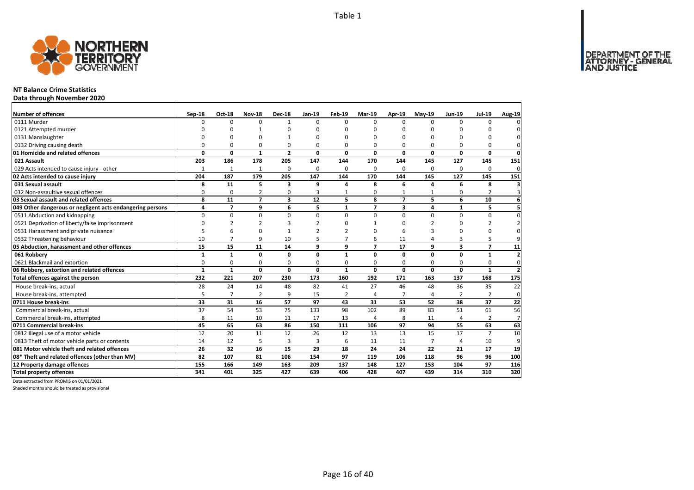DEPARTMENT OF THE<br>ATTORNEY - GENERAL



### **NT Balance Crime Statistics**

**Data through November 2020**

| <b>Number of offences</b>                                 | Sep-18       | <b>Oct-18</b>  | <b>Nov-18</b>  | <b>Dec-18</b>  | Jan-19        | Feb-19         | <b>Mar-19</b>  | Apr-19                   | <b>Mav-19</b>  | Jun-19                  | <b>Jul-19</b>  | <b>Aug-19</b>            |
|-----------------------------------------------------------|--------------|----------------|----------------|----------------|---------------|----------------|----------------|--------------------------|----------------|-------------------------|----------------|--------------------------|
| 0111 Murder                                               | $\Omega$     | $\Omega$       | $\Omega$       | $\mathbf{1}$   | $\Omega$      | 0              | $\Omega$       | $\Omega$                 | $\Omega$       | $\Omega$                | 0              | n                        |
| 0121 Attempted murder                                     | ŋ            | O              | 1              | $\Omega$       | 0             | 0              | $\Omega$       |                          | $\Omega$       | $\Omega$                | O              |                          |
| 0131 Manslaughter                                         | n            | C              | $\Omega$       | 1              | ŋ             | U              | ∩              | ŋ                        | $\Omega$       | U                       | O              | $\Omega$                 |
| 0132 Driving causing death                                | 0            | $\Omega$       | 0              | $\Omega$       | 0             | 0              | $\Omega$       | 0                        | $\Omega$       | $\Omega$                | 0              | $\Omega$                 |
| 01 Homicide and related offences                          | $\Omega$     | $\Omega$       | $\mathbf{1}$   | $\overline{2}$ | $\Omega$      | O              | $\Omega$       | $\Omega$                 | 0              | $\Omega$                | $\mathbf{0}$   | $\mathbf 0$              |
| 021 Assault                                               | 203          | 186            | 178            | 205            | 147           | 144            | 170            | 144                      | 145            | 127                     | 145            | 151                      |
| 029 Acts intended to cause injury - other                 | $\mathbf{1}$ | $\mathbf{1}$   | $\mathbf{1}$   | $\Omega$       | $\Omega$      | 0              | $\Omega$       | $\Omega$                 | $\Omega$       | $\Omega$                | 0              | $\mathbf 0$              |
| 02 Acts intended to cause injury                          | 204          | 187            | 179            | 205            | 147           | 144            | 170            | 144                      | 145            | 127                     | 145            | 151                      |
| 031 Sexual assault                                        | 8            | 11             | 5              | 3              | 9             | 4              | 8              | 6                        | 4              | 6                       | 8              | 3                        |
| 032 Non-assaultive sexual offences                        | 0            | 0              | $\overline{2}$ | 0              | 3             | $\mathbf{1}$   | $\mathbf 0$    | 1                        | $\mathbf{1}$   | 0                       | $\overline{2}$ | $\overline{3}$           |
| 03 Sexual assault and related offences                    | 8            | 11             | $\overline{7}$ | 3              | 12            | 5              | 8              | $\overline{\phantom{a}}$ | 5              | 6                       | 10             | 6                        |
| 049 Other dangerous or negligent acts endangering persons | 4            | $\overline{7}$ | 9              | 6              | 5             | $\mathbf{1}$   | $\overline{7}$ | 3                        | 4              | $\mathbf{1}$            | 5              | 5                        |
| 0511 Abduction and kidnapping                             | 0            | $\mathbf 0$    | $\mathbf 0$    | $\Omega$       | $\Omega$      | 0              | $\Omega$       | $\Omega$                 | 0              | 0                       | 0              | $\Omega$                 |
| 0521 Deprivation of liberty/false imprisonment            | $\Omega$     | $\overline{2}$ | 2              | 3              | $\mathfrak z$ | U              | $\mathbf{1}$   | ŋ                        | $\overline{2}$ | $\Omega$                | $\overline{2}$ |                          |
| 0531 Harassment and private nuisance                      | 5            | 6              | 0              | $\mathbf{1}$   | $\mathfrak z$ | 2              | $\Omega$       | 6                        | 3              | $\Omega$                | $\Omega$       | $\Omega$                 |
| 0532 Threatening behaviour                                | 10           | $\overline{7}$ | 9              | 10             | 5             | 7              | 6              | 11                       | $\overline{a}$ | 3                       | 5              | g                        |
| 05 Abduction, harassment and other offences               | 15           | 15             | 11             | 14             | 9             | 9              | $\overline{z}$ | 17                       | 9              | $\overline{\mathbf{3}}$ | $\overline{7}$ | 11                       |
| 061 Robbery                                               | $\mathbf{1}$ | $\mathbf{1}$   | $\mathbf{0}$   | 0              | 0             | $\mathbf{1}$   | 0              | $\mathbf 0$              | $\mathbf 0$    | 0                       | $\mathbf{1}$   | $\overline{2}$           |
| 0621 Blackmail and extortion                              | O            | 0              | 0              | 0              | 0             | 0              | 0              | $\Omega$                 | $\Omega$       | O                       | 0              | $\mathbf 0$              |
| 06 Robbery, extortion and related offences                | $\mathbf{1}$ | $\mathbf{1}$   | $\mathbf{0}$   | $\mathbf{0}$   | 0             | $\mathbf{1}$   | $\mathbf{0}$   | 0                        | 0              | 0                       | $\mathbf{1}$   | $\overline{\phantom{a}}$ |
| Total offences against the person                         | 232          | 221            | 207            | 230            | 173           | 160            | 192            | 171                      | 163            | 137                     | 168            | $\frac{175}{2}$          |
| House break-ins, actual                                   | 28           | 24             | 14             | 48             | 82            | 41             | 27             | 46                       | 48             | 36                      | 35             | 22                       |
| House break-ins, attempted                                | 5            | $\overline{7}$ | $\overline{2}$ | 9              | 15            | $\overline{2}$ | $\overline{4}$ | $\overline{7}$           | $\overline{a}$ | 2                       | $\overline{2}$ | $\mathbf 0$              |
| 0711 House break-ins                                      | 33           | 31             | 16             | 57             | 97            | 43             | 31             | 53                       | 52             | 38                      | 37             | 22                       |
| Commercial break-ins, actual                              | 37           | 54             | 53             | 75             | 133           | 98             | 102            | 89                       | 83             | 51                      | 61             | 56                       |
| Commercial break-ins, attempted                           | 8            | 11             | 10             | 11             | 17            | 13             | $\overline{4}$ | 8                        | 11             | 4                       | 2              | $\overline{7}$           |
| 0711 Commercial break-ins                                 | 45           | 65             | 63             | 86             | 150           | 111            | 106            | 97                       | 94             | 55                      | 63             | 63                       |
| 0812 Illegal use of a motor vehicle                       | 12           | 20             | 11             | 12             | 26            | 12             | 13             | 13                       | 15             | 17                      | $\overline{7}$ | 10                       |
| 0813 Theft of motor vehicle parts or contents             | 14           | 12             | 5              | 3              | 3             | 6              | 11             | 11                       | $\overline{7}$ | 4                       | 10             | 9                        |
| 081 Motor vehicle theft and related offences              | 26           | 32             | 16             | 15             | 29            | 18             | 24             | 24                       | 22             | 21                      | 17             | 19                       |
| 08* Theft and related offences (other than MV)            | 82           | 107            | 81             | 106            | 154           | 97             | 119            | 106                      | 118            | 96                      | 96             | 100                      |
| 12 Property damage offences                               | 155          | 166            | 149            | 163            | 209           | 137            | 148            | 127                      | 153            | 104                     | 97             | 116                      |
| <b>Total property offences</b>                            | 341          | 401            | 325            | 427            | 639           | 406            | 428            | 407                      | 439            | 314                     | 310            | $\overline{320}$         |

Data extracted from PROMIS on 01/01/2021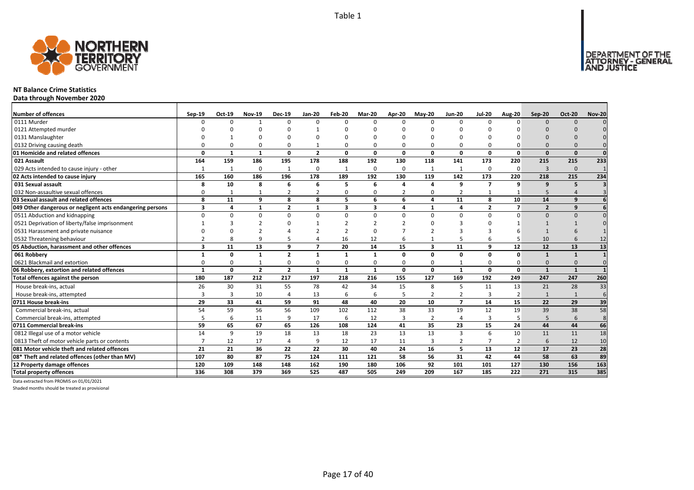

### **NT Balance Crime Statistics**

**Data through November 2020**

| <b>Number of offences</b>                                 | Sep-19                  | Oct-19      | <b>Nov-19</b>  | <b>Dec-19</b>  | <b>Jan-20</b>  | Feb-20       | <b>Mar-20</b> | <b>Apr-20</b>  | <b>Mav-20</b>           | <b>Jun-20</b>  | <b>Jul-20</b>            | <b>Aug-20</b>  | Sep-20                   | <b>Oct-20</b>  | <b>Nov-20</b> |
|-----------------------------------------------------------|-------------------------|-------------|----------------|----------------|----------------|--------------|---------------|----------------|-------------------------|----------------|--------------------------|----------------|--------------------------|----------------|---------------|
| 0111 Murder                                               | ∩                       | $\Omega$    |                | $\Omega$       | $\Omega$       | n            | $\Omega$      | $\Omega$       | $\Omega$                | $\Omega$       | $\Omega$                 | n              | $\Omega$                 | $\Omega$       |               |
| 0121 Attempted murder                                     |                         |             | ∩              |                | 1              |              |               | n              |                         | U              |                          |                |                          |                |               |
| 0131 Manslaughter                                         |                         |             |                |                |                |              |               |                |                         |                |                          |                |                          |                |               |
| 0132 Driving causing death                                |                         |             | $\Omega$       | $\Omega$       | $\mathbf 1$    |              |               | O              | $\Omega$                | 0              |                          |                |                          |                |               |
| 01 Homicide and related offences                          | n                       | $\mathbf 1$ | $\mathbf{1}$   | $\mathbf{0}$   | $\overline{2}$ | $\Omega$     | $\Omega$      | $\Omega$       | $\mathbf{0}$            | $\mathbf{0}$   | $\Omega$                 | $\Omega$       | $\Omega$                 | $\Omega$       | $\Omega$      |
| 021 Assault                                               | 164                     | 159         | 186            | 195            | 178            | 188          | 192           | 130            | 118                     | 141            | 173                      | 220            | 215                      | 215            | 233           |
| 029 Acts intended to cause injury - other                 | -1                      | -1          | $\Omega$       | 1              | 0              | -1           | $\Omega$      | $\Omega$       | $\mathbf{1}$            | $\mathbf{1}$   | $\Omega$                 | $\Omega$       | 3                        | $\Omega$       |               |
| 02 Acts intended to cause injury                          | 165                     | 160         | 186            | 196            | 178            | 189          | 192           | 130            | 119                     | 142            | 173                      | 220            | 218                      | 215            | 234           |
| 031 Sexual assault                                        | 8                       | 10          | 8              | 6              | 6              | 5            | 6             | 4              | $\Delta$                | 9              | $\overline{ }$           | q              | $\mathbf{q}$             | 5              |               |
| 032 Non-assaultive sexual offences                        | n                       |             |                | $\overline{2}$ | $\overline{2}$ | O            | O             | $\overline{2}$ | 0                       | $\overline{2}$ |                          |                | 5                        |                |               |
| 03 Sexual assault and related offences                    | 8                       | 11          | 9              | 8              | 8              | 5            | 6             | 6              | $\overline{\mathbf{a}}$ | 11             | 8                        | 10             | 14                       | q              |               |
| 049 Other dangerous or negligent acts endangering persons | 3                       | 4           | $\mathbf{1}$   | $\overline{2}$ | $\mathbf{1}$   | $\mathbf{3}$ | 3             | 4              | $\mathbf{1}$            | 4              | $\overline{\phantom{a}}$ | $\overline{ }$ | $\overline{\phantom{a}}$ | q              |               |
| 0511 Abduction and kidnapping                             | $\Omega$                |             | $\Omega$       | $\Omega$       | $\Omega$       | U            | $\Omega$      | $\Omega$       | $\Omega$                | $\Omega$       | $\Omega$                 | $\Omega$       | $\Omega$                 | $\Omega$       |               |
| 0521 Deprivation of liberty/false imprisonment            |                         |             |                |                |                |              |               |                |                         | З              |                          |                |                          |                |               |
| 0531 Harassment and private nuisance                      |                         |             |                |                |                |              |               |                |                         |                |                          |                |                          |                |               |
| 0532 Threatening behaviour                                |                         |             | q              | 5              | 4              | 16           | 12            | 6              |                         | 5              |                          |                | 10                       |                | 12            |
| 05 Abduction, harassment and other offences               | $\overline{\mathbf{3}}$ | 11          | 13             | 9              | $\overline{ }$ | 20           | 14            | 15             | $\overline{\mathbf{3}}$ | 11             | 9                        | 12             | 12                       | 13             | 13            |
| 061 Robbery                                               |                         | O           | $\mathbf{1}$   | $\overline{2}$ | $\mathbf{1}$   |              | 1             | O              | 0                       | 0              | $\Omega$                 | $\Omega$       | $\mathbf{1}$             | $\mathbf{1}$   |               |
| 0621 Blackmail and extortion                              |                         |             |                | $\Omega$       | $\Omega$       |              |               | O              | $\Omega$                | $\mathbf{1}$   |                          |                | $\Omega$                 |                |               |
| 06 Robbery, extortion and related offences                | $\mathbf{1}$            | 0           | $\overline{2}$ | $\overline{2}$ | $\mathbf{1}$   | $\mathbf{1}$ | $\mathbf{1}$  | 0              | $\mathbf{0}$            | $\mathbf{1}$   | 0                        | $\mathbf{0}$   | $\mathbf{1}$             | $\mathbf{1}$   |               |
| Total offences against the person                         | 180                     | 187         | 212            | 217            | 197            | 218          | 216           | 155            | 127                     | 169            | 192                      | 249            | 247                      | 247            | 260           |
| House break-ins, actual                                   | 26                      | 30          | 31             | 55             | 78             | 42           | 34            | 15             | 8                       | 5              | 11                       | 13             | 21                       | 28             | 33            |
| House break-ins, attempted                                | ₹                       | 3           | 10             | $\overline{4}$ | 13             | 6            | 6             | 5              | $\overline{2}$          | $\overline{2}$ | 3                        | $\overline{2}$ |                          | $\overline{1}$ | 6             |
| 0711 House break-ins                                      | 29                      | 33          | 41             | 59             | 91             | 48           | 40            | 20             | 10                      | $\overline{ }$ | 14                       | 15             | 22                       | 29             | 39            |
| Commercial break-ins, actual                              | 54                      | 59          | 56             | 56             | 109            | 102          | 112           | 38             | 33                      | 19             | 12                       | 19             | 39                       | 38             | 58            |
| Commercial break-ins, attempted                           |                         | 6           | 11             | 9              | 17             | 6            | 12            | 3              | $\overline{2}$          | $\overline{4}$ | 3                        |                | 5                        | 6              | 8             |
| 0711 Commercial break-ins                                 | 59                      | 65          | 67             | 65             | 126            | 108          | 124           | 41             | 35                      | 23             | 15                       | 24             | 44                       | 44             | 66            |
| 0812 Illegal use of a motor vehicle                       | 14                      | 9           | 19             | 18             | 13             | 18           | 23            | 13             | 13                      | 3              | 6                        | 10             | 11                       | 11             | 18            |
| 0813 Theft of motor vehicle parts or contents             |                         | 12          | 17             | $\overline{4}$ | 9              | 12           | 17            | 11             | $\overline{3}$          | 2              |                          | 2              | 6                        | 12             | 10            |
| 081 Motor vehicle theft and related offences              | 21                      | 21          | 36             | 22             | 22             | 30           | 40            | 24             | 16                      | 5              | 13                       | 12             | 17                       | 23             | 28            |
| 08* Theft and related offences (other than MV)            | 107                     | 80          | 87             | 75             | 124            | 111          | 121           | 58             | 56                      | 31             | 42                       | 44             | 58                       | 63             | 89            |
| 12 Property damage offences                               | 120                     | 109         | 148            | 148            | 162            | 190          | 180           | 106            | 92                      | 101            | 101                      | 127            | 130                      | 156            | 163           |
| <b>Total property offences</b>                            | 336                     | 308         | 379            | 369            | 525            | 487          | 505           | 249            | 209                     | 167            | 185                      | 222            | 271                      | 315            | 385           |

Data extracted from PROMIS on 01/01/2021

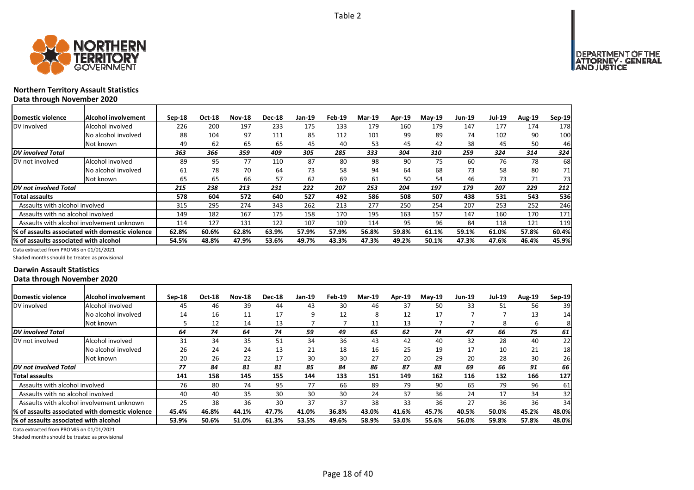

### **Northern Territory Assault Statistics Data through November 2020**

| <b>IDomestic violence</b>             | <b>Alcohol involvement</b>                       | $Sep-18$ | Oct-18 | <b>Nov-18</b> | <b>Dec-18</b> | Jan-19 | Feb-19 | <b>Mar-19</b> | Apr-19 | $Mav-19$ | Jun-19 | <b>Jul-19</b> | <b>Aug-19</b> | Sep-19 |
|---------------------------------------|--------------------------------------------------|----------|--------|---------------|---------------|--------|--------|---------------|--------|----------|--------|---------------|---------------|--------|
| DV involved                           | Alcohol involved                                 | 226      | 200    | 197           | 233           | 175    | 133    | 179           | 160    | 179      | 147    | 177           | 174           | 178    |
|                                       | No alcohol involved                              | 88       | 104    | 97            | 111           | 85     | 112    | 101           | 99     | 89       | 74     | 102           | 90            | 100    |
|                                       | Not known                                        | 49       | 62     | 65            | 65            | 45     | 40     | 53            | 45     | 42       | 38     | 45            | 50            | 46     |
| DV involved Total                     |                                                  | 363      | 366    | 359           | 409           | 305    | 285    | 333           | 304    | 310      | 259    | 324           | 314           | 324    |
| DV not involved                       | Alcohol involved                                 | 89       | 95     | 77            | 110           | 87     | 80     | 98            | 90     | 75       | 60     | 76            | 78            | 68     |
|                                       | No alcohol involved                              | 61       | 78     | 70            | 64            | 73     | 58     | 94            | 64     | 68       | 73     | 58            | 80            | 71     |
|                                       | Not known                                        | 65       | 65     | 66            | 57            | 62     | 69     | 61            | 50     | 54       | 46     | 73            | 71            | 73     |
| DV not involved Total                 |                                                  | 215      | 238    | 213           | 231           | 222    | 207    | 253           | 204    | 197      | 179    | 207           | 229           | 212    |
| Total assaults                        |                                                  | 578      | 604    | 572           | 640           | 527    | 492    | 586           | 508    | 507      | 438    | 531           | 543           | 536    |
| Assaults with alcohol involved        |                                                  | 315      | 295    | 274           | 343           | 262    | 213    | 277           | 250    | 254      | 207    | 253           | 252           | 246    |
| Assaults with no alcohol involved     |                                                  | 149      | 182    | 167           | 175           | 158    | 170    | 195           | 163    | 157      | 147    | 160           | 170           | 171    |
|                                       | Assaults with alcohol involvement unknown        | 114      | 127    | 131           | 122           | 107    | 109    | 114           | 95     | 96       | 84     | 118           | 121           | 119    |
|                                       | 1% of assaults associated with domestic violence | 62.8%    | 60.6%  | 62.8%         | 63.9%         | 57.9%  | 57.9%  | 56.8%         | 59.8%  | 61.1%    | 59.1%  | 61.0%         | 57.8%         | 60.4%  |
| % of assaults associated with alcohol |                                                  | 54.5%    | 48.8%  | 47.9%         | 53.6%         | 49.7%  | 43.3%  | 47.3%         | 49.2%  | 50.1%    | 47.3%  | 47.6%         | 46.4%         | 45.9%  |

Data extracted from PROMIS on 01/01/2021

Shaded months should be treated as provisional

### **Darwin Assault Statistics Data through November 2020**

| <b>IDomestic violence</b>              | <b>Alcohol involvement</b>                       | $Sep-18$ | Oct-18 | <b>Nov-18</b> | <b>Dec-18</b> | <b>Jan-19</b> | Feb-19 | <b>Mar-19</b> | Apr-19 | $Mav-19$ | <b>Jun-19</b> | <b>Jul-19</b> | <b>Aug-19</b> | Sep-19 |
|----------------------------------------|--------------------------------------------------|----------|--------|---------------|---------------|---------------|--------|---------------|--------|----------|---------------|---------------|---------------|--------|
| DV involved                            | Alcohol involved                                 | 45       | 46     | 39            | 44            | 43            | 30     | 46            | 37     | 50       | 33            | 51            | 56            | 39     |
|                                        | No alcohol involved                              | 14       | 16     | 11            | 17            | 9             | 12     | 8             | 12     | 17       |               |               | 13            | 14     |
|                                        | Not known                                        |          | 12     | 14            | 13            |               |        | 11            | 13     |          |               | 8             | 6             | 81     |
| DV involved Total                      |                                                  | 64       | 74     | 64            | 74            | 59            | 49     | 65            | 62     | 74       | 47            | 66            | 75            | 61     |
| DV not involved                        | Alcohol involved                                 | 31       | 34     | 35            | 51            | 34            | 36     | 43            | 42     | 40       | 32            | 28            | 40            | 22     |
|                                        | No alcohol involved                              | 26       | 24     | 24            | 13            | 21            | 18     | 16            | 25     | 19       | 17            | 10            | 21            | 18     |
|                                        | Not known                                        | 20       | 26     | 22            | 17            | 30            | 30     | 27            | 20     | 29       | 20            | 28            | 30            | 26     |
| DV not involved Total                  |                                                  | 77       | 84     | 81            | 81            | 85            | 84     | 86            | 87     | 88       | 69            | 66            | 91            | 66     |
| <b>Total assaults</b>                  |                                                  | 141      | 158    | 145           | 155           | 144           | 133    | 151           | 149    | 162      | 116           | 132           | 166           | 127    |
| Assaults with alcohol involved         |                                                  | 76       | 80     | 74            | 95            | 77            | 66     | 89            | 79     | 90       | 65            | 79            | 96            | 61     |
| Assaults with no alcohol involved      |                                                  | 40       | 40     | 35            | 30            | 30            | 30     | 24            | 37     | 36       | 24            | 17            | 34            | 32     |
|                                        | Assaults with alcohol involvement unknown        | 25       | 38     | 36            | 30            | 37            | 37     | 38            | 33     | 36       | 27            | 36            | 36            | 34     |
|                                        | I% of assaults associated with domestic violence | 45.4%    | 46.8%  | 44.1%         | 47.7%         | 41.0%         | 36.8%  | 43.0%         | 41.6%  | 45.7%    | 40.5%         | 50.0%         | 45.2%         | 48.0%  |
| I% of assaults associated with alcohol |                                                  | 53.9%    | 50.6%  | 51.0%         | 61.3%         | 53.5%         | 49.6%  | 58.9%         | 53.0%  | 55.6%    | 56.0%         | 59.8%         | 57.8%         | 48.0%  |

Data extracted from PROMIS on 01/01/2021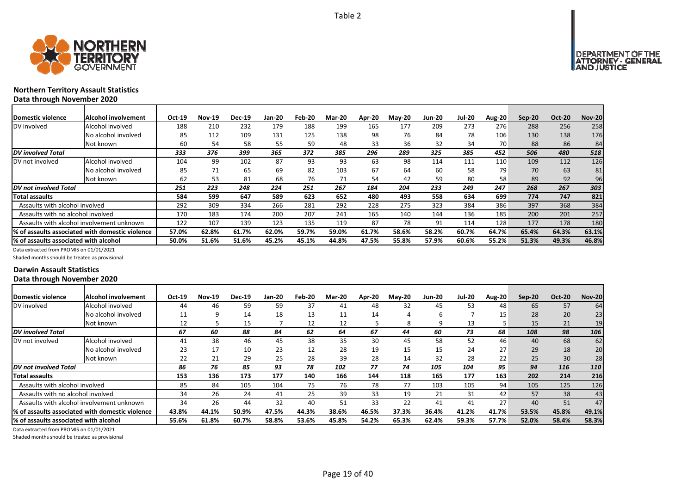



### **Northern Territory Assault Statistics Data through November 2020**

| <b>Domestic violence</b>                  | Alcohol involvement                             | Oct-19 | <b>Nov-19</b> | <b>Dec-19</b> | Jan-20 | Feb-20 | Mar-20 | Apr-20 | $M$ ay-20 | <b>Jun-20</b> | <b>Jul-20</b> | <b>Aug-20</b> | Sep-20 | <b>Oct-20</b> | <b>Nov-20</b> |
|-------------------------------------------|-------------------------------------------------|--------|---------------|---------------|--------|--------|--------|--------|-----------|---------------|---------------|---------------|--------|---------------|---------------|
| DV involved                               | Alcohol involved                                | 188    | 210           | 232           | 179    | 188    | 199    | 165    | 177       | 209           | 273           | 276           | 288    | 256           | 258           |
|                                           | No alcohol involved                             | 85     | 112           | 109           | 131    | 125    | 138    | 98     | 76        | 84            | 78            | 106           | 130    | 138           | 176           |
|                                           | Not known                                       | 60     | 54            | 58            | 55     | 59     | 48     | 33     | 36        | 32            | 34            | 70            | 88     | 86            | 84            |
| <b>DV</b> involved Total                  |                                                 | 333    | 376           | 399           | 365    | 372    | 385    | 296    | 289       | 325           | 385           | 452           | 506    | 480           | 518           |
| DV not involved                           | Alcohol involved                                | 104    | 99            | 102           | 87     | 93     | 93     | 63     | 98        | 114           | 111           | 110           | 109    | 112           | 126           |
|                                           | No alcohol involved                             | 85     | 71            | 65            | 69     | 82     | 103    | 67     | 64        | 60            | 58            | 79            | 70     | 63            | 81            |
|                                           | Not known                                       | 62     | 53            | 81            | 68     | 76     | 71     | 54     | 42        | 59            | 80            | 58            | 89     | 92            | 96            |
| DV not involved Total                     |                                                 | 251    | 223           | 248           | 224    | 251    | 267    | 184    | 204       | 233           | 249           | 247           | 268    | 267           | 303           |
| Total assaults                            |                                                 | 584    | 599           | 647           | 589    | 623    | 652    | 480    | 493       | 558           | 634           | 699           | 774    | 747           | 821           |
| Assaults with alcohol involved            |                                                 | 292    | 309           | 334           | 266    | 281    | 292    | 228    | 275       | 323           | 384           | 386           | 397    | 368           | 384           |
| Assaults with no alcohol involved         |                                                 | 170    | 183           | 174           | 200    | 207    | 241    | 165    | 140       | 144           | 136           | 185           | 200    | 201           | 257           |
| Assaults with alcohol involvement unknown |                                                 | 122    | 107           | 139           | 123    | 135    | 119    | 87     | 78        | 91            | 114           | 128           | 177    | 178           | 180           |
|                                           | % of assaults associated with domestic violence | 57.0%  | 62.8%         | 61.7%         | 62.0%  | 59.7%  | 59.0%  | 61.7%  | 58.6%     | 58.2%         | 60.7%         | 64.7%         | 65.4%  | 64.3%         | 63.1%         |
| % of assaults associated with alcohol     |                                                 | 50.0%  | 51.6%         | 51.6%         | 45.2%  | 45.1%  | 44.8%  | 47.5%  | 55.8%     | 57.9%         | 60.6%         | 55.2%         | 51.3%  | 49.3%         | 46.8%         |

Data extracted from PROMIS on 01/01/2021

Shaded months should be treated as provisional

### **Darwin Assault Statistics Data through November 2020**

| Domestic violence                      | Alcohol involvement                              | Oct-19 | <b>Nov-19</b> | <b>Dec-19</b> | Jan-20 | Feb-20 | <b>Mar-20</b> | Apr-20 | <b>May-20</b> | <b>Jun-20</b> | <b>Jul-20</b> | <b>Aug-20</b> | $Sep-20$ | <b>Oct-20</b> | <b>Nov-20</b> |
|----------------------------------------|--------------------------------------------------|--------|---------------|---------------|--------|--------|---------------|--------|---------------|---------------|---------------|---------------|----------|---------------|---------------|
| DV involved                            | Alcohol involved                                 | 44     | 46            | 59            | 59     | 37     | 41            | 48     | 32            | 45            | 53            | 48            | 65       | 57            | 64            |
|                                        | No alcohol involved                              | ᅭ      |               | 14            | 18     | 13     | 11            | 14     |               | ь             |               | 15            | 28       | 20            | 23            |
|                                        | Not known                                        | 12     |               | 15            |        | 12     | 12            |        | 8             | q             | 13            |               | 15       | 21            |               |
| <b>DV</b> involved Total               |                                                  | 67     | 60            | 88            | 84     | 62     | 64            | 67     | 44            | 60            | 73            | 68            | 108      | 98            | 106           |
| DV not involved                        | Alcohol involved                                 | 41     | 38            | 46            | 45     | 38     | 35            | 30     | 45            | 58            | 52            | 46            | 40       | 68            | 62            |
|                                        | No alcohol involved                              | 23     | 17            | 10            | 23     | 12     | 28            | 19     | 15            | 15            | 24            | 27            | 29       | 18            | 20            |
|                                        | Not known                                        | 22     | 21            | 29            | 25     | 28     | 39            | 28     | 14            | 32            | 28            | 22            | 25       | 30            | 28            |
| DV not involved Total                  |                                                  | 86     | 76            | 85            | 93     | 78     | 102           | 77     | 74            | 105           | 104           | 95            | 94       | 116           | 110           |
| <b>Total assaults</b>                  |                                                  | 153    | 136           | 173           | 177    | 140    | 166           | 144    | 118           | 165           | 177           | 163           | 202      | 214           | 216           |
| Assaults with alcohol involved         |                                                  | 85     | 84            | 105           | 104    | 75     | 76            | 78     | 77            | 103           | 105           | 94            | 105      | 125           | 126           |
| Assaults with no alcohol involved      |                                                  | 34     | 26            | 24            | 41     | 25     | 39            | 33     | 19            | 21            | 31            | 42            | 57       | 38            | 43            |
|                                        | Assaults with alcohol involvement unknown        | 34     | 26            | 44            | 32     | 40     | 51            | 33     | 22            | 41            | 41            | 27            | 40       | 51            | 47            |
|                                        | I% of assaults associated with domestic violence | 43.8%  | 44.1%         | 50.9%         | 47.5%  | 44.3%  | 38.6%         | 46.5%  | 37.3%         | 36.4%         | 41.2%         | 41.7%         | 53.5%    | 45.8%         | 49.1%         |
| I% of assaults associated with alcohol |                                                  | 55.6%  | 61.8%         | 60.7%         | 58.8%  | 53.6%  | 45.8%         | 54.2%  | 65.3%         | 62.4%         | 59.3%         | 57.7%         | 52.0%    | 58.4%         | 58.3%         |

Data extracted from PROMIS on 01/01/2021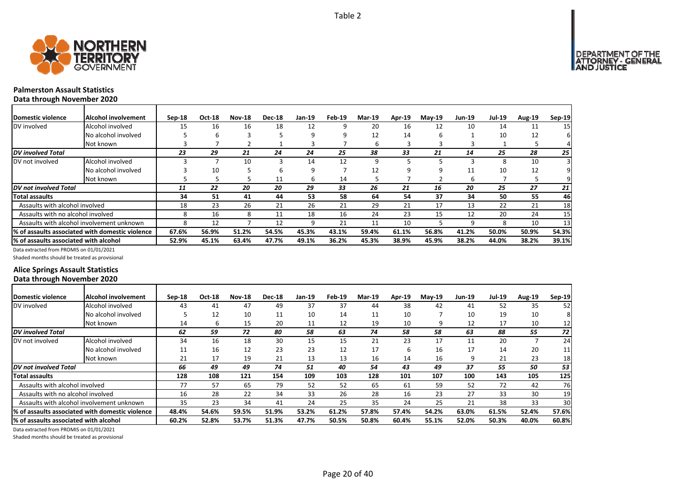

### **Palmerston Assault Statistics Data through November 2020**

| <b>Domestic violence</b>              | Alcohol involvement                             | $Sep-18$ | Oct-18 | <b>Nov-18</b> | <b>Dec-18</b> | Jan-19 | Feb-19 | Mar-19 | <b>Apr-19</b> | $Mav-19$ | <b>Jun-19</b> | <b>Jul-19</b> | <b>Aug-19</b> | Sep-19 |
|---------------------------------------|-------------------------------------------------|----------|--------|---------------|---------------|--------|--------|--------|---------------|----------|---------------|---------------|---------------|--------|
| DV involved                           | Alcohol involved                                | 15       | 16     | 16            | 18            | 12     | 9      | 20     | 16            | 12       | 10            | 14            | 11            | 15     |
|                                       | No alcohol involved                             |          | ь      | 3             |               | 9      | 9      | 12     | 14            | h        |               | 10            | 12            |        |
|                                       | Not known                                       |          |        |               |               | 3      |        |        |               |          |               |               |               |        |
| <b>DV</b> involved Total              |                                                 | 23       | 29     | 21            | 24            | 24     | 25     | 38     | 33            | 21       | 14            | 25            | 28            | 25     |
| DV not involved                       | Alcohol involved                                |          |        | 10            | 3             | 14     | 12     | q      |               |          | Р             | 8             | 10            |        |
|                                       | No alcohol involved                             |          | 10     |               | b             | 9      |        | 12     |               |          | 11            | 10            | 12            |        |
|                                       | Not known                                       |          |        |               | 11            | 6      | 14     |        |               |          | 6             |               |               |        |
| DV not involved Total                 |                                                 | 11       | 22     | 20            | 20            | 29     | 33     | 26     | 21            | 16       | 20            | 25            | 27            | 21     |
| <b>Total assaults</b>                 |                                                 | 34       | 51     | 41            | 44            | 53     | 58     | 64     | 54            | 37       | 34            | 50            | 55            | 46     |
| Assaults with alcohol involved        |                                                 | 18       | 23     | 26            | 21            | 26     | 21     | 29     | 21            | 17       | 13            | 22            | 21            | 18     |
| Assaults with no alcohol involved     |                                                 | 8        | 16     | 8             | 11            | 18     | 16     | 24     | 23            | 15       | 12            | 20            | 24            | 15     |
|                                       | Assaults with alcohol involvement unknown       |          | 12     |               | 12            | 9      | 21     | 11     | 10            |          | q             | 8             | 10            | 13     |
|                                       | % of assaults associated with domestic violence | 67.6%    | 56.9%  | 51.2%         | 54.5%         | 45.3%  | 43.1%  | 59.4%  | 61.1%         | 56.8%    | 41.2%         | 50.0%         | 50.9%         | 54.3%  |
| % of assaults associated with alcohol |                                                 | 52.9%    | 45.1%  | 63.4%         | 47.7%         | 49.1%  | 36.2%  | 45.3%  | 38.9%         | 45.9%    | 38.2%         | 44.0%         | 38.2%         | 39.1%  |

Data extracted from PROMIS on 01/01/2021

Shaded months should be treated as provisional

### **Alice Springs Assault Statistics Data through November 2020**

| <b>IDomestic violence</b>                        | Alcohol involvement | $Sep-18$ | <b>Oct-18</b> | <b>Nov-18</b> | <b>Dec-18</b> | Jan-19 | Feb-19 | Mar-19 | Apr-19 | $Mav-19$ | <b>Jun-19</b> | <b>Jul-19</b> | <b>Aug-19</b> | Sep-19 |
|--------------------------------------------------|---------------------|----------|---------------|---------------|---------------|--------|--------|--------|--------|----------|---------------|---------------|---------------|--------|
| DV involved                                      | Alcohol involved    | 43       | 41            | 47            | 49            | 37     | 37     | 44     | 38     | 42       | 41            | 52            | 35            | 52     |
|                                                  | No alcohol involved |          | 12            | 10            | 11            | 10     | 14     | 11     | 10     |          | 10            | 19            | 10            | 8      |
|                                                  | Not known           | 14       | b             | 15            | 20            | 11     | 12     | 19     | 10     | q        | 12            | 17            | 10            | 12     |
| DV involved Total                                |                     | 62       | 59            | 72            | 80            | 58     | 63     | 74     | 58     | 58       | 63            | 88            | 55            | 72     |
| DV not involved                                  | Alcohol involved    | 34       | 16            | 18            | 30            | 15     | 15     | 21     | 23     | 17       | 11            | 20            |               | 24     |
|                                                  | No alcohol involved | 11       | 16            | 12            | 23            | 23     | 12     | 17     | 6      | 16       | 17            | 14            | 20            | 11     |
|                                                  | Not known           | 21       | 17            | 19            | 21            | 13     | 13     | 16     | 14     | 16       |               | 21            | 23            | 18     |
| DV not involved Total                            |                     | 66       | 49            | 49            | 74            | 51     | 40     | 54     | 43     | 49       | 37            | 55            | 50            | 53     |
| Total assaults                                   |                     | 128      | 108           | 121           | 154           | 109    | 103    | 128    | 101    | 107      | 100           | 143           | 105           | 125    |
| Assaults with alcohol involved                   |                     | 77       | 57            | 65            | 79            | 52     | 52     | 65     | 61     | 59       | 52            | 72            | 42            | 76     |
| Assaults with no alcohol involved                |                     | 16       | 28            | 22            | 34            | 33     | 26     | 28     | 16     | 23       | 27            | 33            | 30            | 19     |
| Assaults with alcohol involvement unknown        |                     | 35       | 23            | 34            | 41            | 24     | 25     | 35     | 24     | 25       | 21            | 38            | 33            | 30     |
| 1% of assaults associated with domestic violence |                     | 48.4%    | 54.6%         | 59.5%         | 51.9%         | 53.2%  | 61.2%  | 57.8%  | 57.4%  | 54.2%    | 63.0%         | 61.5%         | 52.4%         | 57.6%  |
| l% of assaults associated with alcohol           |                     | 60.2%    | 52.8%         | 53.7%         | 51.3%         | 47.7%  | 50.5%  | 50.8%  | 60.4%  | 55.1%    | 52.0%         | 50.3%         | 40.0%         | 60.8%  |

Data extracted from PROMIS on 01/01/2021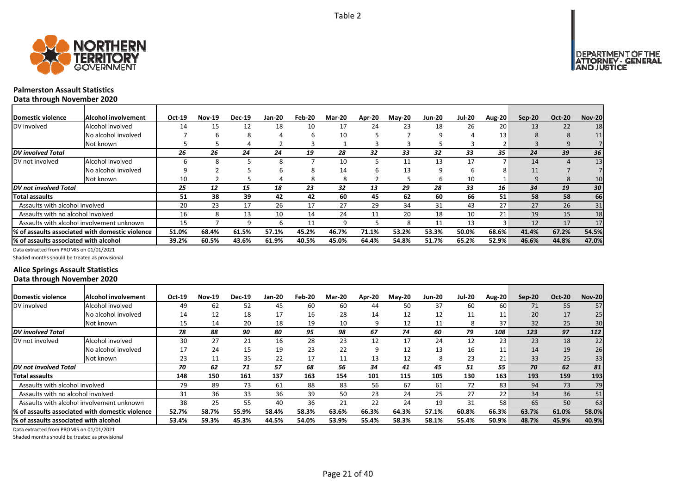



### **Palmerston Assault Statistics Data through November 2020**

| Domestic violence                     | Alcohol involvement                             | Oct-19 | <b>Nov-19</b> | <b>Dec-19</b> | <b>Jan-20</b> | Feb-20 | <b>Mar-20</b> | Apr-20 | $M$ ay-20 | <b>Jun-20</b> | <b>Jul-20</b> | Aug-20 | Sep-20 | <b>Oct-20</b> | <b>Nov-20</b> |
|---------------------------------------|-------------------------------------------------|--------|---------------|---------------|---------------|--------|---------------|--------|-----------|---------------|---------------|--------|--------|---------------|---------------|
| DV involved                           | Alcohol involved                                | 14     | 15            | 12            | 18            | 10     | 17            | 24     | 23        | 18            | 26            | 20     | 13     | 22            | 18            |
|                                       | No alcohol involved                             |        | h             |               | 4             | h      | 10            |        |           | 9             | 4             | 13     | 8      | 8             | 11            |
|                                       | Not known                                       |        |               |               |               |        |               |        |           |               |               |        |        |               |               |
| DV involved Total                     |                                                 | 26     | 26            | 24            | 24            | 19     | 28            | 32     | 33        | 32            | 33            | 35     | 24     | 39            | 36            |
| DV not involved                       | Alcohol involved                                |        | Ջ             |               |               |        | 10            |        | 11        | 13            | 17            |        | 14     |               | 13            |
|                                       | No alcohol involved                             |        |               |               |               | ŏ      | 14            | h      | 13        | 9             | b             |        | 11     |               |               |
|                                       | Not known                                       | 10     |               |               |               | 8      | 8             |        |           | 6             | 10            |        | 9      | 8             | 10            |
| DV not involved Total                 |                                                 | 25     | 12            | 15            | 18            | 23     | 32            | 13     | 29        | 28            | 33            | 16     | 34     | 19            | 30            |
| Total assaults                        |                                                 | 51     | 38            | 39            | 42            | 42     | 60            | 45     | 62        | 60            | 66            | 51     | 58     | 58            | 66            |
| Assaults with alcohol involved        |                                                 | 20     | 23            | 17            | 26            | 17     | 27            | 29     | 34        | 31            | 43            | 27     | 27     | 26            | 31            |
| Assaults with no alcohol involved     |                                                 | 16     | 8             | 13            | 10            | 14     | 24            | 11     | 20        | 18            | 10            | 21     | 19     | 15            | 18            |
|                                       | Assaults with alcohol involvement unknown       | 15     |               |               |               | 11     | q             |        | 8         | 11            | 13            |        | 12     | 17            | 17            |
|                                       | % of assaults associated with domestic violence | 51.0%  | 68.4%         | 61.5%         | 57.1%         | 45.2%  | 46.7%         | 71.1%  | 53.2%     | 53.3%         | 50.0%         | 68.6%  | 41.4%  | 67.2%         | 54.5%         |
| % of assaults associated with alcohol |                                                 | 39.2%  | 60.5%         | 43.6%         | 61.9%         | 40.5%  | 45.0%         | 64.4%  | 54.8%     | 51.7%         | 65.2%         | 52.9%  | 46.6%  | 44.8%         | 47.0%         |

Data extracted from PROMIS on 01/01/2021

Shaded months should be treated as provisional

### **Alice Springs Assault Statistics Data through November 2020**

| Domestic violence                     | Alcohol involvement                              | Oct-19 | <b>Nov-19</b> | <b>Dec-19</b> | Jan-20 | Feb-20 | <b>Mar-20</b> | Apr-20 | <b>Mav-20</b> | <b>Jun-20</b> | <b>Jul-20</b> | Aug-20           | Sep-20 | <b>Oct-20</b> | <b>Nov-20</b> |
|---------------------------------------|--------------------------------------------------|--------|---------------|---------------|--------|--------|---------------|--------|---------------|---------------|---------------|------------------|--------|---------------|---------------|
| DV involved                           | Alcohol involved                                 | 49     | 62            | 52            | 45     | 60     | 60            | 44     | 50            | 37            | 60            | 60               | 71     | 55            | 57            |
|                                       | No alcohol involved                              | 14     | 12            | 18            | 17     | 16     | 28            | 14     | 12            | 12            | 11            | 11               | 20     | 17            | 25            |
|                                       | Not known                                        | 15     | 14            | 20            | 18     | 19     | 10            | 9      | 12            | 11            | 8             | 37               | 32     | 25            | 30            |
| <b>DV</b> involved Total              |                                                  | 78     | 88            | 90            | 80     | 95     | 98            | 67     | 74            | 60            | 79            | 108              | 123    | 97            | 112           |
| DV not involved                       | Alcohol involved                                 | 30     | 27            | 21            | 16     | 28     | 23            | 12     | 17            | 24            | 12            | 23               | 23     | 18            | 22            |
|                                       | No alcohol involved                              | 17     | 24            | 15            | 19     | 23     | 22            | 9      | 12            | 13            | 16            | 11               | 14     | 19            | 26            |
|                                       | Not known                                        | 23     | 11            | 35            | 22     | 17     | 11            | 13     | 12            | 8             | 23            | 21               | 33     | 25            | 33            |
| <b>DV</b> not involved Total          |                                                  | 70     | 62            | 71            | 57     | 68     | 56            | 34     | 41            | 45            | 51            | 55               | 70     | 62            | 81            |
| Total assaults                        |                                                  | 148    | 150           | 161           | 137    | 163    | 154           | 101    | 115           | 105           | 130           | 163 <sub>1</sub> | 193    | 159           | 193           |
| Assaults with alcohol involved        |                                                  | 79     | 89            | 73            | 61     | 88     | 83            | 56     | 67            | 61            | 72            | 83               | 94     | 73            | 79            |
| Assaults with no alcohol involved     |                                                  | 31     | 36            | 33            | 36     | 39     | 50            | 23     | 24            | 25            | 27            | 22               | 34     | 36            | 51            |
|                                       | Assaults with alcohol involvement unknown        | 38     | 25            | 55            | 40     | 36     | 21            | 22     | 24            | 19            | 31            | 58               | 65     | 50            | 63            |
|                                       | l% of assaults associated with domestic violence | 52.7%  | 58.7%         | 55.9%         | 58.4%  | 58.3%  | 63.6%         | 66.3%  | 64.3%         | 57.1%         | 60.8%         | 66.3%            | 63.7%  | 61.0%         | 58.0%         |
| % of assaults associated with alcohol |                                                  | 53.4%  | 59.3%         | 45.3%         | 44.5%  | 54.0%  | 53.9%         | 55.4%  | 58.3%         | 58.1%         | 55.4%         | 50.9%            | 48.7%  | 45.9%         | 40.9%         |

Data extracted from PROMIS on 01/01/2021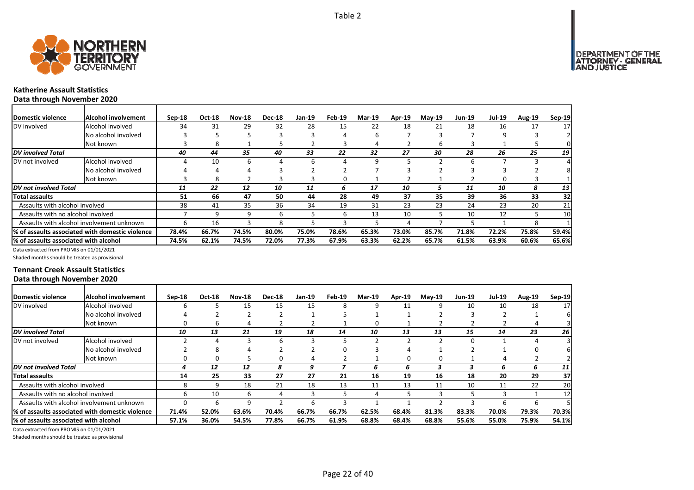

### **Katherine Assault Statistics Data through November 2020**

| Domestic violence                     | <b>Alcohol involvement</b>                      | $Sep-18$ | Oct-18 | <b>Nov-18</b> | <b>Dec-18</b> | Jan-19 | Feb-19 | <b>Mar-19</b> | Apr-19 | $Mav-19$ | Jun-19 | <b>Jul-19</b> | <b>Aug-19</b> | Sep-19 |
|---------------------------------------|-------------------------------------------------|----------|--------|---------------|---------------|--------|--------|---------------|--------|----------|--------|---------------|---------------|--------|
| DV involved                           | Alcohol involved                                | 34       | 31     | 29            | 32            | 28     | 15     | 22            | 18     | 21       | 18     | 16            | 17            | 17     |
|                                       | No alcohol involved                             |          |        |               |               |        | 4      |               |        |          |        | 9             |               |        |
|                                       | Not known                                       |          | 8      |               |               |        | 3      |               |        | ь        |        |               |               |        |
| <b>DV</b> involved Total              |                                                 | 40       | 44     | 35            | 40            | 33     | 22     | 32            | 27     | 30       | 28     | 26            | 25            | 19     |
| DV not involved                       | Alcohol involved                                |          | 10     | 6             |               | 6      | Δ      |               |        |          | 6      |               |               |        |
|                                       | No alcohol involved                             |          |        | 4             |               |        |        |               |        |          |        |               |               |        |
|                                       | Not known                                       |          | 8      |               |               |        | O      |               |        |          |        | 0             |               |        |
| DV not involved Total                 |                                                 | 11       | 22     | 12            | 10            | 11     | 6      | 17            | 10     |          | 11     | 10            | 8             | 13     |
| <b>Total assaults</b>                 |                                                 | 51       | 66     | 47            | 50            | 44     | 28     | 49            | 37     | 35       | 39     | 36            | 33            | 32     |
| Assaults with alcohol involved        |                                                 | 38       | 41     | 35            | 36            | 34     | 19     | 31            | 23     | 23       | 24     | 23            | 20            | 21     |
| Assaults with no alcohol involved     |                                                 |          | q      | q             | b             |        | 6      | 13            | 10     |          | 10     | 12            |               | 10     |
|                                       | Assaults with alcohol involvement unknown       | ь        | 16     |               | 8             |        |        |               |        |          |        |               | 8             |        |
|                                       | % of assaults associated with domestic violence | 78.4%    | 66.7%  | 74.5%         | 80.0%         | 75.0%  | 78.6%  | 65.3%         | 73.0%  | 85.7%    | 71.8%  | 72.2%         | 75.8%         | 59.4%  |
| % of assaults associated with alcohol |                                                 | 74.5%    | 62.1%  | 74.5%         | 72.0%         | 77.3%  | 67.9%  | 63.3%         | 62.2%  | 65.7%    | 61.5%  | 63.9%         | 60.6%         | 65.6%  |

Data extracted from PROMIS on 01/01/2021

Shaded months should be treated as provisional

### **Tennant Creek Assault Statistics Data through November 2020**

| <b>IDomestic violence</b>             | <b>Alcohol involvement</b>                       | $Sep-18$ | Oct-18 | <b>Nov-18</b> | <b>Dec-18</b> | Jan-19 | Feb-19 | <b>Mar-19</b> | Apr-19 | $May-19$ | <b>Jun-19</b> | <b>Jul-19</b> | <b>Aug-19</b> | $Sep-19$        |
|---------------------------------------|--------------------------------------------------|----------|--------|---------------|---------------|--------|--------|---------------|--------|----------|---------------|---------------|---------------|-----------------|
| DV involved                           | Alcohol involved                                 |          |        | 15            | 15            | 15     | 8      | q             | 11     |          | 10            | 10            | 18            | 17 <sup>1</sup> |
|                                       | No alcohol involved                              |          |        |               |               |        |        |               |        |          |               |               |               |                 |
|                                       | Not known                                        |          | b      |               |               |        |        | 0             |        |          |               |               |               |                 |
| <b>DV</b> involved Total              |                                                  | 10       | 13     | 21            | 19            | 18     | 14     | 10            | 13     | 13       | 15            | 14            | 23            | 26              |
| DV not involved                       | Alcohol involved                                 |          |        |               |               |        |        |               |        |          |               |               |               |                 |
|                                       | No alcohol involved                              |          |        |               |               |        |        |               |        |          |               |               |               |                 |
|                                       | Not known                                        |          |        |               |               |        |        |               |        | 0        |               |               |               |                 |
| <b>DV</b> not involved Total          |                                                  |          | 12     | 12            | 8             | 9      |        | 6             | b      |          |               | 6             | h             | 11              |
| Total assaults                        |                                                  | 14       | 25     | 33            | 27            | 27     | 21     | 16            | 19     | 16       | 18            | 20            | 29            | 37              |
| Assaults with alcohol involved        |                                                  |          |        | 18            | 21            | 18     | 13     | 11            | 13     | 11       | 10            | 11            | 22            | 20              |
| Assaults with no alcohol involved     |                                                  |          | 10     | b             | 4             |        |        |               |        |          |               |               |               | 12              |
|                                       | Assaults with alcohol involvement unknown        |          | h      | q             |               | h      |        |               |        |          |               | h             | h             |                 |
|                                       | I% of assaults associated with domestic violence | 71.4%    | 52.0%  | 63.6%         | 70.4%         | 66.7%  | 66.7%  | 62.5%         | 68.4%  | 81.3%    | 83.3%         | 70.0%         | 79.3%         | 70.3%           |
| % of assaults associated with alcohol |                                                  | 57.1%    | 36.0%  | 54.5%         | 77.8%         | 66.7%  | 61.9%  | 68.8%         | 68.4%  | 68.8%    | 55.6%         | 55.0%         | 75.9%         | 54.1%           |

Data extracted from PROMIS on 01/01/2021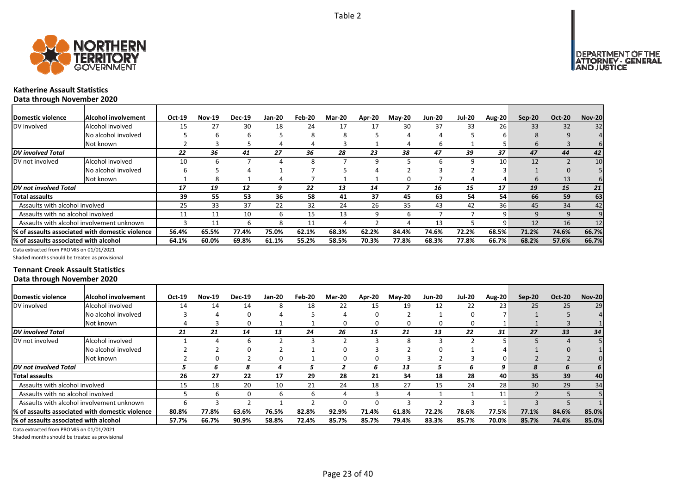



### **Katherine Assault Statistics Data through November 2020**

| Domestic violence                     | Alcohol involvement                                          | Oct-19 | <b>Nov-19</b> | <b>Dec-19</b> | Jan-20 | Feb-20 | <b>Mar-20</b> | Apr-20 | <b>May-20</b> | <b>Jun-20</b> | <b>Jul-20</b> | Aug-20 | $Sep-20$ | <b>Oct-20</b> | <b>Nov-20</b> |
|---------------------------------------|--------------------------------------------------------------|--------|---------------|---------------|--------|--------|---------------|--------|---------------|---------------|---------------|--------|----------|---------------|---------------|
| DV involved                           | Alcohol involved                                             | 15     | 27            | 30            | 18     | 24     | 17            | 17     | 30            | 37            | 33            | 26     | 33       | 32            | 32            |
|                                       | No alcohol involved                                          |        |               |               |        | 8      |               |        | 4             |               |               |        | я        |               |               |
|                                       | Not known                                                    |        |               |               | 4      |        |               |        | 4             | b             |               |        | $\sigma$ |               |               |
| <b>DV</b> involved Total              |                                                              | 22     | 36            | 41            | 27     | 36     | 28            | 23     | 38            | 47            | 39            | 37     | 47       | 44            | 42            |
| DV not involved                       | Alcohol involved                                             | 10     |               |               |        |        |               |        |               | h             | q             | 10     | 12       |               | 10            |
|                                       | No alcohol involved                                          |        |               |               |        |        |               |        |               |               |               |        |          |               |               |
|                                       | Not known                                                    |        |               |               |        |        |               |        |               |               |               |        | 6        | 13            |               |
| DV not involved Total                 |                                                              | 17     | 19            | 12            | 9      | 22     | 13            | 14     |               | 16            | 15            | 17     | 19       | 15            | 21            |
| <b>Total assaults</b>                 |                                                              | 39     | 55            | 53            | 36     | 58     | 41            | 37     | 45            | 63            | 54            | 54     | 66       | 59            | 63            |
| Assaults with alcohol involved        |                                                              | 25     | 33            | 37            | 22     | 32     | 24            | 26     | 35            | 43            | 42            | 36     | 45       | 34            | 42            |
| Assaults with no alcohol involved     |                                                              | 11     | 11            | 10            | ь      | 15     | 13            | 9      | b             |               |               | q      | 9        | 9             |               |
|                                       | Assaults with alcohol involvement unknown                    |        | 11            |               |        | 11     |               |        |               | 13            |               | q      | 12       | 16            | 12            |
|                                       | <sup>1</sup> % of assaults associated with domestic violence | 56.4%  | 65.5%         | 77.4%         | 75.0%  | 62.1%  | 68.3%         | 62.2%  | 84.4%         | 74.6%         | 72.2%         | 68.5%  | 71.2%    | 74.6%         | 66.7%         |
| % of assaults associated with alcohol |                                                              | 64.1%  | 60.0%         | 69.8%         | 61.1%  | 55.2%  | 58.5%         | 70.3%  | 77.8%         | 68.3%         | 77.8%         | 66.7%  | 68.2%    | 57.6%         | 66.7%         |

Data extracted from PROMIS on 01/01/2021

Shaded months should be treated as provisional

### **Tennant Creek Assault Statistics Data through November 2020**

| Domestic violence                     | <b>Alcohol involvement</b>                       | Oct-19 | <b>Nov-19</b> | <b>Dec-19</b> | Jan-20 | Feb-20 | <b>Mar-20</b> | Apr-20 | <b>May-20</b> | Jun-20 | <b>Jul-20</b> | <b>Aug-20</b> | $Sep-20$ | <b>Oct-20</b> | <b>Nov-20</b> |
|---------------------------------------|--------------------------------------------------|--------|---------------|---------------|--------|--------|---------------|--------|---------------|--------|---------------|---------------|----------|---------------|---------------|
| DV involved                           | Alcohol involved                                 | 14     | 14            | 14            | 8      | 18     | 22            | 15     | 19            | 12     | 22            | 23            | 25       | 25            | 29            |
|                                       | No alcohol involved                              |        |               |               |        |        |               | ი      |               |        |               |               |          |               |               |
|                                       | Not known                                        |        |               |               |        |        |               | 0      | 0             |        |               |               |          |               |               |
| <b>DV</b> involved Total              |                                                  | 21     | 21            | 14            | 13     | 24     | 26            | 15     | 21            | 13     | 22            | 31            | 27       | 33            | 34            |
| DV not involved                       | Alcohol involved                                 |        |               |               |        |        |               |        | Ο             |        |               |               |          |               |               |
|                                       | No alcohol involved                              |        |               |               |        |        |               |        |               |        |               |               |          |               |               |
|                                       | Not known                                        |        |               |               |        |        |               | O      |               |        |               |               |          |               |               |
| <b>DV</b> not involved Total          |                                                  |        | n             | 8             |        |        |               | h      | 13            |        |               | 9             |          |               |               |
| Total assaults                        |                                                  | 26     | 27            | 22            | 17     | 29     | 28            | 21     | 34            | 18     | 28            | 40            | 35       | 39            | 40            |
| Assaults with alcohol involved        |                                                  | 15     | 18            | 20            | 10     | 21     | 24            | 18     | 27            | 15     | 24            | 28            | 30       | 29            | 34            |
| Assaults with no alcohol involved     |                                                  |        |               |               | 6      | 6      |               |        |               |        |               | 11            |          |               |               |
|                                       | Assaults with alcohol involvement unknown        |        |               |               |        |        |               | n      |               |        |               |               |          |               |               |
|                                       | 1% of assaults associated with domestic violence | 80.8%  | 77.8%         | 63.6%         | 76.5%  | 82.8%  | 92.9%         | 71.4%  | 61.8%         | 72.2%  | 78.6%         | 77.5%         | 77.1%    | 84.6%         | 85.0%         |
| % of assaults associated with alcohol |                                                  | 57.7%  | 66.7%         | 90.9%         | 58.8%  | 72.4%  | 85.7%         | 85.7%  | 79.4%         | 83.3%  | 85.7%         | 70.0%         | 85.7%    | 74.4%         | 85.0%         |

Data extracted from PROMIS on 01/01/2021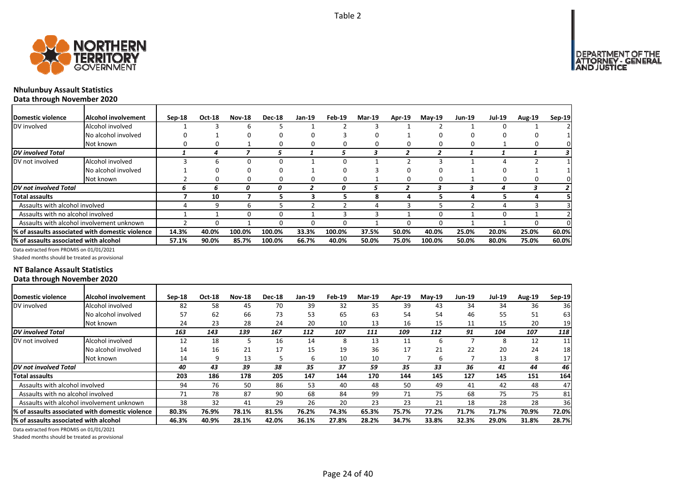

### **Nhulunbuy Assault Statistics Data through November 2020**

| Domestic violence                     | Alcohol involvement                             | $Sep-18$ | Oct-18 | <b>Nov-18</b> | <b>Dec-18</b> | Jan-19 | Feb-19 | <b>Mar-19</b> | Apr-19 | $May-19$ | <b>Jun-19</b> | <b>Jul-19</b> | <b>Aug-19</b> | Sep-19 |
|---------------------------------------|-------------------------------------------------|----------|--------|---------------|---------------|--------|--------|---------------|--------|----------|---------------|---------------|---------------|--------|
| DV involved                           | Alcohol involved                                |          |        | h             |               |        |        |               |        |          |               | o             |               |        |
|                                       | No alcohol involved                             |          |        | <sup>0</sup>  | 0             |        |        |               |        |          |               | n             |               |        |
|                                       | Not known                                       |          |        |               |               | 0      | 0      |               |        |          | 0             |               |               |        |
| <b>DV</b> involved Total              |                                                 |          | 4      |               |               |        | 5      | 3             |        |          |               |               |               |        |
| DV not involved                       | Alcohol involved                                |          |        |               |               |        | O      |               |        |          |               |               |               |        |
|                                       | No alcohol involved                             |          |        | 0             |               |        | O      |               |        |          |               | Ω             |               |        |
|                                       | Not known                                       |          |        | 0             | 0             | 0      | 0      |               |        |          |               | 0             | 0             |        |
| DV not involved Total                 |                                                 | n        | n      | 0             | 0             |        | 0      |               |        |          |               | 4             |               |        |
| <b>Total assaults</b>                 |                                                 |          | 10     |               |               |        | 5      |               |        |          |               | 5             |               |        |
| Assaults with alcohol involved        |                                                 |          |        | h             |               |        |        |               |        |          |               |               |               |        |
| Assaults with no alcohol involved     |                                                 |          |        |               |               |        |        |               |        |          |               | 0             |               |        |
|                                       | Assaults with alcohol involvement unknown       |          |        |               | 0             | 0      | O      |               |        |          |               |               |               |        |
|                                       | % of assaults associated with domestic violence | 14.3%    | 40.0%  | 100.0%        | 100.0%        | 33.3%  | 100.0% | 37.5%         | 50.0%  | 40.0%    | 25.0%         | 20.0%         | 25.0%         | 60.0%  |
| % of assaults associated with alcohol |                                                 | 57.1%    | 90.0%  | 85.7%         | 100.0%        | 66.7%  | 40.0%  | 50.0%         | 75.0%  | 100.0%   | 50.0%         | 80.0%         | 75.0%         | 60.0%  |

Data extracted from PROMIS on 01/01/2021

Shaded months should be treated as provisional

### **NT Balance Assault Statistics Data through November 2020**

| <b>IDomestic violence</b>              | <b>Alcohol involvement</b>                       | $Sep-18$ | Oct-18 | <b>Nov-18</b> | <b>Dec-18</b> | Jan-19 | Feb-19 | <b>Mar-19</b> | Apr-19 | $M$ ay-19 | <b>Jun-19</b> | <b>Jul-19</b> | <b>Aug-19</b> | Sep-19 |
|----------------------------------------|--------------------------------------------------|----------|--------|---------------|---------------|--------|--------|---------------|--------|-----------|---------------|---------------|---------------|--------|
| DV involved                            | Alcohol involved                                 | 82       | 58     | 45            | 70            | 39     | 32     | 35            | 39     | 43        | 34            | 34            | 36            | 36     |
|                                        | No alcohol involved                              | 57       | 62     | 66            | 73            | 53     | 65     | 63            | 54     | 54        | 46            | 55            | 51            | 63     |
|                                        | Not known                                        | 24       | 23     | 28            | 24            | 20     | 10     | 13            | 16     | 15        | 11            | 15            | 20            | 19     |
| DV involved Total                      |                                                  | 163      | 143    | 139           | 167           | 112    | 107    | 111           | 109    | 112       | 91            | 104           | 107           | 118    |
| DV not involved                        | Alcohol involved                                 | 12       | 18     |               | 16            | 14     | 8      | 13            | 11     | b         |               | 8             | 12            | 11     |
|                                        | No alcohol involved                              | 14       | 16     | 21            | 17            | 15     | 19     | 36            | 17     | 21        | 22            | 20            | 24            | 18     |
|                                        | Not known                                        | 14       |        | 13            |               | 6      | 10     | 10            |        | 6         |               | 13            | 8             | 17     |
| DV not involved Total                  |                                                  | 40       | 43     | 39            | 38            | 35     | 37     | 59            | 35     | 33        | 36            | 41            | 44            | 46     |
| Total assaults                         |                                                  | 203      | 186    | 178           | 205           | 147    | 144    | 170           | 144    | 145       | 127           | 145           | 151           | 164    |
| Assaults with alcohol involved         |                                                  | 94       | 76     | 50            | 86            | 53     | 40     | 48            | 50     | 49        | 41            | 42            | 48            | 47     |
| Assaults with no alcohol involved      |                                                  | 71       | 78     | 87            | 90            | 68     | 84     | 99            | 71     | 75        | 68            | 75            | 75            | 81     |
|                                        | Assaults with alcohol involvement unknown        | 38       | 32     | 41            | 29            | 26     | 20     | 23            | 23     | 21        | 18            | 28            | 28            | 36     |
|                                        | 1% of assaults associated with domestic violence | 80.3%    | 76.9%  | 78.1%         | 81.5%         | 76.2%  | 74.3%  | 65.3%         | 75.7%  | 77.2%     | 71.7%         | 71.7%         | 70.9%         | 72.0%  |
| 1% of assaults associated with alcohol |                                                  | 46.3%    | 40.9%  | 28.1%         | 42.0%         | 36.1%  | 27.8%  | 28.2%         | 34.7%  | 33.8%     | 32.3%         | 29.0%         | 31.8%         | 28.7%  |

Data extracted from PROMIS on 01/01/2021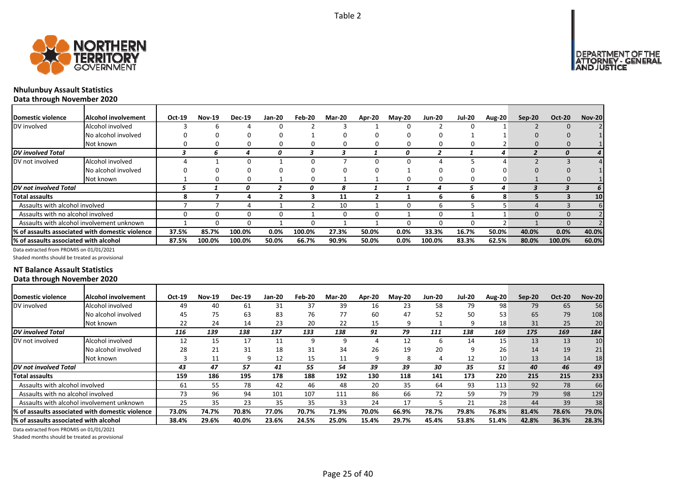

### **Nhulunbuy Assault Statistics Data through November 2020**

| Domestic violence                     | Alcohol involvement                             | Oct-19 | <b>Nov-19</b> | <b>Dec-19</b> | Jan-20 | Feb-20 | <b>Mar-20</b> | Apr-20 | $M$ ay-20 | <b>Jun-20</b> | <b>Jul-20</b> | Aug-20 | $Sep-20$ | <b>Oct-20</b> | <b>Nov-20</b> |
|---------------------------------------|-------------------------------------------------|--------|---------------|---------------|--------|--------|---------------|--------|-----------|---------------|---------------|--------|----------|---------------|---------------|
| DV involved                           | Alcohol involved                                |        |               |               |        |        |               |        | 0         |               |               |        |          |               |               |
|                                       | No alcohol involved                             |        |               | 0             |        |        |               |        |           |               |               |        |          |               |               |
|                                       | Not known                                       |        |               |               |        |        |               |        |           |               |               |        |          |               |               |
| DV involved Total                     |                                                 |        | h             |               | 0      |        |               |        | 0         |               |               | 4      |          | n             | 4             |
| DV not involved                       | Alcohol involved                                |        |               |               |        |        |               |        | ŋ         |               |               |        |          |               |               |
|                                       | No alcohol involved                             |        |               |               |        |        |               |        |           |               |               |        |          |               |               |
|                                       | Not known                                       |        |               | 0             |        |        |               |        |           |               | 0             |        |          |               |               |
| DV not involved Total                 |                                                 |        |               | 0             |        | 0      | 8             |        |           |               |               | 4      |          |               | 6             |
| Total assaults                        |                                                 |        |               |               |        |        | 11            |        |           | h             | h             | 8      |          |               | 10            |
| Assaults with alcohol involved        |                                                 |        |               |               |        |        | 10            |        |           |               |               |        |          |               |               |
| Assaults with no alcohol involved     |                                                 |        |               | O.            |        |        |               |        |           |               |               |        |          |               |               |
|                                       | Assaults with alcohol involvement unknown       |        |               |               |        |        |               |        |           |               | n             |        |          |               |               |
|                                       | % of assaults associated with domestic violence | 37.5%  | 85.7%         | 100.0%        | 0.0%   | 100.0% | 27.3%         | 50.0%  | 0.0%      | 33.3%         | 16.7%         | 50.0%  | 40.0%    | 0.0%          | 40.0%         |
| % of assaults associated with alcohol |                                                 | 87.5%  | 100.0%        | 100.0%        | 50.0%  | 66.7%  | 90.9%         | 50.0%  | 0.0%      | 100.0%        | 83.3%         | 62.5%  | 80.0%    | 100.0%        | 60.0%         |

Data extracted from PROMIS on 01/01/2021

Shaded months should be treated as provisional

### **NT Balance Assault Statistics Data through November 2020**

| Domestic violence                     | <b>Alcohol involvement</b>                       | Oct-19 | <b>Nov-19</b> | <b>Dec-19</b> | <b>Jan-20</b> | Feb-20 | <b>Mar-20</b> | Apr-20 | <b>May-20</b> | <b>Jun-20</b> | <b>Jul-20</b> | Aug-20 | $Sep-20$ | <b>Oct-20</b> | <b>Nov-20</b> |
|---------------------------------------|--------------------------------------------------|--------|---------------|---------------|---------------|--------|---------------|--------|---------------|---------------|---------------|--------|----------|---------------|---------------|
| DV involved                           | Alcohol involved                                 | 49     | 40            | 61            | 31            | 37     | 39            | 16     | 23            | 58            | 79            | 98     | 79       | 65            | 56            |
|                                       | No alcohol involved                              | 45     | 75            | 63            | 83            | 76     | 77            | 60     | 47            | 52            | 50            | 53     | 65       | 79            | 108           |
|                                       | Not known                                        | 22     | 24            | 14            | 23            | 20     | 22            | 15     | 9             |               | q             | 18     | 31       | 25            | 20            |
| <b>DV</b> involved Total              |                                                  | 116    | 139           | 138           | 137           | 133    | 138           | 91     | 79            | 111           | 138           | 169    | 175      | 169           | 184           |
| DV not involved                       | Alcohol involved                                 | 12     | 15            | 17            | 11            | q      | 9             |        | 12            | b             | 14            | 15     | 13       | 13            | 10            |
|                                       | No alcohol involved                              | 28     | 21            | 31            | 18            | 31     | 34            | 26     | 19            | 20            | 9             | 26     | 14       | 19            | 21            |
|                                       | Not known                                        |        | 11            |               | 12            | 15     | 11            | 9      |               |               | 12            | 10     | 13       | 14            | 18            |
| DV not involved Total                 |                                                  | 43     | 47            | 57            | 41            | 55     | 54            | 39     | 39            | 30            | 35            | 51     | 40       | 46            | 49            |
| <b>Total assaults</b>                 |                                                  | 159    | 186           | 195           | 178           | 188    | 192           | 130    | 118           | 141           | 173           | 220    | 215      | 215           | 233           |
| Assaults with alcohol involved        |                                                  | 61     | 55            | 78            | 42            | 46     | 48            | 20     | 35            | 64            | 93            | 113    | 92       | 78            | 66            |
| Assaults with no alcohol involved     |                                                  | 73     | 96            | 94            | 101           | 107    | 111           | 86     | 66            | 72            | 59            | 79     | 79       | 98            | 129           |
|                                       | Assaults with alcohol involvement unknown        | 25     | 35            | 23            | 35            | 35     | 33            | 24     | 17            |               | 21            | 28     | 44       | 39            | 38            |
|                                       | I% of assaults associated with domestic violence | 73.0%  | 74.7%         | 70.8%         | 77.0%         | 70.7%  | 71.9%         | 70.0%  | 66.9%         | 78.7%         | 79.8%         | 76.8%  | 81.4%    | 78.6%         | 79.0%         |
| % of assaults associated with alcohol |                                                  | 38.4%  | 29.6%         | 40.0%         | 23.6%         | 24.5%  | 25.0%         | 15.4%  | 29.7%         | 45.4%         | 53.8%         | 51.4%  | 42.8%    | 36.3%         | 28.3%         |

Data extracted from PROMIS on 01/01/2021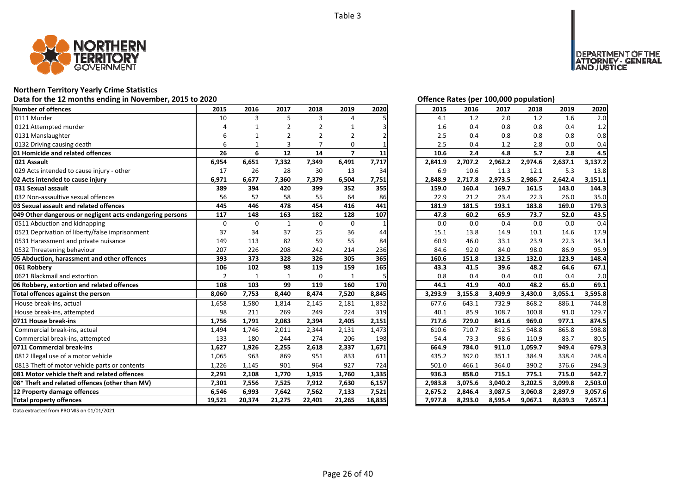

## **Northern Territory Yearly Crime Statistics**

### Data for the 12 months ending in November, 2015 to 2020<br>
Data for the 12 months ending in November, 2015 to 2020

| Number of offences                                            | 2015           | 2016         | 2017           | 2018           | 2019           | 2020  | 2015    | 2016    | 2017    | 2018    | 2019    | 2020    |
|---------------------------------------------------------------|----------------|--------------|----------------|----------------|----------------|-------|---------|---------|---------|---------|---------|---------|
| 0111 Murder                                                   | 10             | 3            | 5              | 3              | 4              |       | 4.1     | 1.2     | 2.0     | 1.2     | 1.6     | 2.0     |
| 0121 Attempted murder                                         |                |              | $\overline{2}$ | 2              |                |       | 1.6     | 0.4     | 0.8     | 0.8     | 0.4     | 1.2     |
| 0131 Manslaughter                                             |                |              | 2              | $\overline{2}$ | 2              |       | 2.5     | 0.4     | 0.8     | 0.8     | 0.8     | 0.8     |
| 0132 Driving causing death                                    | 6              |              | 3              |                | $\Omega$       |       | 2.5     | 0.4     | 1.2     | 2.8     | 0.0     | 0.4     |
| 01 Homicide and related offences                              | 26             | 6            | 12             | 14             | $\overline{7}$ | 11    | 10.6    | 2.4     | 4.8     | 5.7     | 2.8     | 4.5     |
| 021 Assault                                                   | 6,954          | 6,651        | 7,332          | 7,349          | 6,491          | 7,717 | 2,841.9 | 2,707.2 | 2,962.2 | 2,974.6 | 2,637.1 | 3,137.2 |
| 029 Acts intended to cause injury - other                     | 17             | 26           | 28             | 30             | 13             | 34    | 6.9     | 10.6    | 11.3    | 12.1    | 5.3     | 13.8    |
| 02 Acts intended to cause injury                              | 6,971          | 6,677        | 7,360          | 7,379          | 6,504          | 7,751 | 2,848.9 | 2,717.8 | 2,973.5 | 2,986.7 | 2,642.4 | 3,151.1 |
| 031 Sexual assault                                            | 389            | 394          | 420            | 399            | 352            | 355   | 159.0   | 160.4   | 169.7   | 161.5   | 143.0   | 144.3   |
| 032 Non-assaultive sexual offences                            | 56             | 52           | 58             | 55             | 64             | 86    | 22.9    | 21.2    | 23.4    | 22.3    | 26.0    | 35.0    |
| 03 Sexual assault and related offences                        | 445            | 446          | 478            | 454            | 416            | 441   | 181.9   | 181.5   | 193.1   | 183.8   | 169.0   | 179.3   |
| 049 Other dangerous or negligent acts endangering persons     | 117            | 148          | 163            | 182            | 128            | 107   | 47.8    | 60.2    | 65.9    | 73.7    | 52.0    | 43.5    |
| 0511 Abduction and kidnapping                                 | $\mathbf 0$    | $\Omega$     | $\mathbf{1}$   | $\mathbf 0$    | $\mathbf 0$    |       | 0.0     | 0.0     | 0.4     | 0.0     | 0.0     | 0.4     |
| 0521 Deprivation of liberty/false imprisonment                | 37             | 34           | 37             | 25             | 36             | 44    | 15.1    | 13.8    | 14.9    | 10.1    | 14.6    | 17.9    |
| 0531 Harassment and private nuisance                          | 149            | 113          | 82             | 59             | 55             | 84    | 60.9    | 46.0    | 33.1    | 23.9    | 22.3    | 34.1    |
| 0532 Threatening behaviour                                    | 207            | 226          | 208            | 242            | 214            | 236   | 84.6    | 92.0    | 84.0    | 98.0    | 86.9    | 95.9    |
| 05 Abduction, harassment and other offences                   | 393            | 373          | 328            | 326            | 305            | 365   | 160.6   | 151.8   | 132.5   | 132.0   | 123.9   | 148.4   |
|                                                               |                |              |                |                |                |       |         |         |         |         |         |         |
| 061 Robberv                                                   | 106            | 102          | 98             | 119            | 159            | 165   | 43.3    | 41.5    | 39.6    | 48.2    | 64.6    | 67.1    |
| 0621 Blackmail and extortion                                  | $\overline{2}$ | $\mathbf{1}$ | 1              | $\Omega$       | $\mathbf{1}$   |       | 0.8     | 0.4     | 0.4     | 0.0     | 0.4     | 2.0     |
| 06 Robbery, extortion and related offences                    | 108            | 103          | 99             | 119            | 160            | 170   | 44.1    | 41.9    | 40.0    | 48.2    | 65.0    | 69.1    |
| Total offences against the person                             | 8,060          | 7,753        | 8,440          | 8,474          | 7,520          | 8,845 | 3,293.9 | 3,155.8 | 3,409.9 | 3,430.0 | 3,055.1 | 3,595.8 |
| House break-ins, actual                                       | 1,658          | 1,580        | 1,814          | 2,145          | 2,181          | 1,832 | 677.6   | 643.1   | 732.9   | 868.2   | 886.1   | 744.8   |
| House break-ins, attempted                                    | 98             | 211          | 269            | 249            | 224            | 319   | 40.1    | 85.9    | 108.7   | 100.8   | 91.0    | 129.7   |
| 0711 House break-ins                                          | 1,756          | 1,791        | 2,083          | 2,394          | 2,405          | 2,151 | 717.6   | 729.0   | 841.6   | 969.0   | 977.1   | 874.5   |
| Commercial break-ins, actual                                  | 1,494          | 1,746        | 2,011          | 2,344          | 2,131          | 1,473 | 610.6   | 710.7   | 812.5   | 948.8   | 865.8   | 598.8   |
| Commercial break-ins, attempted                               | 133            | 180          | 244            | 274            | 206            | 198   | 54.4    | 73.3    | 98.6    | 110.9   | 83.7    | 80.5    |
| 0711 Commercial break-ins                                     | 1,627          | 1,926        | 2,255          | 2,618          | 2,337          | 1,671 | 664.9   | 784.0   | 911.0   | 1,059.7 | 949.4   | 679.3   |
| 0812 Illegal use of a motor vehicle                           | 1,065          | 963          | 869            | 951            | 833            | 611   | 435.2   | 392.0   | 351.1   | 384.9   | 338.4   | 248.4   |
| 0813 Theft of motor vehicle parts or contents                 | 1.226          | 1.145        | 901            | 964            | 927            | 724   | 501.0   | 466.1   | 364.0   | 390.2   | 376.6   | 294.3   |
| 081 Motor vehicle theft and related offences                  | 2,291          | 2,108        | 1,770          | 1,915          | 1,760          | 1,335 | 936.3   | 858.0   | 715.1   | 775.1   | 715.0   | 542.7   |
| 08* Theft and related offences (other than MV)                | 7,301          | 7,556        | 7,525          | 7,912          | 7,630          | 6,157 | 2,983.8 | 3,075.6 | 3,040.2 | 3,202.5 | 3,099.8 | 2,503.0 |
| 12 Property damage offences<br><b>Total property offences</b> | 6,546          | 6,993        | 7,642          | 7,562          | 7,133          | 7,521 | 2,675.2 | 2,846.4 | 3,087.5 | 3,060.8 | 2,897.9 | 3,057.6 |

DEPARTMENT OF THE<br>ATTORNEY - GENERAL ÜSTICE

| 2015    | 2016    | 2017    | 2018    | 2019    | 2020    |
|---------|---------|---------|---------|---------|---------|
| 4.1     | 1.2     | 2.0     | 1.2     | 1.6     | 2.0     |
| 1.6     | 0.4     | 0.8     | 0.8     | 0.4     | 1.2     |
| 2.5     | 0.4     | 0.8     | 0.8     | 0.8     | 0.8     |
| 2.5     | 0.4     | 1.2     | 2.8     | 0.0     | 0.4     |
| 10.6    | 2.4     | 4.8     | 5.7     | 2.8     | 4.5     |
| 2,841.9 | 2,707.2 | 2,962.2 | 2,974.6 | 2,637.1 | 3,137.2 |
| 6.9     | 10.6    | 11.3    | 12.1    | 5.3     | 13.8    |
| 2,848.9 | 2,717.8 | 2,973.5 | 2,986.7 | 2,642.4 | 3,151.1 |
| 159.0   | 160.4   | 169.7   | 161.5   | 143.0   | 144.3   |
| 22.9    | 21.2    | 23.4    | 22.3    | 26.0    | 35.0    |
| 181.9   | 181.5   | 193.1   | 183.8   | 169.0   | 179.3   |
| 47.8    | 60.2    | 65.9    | 73.7    | 52.0    | 43.5    |
| 0.0     | 0.0     | 0.4     | 0.0     | 0.0     | 0.4     |
| 15.1    | 13.8    | 14.9    | 10.1    | 14.6    | 17.9    |
| 60.9    | 46.0    | 33.1    | 23.9    | 22.3    | 34.1    |
| 84.6    | 92.0    | 84.0    | 98.0    | 86.9    | 95.9    |
| 160.6   | 151.8   | 132.5   | 132.0   | 123.9   | 148.4   |
| 43.3    | 41.5    | 39.6    | 48.2    | 64.6    | 67.1    |
| 0.8     | 0.4     | 0.4     | 0.0     | 0.4     | 2.0     |
| 44.1    | 41.9    | 40.0    | 48.2    | 65.0    | 69.1    |
| 3,293.9 | 3,155.8 | 3,409.9 | 3,430.0 | 3,055.1 | 3,595.8 |
| 677.6   | 643.1   | 732.9   | 868.2   | 886.1   | 744.8   |
| 40.1    | 85.9    | 108.7   | 100.8   | 91.0    | 129.7   |
| 717.6   | 729.0   | 841.6   | 969.0   | 977.1   | 874.5   |
| 610.6   | 710.7   | 812.5   | 948.8   | 865.8   | 598.8   |
| 54.4    | 73.3    | 98.6    | 110.9   | 83.7    | 80.5    |
| 664.9   | 784.0   | 911.0   | 1,059.7 | 949.4   | 679.3   |
| 435.2   | 392.0   | 351.1   | 384.9   | 338.4   | 248.4   |
| 501.0   | 466.1   | 364.0   | 390.2   | 376.6   | 294.3   |
| 936.3   | 858.0   | 715.1   | 775.1   | 715.0   | 542.7   |
| 2,983.8 | 3,075.6 | 3,040.2 | 3,202.5 | 3,099.8 | 2,503.0 |
| 2,675.2 | 2,846.4 | 3,087.5 | 3,060.8 | 2,897.9 | 3,057.6 |
| 7,977.8 | 8,293.0 | 8,595.4 | 9,067.1 | 8,639.3 | 7,657.1 |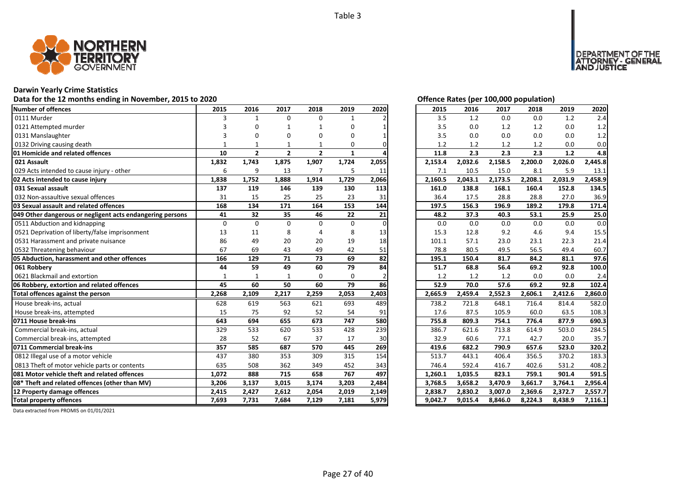

### **Darwin Yearly Crime Statistics**

### Data for the 12 months ending in November, 2015 to 2020<br> **Data for the 12 months ending in November, 2015 to 2020**

| <b>Number of offences</b>                                 | 2015         | 2016           | 2017           | 2018           | 2019  | 2020  | 2015    | 2016    | 2017    | 2018    | 2019    | 2020    |
|-----------------------------------------------------------|--------------|----------------|----------------|----------------|-------|-------|---------|---------|---------|---------|---------|---------|
| 0111 Murder                                               | 3            | $\mathbf{1}$   | $\Omega$       | 0              | 1     |       | 3.5     | 1.2     | 0.0     | 0.0     | 1.2     | 2.4     |
| 0121 Attempted murder                                     |              | 0              | 1              |                | 0     |       | 3.5     | 0.0     | 1.2     | 1.2     | 0.0     | 1.2     |
| 0131 Manslaughter                                         |              | 0              |                |                | 0     |       | 3.5     | 0.0     | 0.0     | 0.0     | 0.0     | 1.2     |
| 0132 Driving causing death                                |              | 1              |                |                | 0     |       | 1.2     | 1.2     | 1.2     | 1.2     | 0.0     | 0.0     |
| 01 Homicide and related offences                          | 10           | $\overline{2}$ | $\overline{2}$ | $\overline{2}$ | 1     |       | 11.8    | 2.3     | 2.3     | 2.3     | 1.2     | 4.8     |
| 021 Assault                                               | 1,832        | 1,743          | 1,875          | 1,907          | 1,724 | 2,055 | 2,153.4 | 2,032.6 | 2,158.5 | 2,200.0 | 2,026.0 | 2,445.8 |
| 029 Acts intended to cause injury - other                 | 6            | 9              | 13             | $\overline{7}$ | 5     | 11    | 7.1     | 10.5    | 15.0    | 8.1     | 5.9     | 13.1    |
| 02 Acts intended to cause injury                          | 1,838        | 1,752          | 1,888          | 1,914          | 1,729 | 2,066 | 2,160.5 | 2,043.1 | 2,173.5 | 2,208.1 | 2,031.9 | 2,458.9 |
| 031 Sexual assault                                        | 137          | 119            | 146            | 139            | 130   | 113   | 161.0   | 138.8   | 168.1   | 160.4   | 152.8   | 134.5   |
| 032 Non-assaultive sexual offences                        | 31           | 15             | 25             | 25             | 23    | 31    | 36.4    | 17.5    | 28.8    | 28.8    | 27.0    | 36.9    |
| 03 Sexual assault and related offences                    | 168          | 134            | 171            | 164            | 153   | 144   | 197.5   | 156.3   | 196.9   | 189.2   | 179.8   | 171.4   |
| 049 Other dangerous or negligent acts endangering persons | 41           | 32             | 35             | 46             | 22    | 21    | 48.2    | 37.3    | 40.3    | 53.1    | 25.9    | 25.0    |
| 0511 Abduction and kidnapping                             | $\Omega$     | $\Omega$       | $\Omega$       | $\Omega$       | 0     |       | 0.0     | 0.0     | 0.0     | 0.0     | 0.0     | 0.0     |
| 0521 Deprivation of liberty/false imprisonment            | 13           | 11             | 8              |                | 8     | 13    | 15.3    | 12.8    | 9.2     | 4.6     | 9.4     | 15.5    |
| 0531 Harassment and private nuisance                      | 86           | 49             | 20             | 20             | 19    | 18    | 101.1   | 57.1    | 23.0    | 23.1    | 22.3    | 21.4    |
| 0532 Threatening behaviour                                | 67           | 69             | 43             | 49             | 42    | 51    | 78.8    | 80.5    | 49.5    | 56.5    | 49.4    | 60.7    |
| 05 Abduction, harassment and other offences               | 166          | 129            | 71             | 73             | 69    | 82    | 195.1   | 150.4   | 81.7    | 84.2    | 81.1    | 97.6    |
| 061 Robbery                                               | 44           | 59             | 49             | 60             | 79    | 84    | 51.7    | 68.8    | 56.4    | 69.2    | 92.8    | 100.0   |
| 0621 Blackmail and extortion                              | $\mathbf{1}$ | $\mathbf{1}$   | $\mathbf{1}$   | $\Omega$       | 0     |       | 1.2     | 1.2     | 1.2     | 0.0     | 0.0     | 2.4     |
| 06 Robbery, extortion and related offences                | 45           | 60             | 50             | 60             | 79    | 86    | 52.9    | 70.0    | 57.6    | 69.2    | 92.8    | 102.4   |
| Total offences against the person                         | 2,268        | 2,109          | 2,217          | 2,259          | 2,053 | 2,403 | 2,665.9 | 2,459.4 | 2,552.3 | 2,606.1 | 2,412.6 | 2,860.0 |
| House break-ins, actual                                   | 628          | 619            | 563            | 621            | 693   | 489   | 738.2   | 721.8   | 648.1   | 716.4   | 814.4   | 582.0   |
| House break-ins, attempted                                | 15           | 75             | 92             | 52             | 54    | 91    | 17.6    | 87.5    | 105.9   | 60.0    | 63.5    | 108.3   |
| 0711 House break-ins                                      | 643          | 694            | 655            | 673            | 747   | 580   | 755.8   | 809.3   | 754.1   | 776.4   | 877.9   | 690.3   |
| Commercial break-ins, actual                              | 329          | 533            | 620            | 533            | 428   | 239   | 386.7   | 621.6   | 713.8   | 614.9   | 503.0   | 284.5   |
| Commercial break-ins, attempted                           | 28           | 52             | 67             | 37             | 17    | 30    | 32.9    | 60.6    | 77.1    | 42.7    | 20.0    | 35.7    |
| 0711 Commercial break-ins                                 | 357          | 585            | 687            | 570            | 445   | 269   | 419.6   | 682.2   | 790.9   | 657.6   | 523.0   | 320.2   |
| 0812 Illegal use of a motor vehicle                       | 437          | 380            | 353            | 309            | 315   | 154   | 513.7   | 443.1   | 406.4   | 356.5   | 370.2   | 183.3   |
| 0813 Theft of motor vehicle parts or contents             | 635          | 508            | 362            | 349            | 452   | 343   | 746.4   | 592.4   | 416.7   | 402.6   | 531.2   | 408.2   |
| 081 Motor vehicle theft and related offences              | 1,072        | 888            | 715            | 658            | 767   | 497   | 1,260.1 | 1,035.5 | 823.1   | 759.1   | 901.4   | 591.5   |
| 08* Theft and related offences (other than MV)            | 3,206        | 3,137          | 3,015          | 3,174          | 3,203 | 2,484 | 3,768.5 | 3,658.2 | 3,470.9 | 3,661.7 | 3,764.1 | 2,956.4 |
| 12 Property damage offences                               | 2,415        | 2,427          | 2,612          | 2,054          | 2,019 | 2,149 | 2,838.7 | 2,830.2 | 3,007.0 | 2,369.6 | 2,372.7 | 2,557.7 |
| <b>Total property offences</b>                            | 7,693        | 7,731          | 7,684          | 7,129          | 7,181 | 5,979 | 9,042.7 | 9,015.4 | 8,846.0 | 8,224.3 | 8,438.9 | 7,116.1 |

DEPARTMENT OF THE<br>ATTORNEY - GENERAL<br>AND JUSTICE

| 2015    | 2016    | 2017    | 2018    | 2019    | 2020    |
|---------|---------|---------|---------|---------|---------|
| 3.5     | 1.2     | 0.0     | 0.0     | 1.2     | 2.4     |
| 3.5     | 0.0     | 1.2     | 1.2     | 0.0     | 1.2     |
| 3.5     | 0.0     | 0.0     | 0.0     | 0.0     | $1.2\,$ |
| 1.2     | 1.2     | 1.2     | 1.2     | 0.0     | 0.0     |
| 11.8    | 2.3     | 2.3     | 2.3     | 1.2     | 4.8     |
| 2,153.4 | 2,032.6 | 2,158.5 | 2,200.0 | 2,026.0 | 2,445.8 |
| 7.1     | 10.5    | 15.0    | 8.1     | 5.9     | 13.1    |
| 2,160.5 | 2,043.1 | 2,173.5 | 2,208.1 | 2,031.9 | 2,458.9 |
| 161.0   | 138.8   | 168.1   | 160.4   | 152.8   | 134.5   |
| 36.4    | 17.5    | 28.8    | 28.8    | 27.0    | 36.9    |
| 197.5   | 156.3   | 196.9   | 189.2   | 179.8   | 171.4   |
| 48.2    | 37.3    | 40.3    | 53.1    | 25.9    | 25.0    |
| 0.0     | 0.0     | 0.0     | 0.0     | 0.0     | 0.0     |
| 15.3    | 12.8    | 9.2     | 4.6     | 9.4     | 15.5    |
| 101.1   | 57.1    | 23.0    | 23.1    | 22.3    | 21.4    |
| 78.8    | 80.5    | 49.5    | 56.5    | 49.4    | 60.7    |
|         |         |         |         |         |         |
| 195.1   | 150.4   | 81.7    | 84.2    | 81.1    | 97.6    |
| 51.7    | 68.8    | 56.4    | 69.2    | 92.8    | 100.0   |
| 1.2     | 1.2     | 1.2     | 0.0     | 0.0     | 2.4     |
| 52.9    | 70.0    | 57.6    | 69.2    | 92.8    | 102.4   |
| 2,665.9 | 2,459.4 | 2,552.3 | 2,606.1 | 2,412.6 | 2,860.0 |
| 738.2   | 721.8   | 648.1   | 716.4   | 814.4   | 582.0   |
| 17.6    | 87.5    | 105.9   | 60.0    | 63.5    | 108.3   |
| 755.8   | 809.3   | 754.1   | 776.4   | 877.9   | 690.3   |
| 386.7   | 621.6   | 713.8   | 614.9   | 503.0   | 284.5   |
| 32.9    | 60.6    | 77.1    | 42.7    | 20.0    | 35.7    |
| 419.6   | 682.2   | 790.9   | 657.6   | 523.0   | 320.2   |
| 513.7   | 443.1   | 406.4   | 356.5   | 370.2   | 183.3   |
| 746.4   | 592.4   | 416.7   | 402.6   | 531.2   | 408.2   |
| 1,260.1 | 1,035.5 | 823.1   | 759.1   | 901.4   | 591.5   |
| 3,768.5 | 3,658.2 | 3,470.9 | 3,661.7 | 3,764.1 | 2,956.4 |
| 2,838.7 | 2,830.2 | 3,007.0 | 2,369.6 | 2,372.7 | 2,557.7 |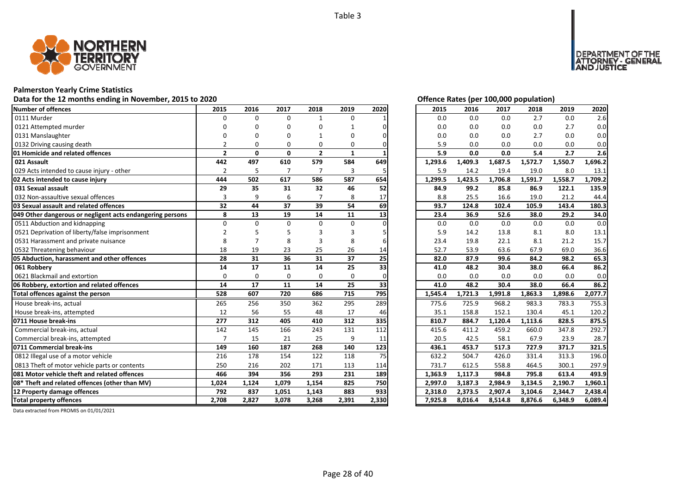

### **Palmerston Yearly Crime Statistics**

### Data for the 12 months ending in November, 2015 to 2020<br>
Data for the 12 months ending in November, 2015 to 2020

| Number of offences                                        | 2015           | 2016         | 2017           | 2018           | 2019         | 2020            | 2015    | 2016    | 2017    | 2018    | 2019    | 2020    |
|-----------------------------------------------------------|----------------|--------------|----------------|----------------|--------------|-----------------|---------|---------|---------|---------|---------|---------|
| 0111 Murder                                               | $\Omega$       | $\Omega$     | $\Omega$       | $\mathbf{1}$   | $\Omega$     |                 | 0.0     | 0.0     | 0.0     | 2.7     | 0.0     | 2.6     |
| 0121 Attempted murder                                     |                | n            | O              | O              |              |                 | 0.0     | 0.0     | 0.0     | 0.0     | 2.7     | 0.0     |
| 0131 Manslaughter                                         |                |              | n              |                | U            |                 | 0.0     | 0.0     | 0.0     | 2.7     | 0.0     | 0.0     |
| 0132 Driving causing death                                | $\mathfrak{p}$ | $\Omega$     | $\Omega$       | 0              | 0            |                 | 5.9     | 0.0     | 0.0     | 0.0     | 0.0     | 0.0     |
| 01 Homicide and related offences                          | $\overline{2}$ | $\mathbf{0}$ | $\mathbf{0}$   | $\overline{2}$ | $\mathbf{1}$ |                 | 5.9     | 0.0     | 0.0     | 5.4     | 2.7     | 2.6     |
| 021 Assault                                               | 442            | 497          | 610            | 579            | 584          | 649             | 1,293.6 | 1,409.3 | 1,687.5 | 1,572.7 | 1,550.7 | 1,696.2 |
| 029 Acts intended to cause injury - other                 | $\overline{2}$ | 5            | $\overline{7}$ | $\overline{7}$ | 3            | 5               | 5.9     | 14.2    | 19.4    | 19.0    | 8.0     | 13.1    |
| 02 Acts intended to cause injury                          | 444            | 502          | 617            | 586            | 587          | 654             | 1,299.5 | 1,423.5 | 1,706.8 | 1,591.7 | 1,558.7 | 1,709.2 |
| 031 Sexual assault                                        | 29             | 35           | 31             | 32             | 46           | 52              | 84.9    | 99.2    | 85.8    | 86.9    | 122.1   | 135.9   |
| 032 Non-assaultive sexual offences                        | 3              | 9            | 6              |                | 8            | 17              | 8.8     | 25.5    | 16.6    | 19.0    | 21.2    | 44.4    |
| 03 Sexual assault and related offences                    | 32             | 44           | 37             | 39             | 54           | 69              | 93.7    | 124.8   | 102.4   | 105.9   | 143.4   | 180.3   |
| 049 Other dangerous or negligent acts endangering persons | 8              | 13           | 19             | 14             | 11           | 13              | 23.4    | 36.9    | 52.6    | 38.0    | 29.2    | 34.0    |
| 0511 Abduction and kidnapping                             | $\Omega$       | $\Omega$     | $\Omega$       | $\Omega$       | $\Omega$     |                 | 0.0     | 0.0     | 0.0     | 0.0     | 0.0     | 0.0     |
| 0521 Deprivation of liberty/false imprisonment            |                |              |                |                |              |                 | 5.9     | 14.2    | 13.8    | 8.1     | 8.0     | 13.1    |
| 0531 Harassment and private nuisance                      | 8              |              | 8              |                | 8            |                 | 23.4    | 19.8    | 22.1    | 8.1     | 21.2    | 15.7    |
| 0532 Threatening behaviour                                | 18             | 19           | 23             | 25             | 26           | 14              | 52.7    | 53.9    | 63.6    | 67.9    | 69.0    | 36.6    |
| 05 Abduction, harassment and other offences               | 28             | 31           | 36             | 31             | 37           | $\overline{25}$ | 82.0    | 87.9    | 99.6    | 84.2    | 98.2    | 65.3    |
| 061 Robberv                                               | 14             | 17           | 11             | 14             | 25           | 33              | 41.0    | 48.2    | 30.4    | 38.0    | 66.4    | 86.2    |
| 0621 Blackmail and extortion                              | $\Omega$       | $\Omega$     | $\Omega$       | $\Omega$       | $\Omega$     |                 | 0.0     | 0.0     | 0.0     | 0.0     | 0.0     | 0.0     |
| 06 Robbery, extortion and related offences                | 14             | 17           | 11             | 14             | 25           | 33              | 41.0    | 48.2    | 30.4    | 38.0    | 66.4    | 86.2    |
| Total offences against the person                         | 528            | 607          | 720            | 686            | 715          | 795             | 1,545.4 | 1,721.3 | 1,991.8 | 1,863.3 | 1,898.6 | 2,077.7 |
| House break-ins, actual                                   | 265            | 256          | 350            | 362            | 295          | 289             | 775.6   | 725.9   | 968.2   | 983.3   | 783.3   | 755.3   |
| House break-ins, attempted                                | 12             | 56           | 55             | 48             | 17           | 46              | 35.1    | 158.8   | 152.1   | 130.4   | 45.1    | 120.2   |
| 0711 House break-ins                                      | 277            | 312          | 405            | 410            | 312          | 335             | 810.7   | 884.7   | 1,120.4 | 1,113.6 | 828.5   | 875.5   |
| Commercial break-ins, actual                              | 142            | 145          | 166            | 243            | 131          | 112             | 415.6   | 411.2   | 459.2   | 660.0   | 347.8   | 292.7   |
| Commercial break-ins, attempted                           | $\overline{7}$ | 15           | 21             | 25             | 9            | 11              | 20.5    | 42.5    | 58.1    | 67.9    | 23.9    | 28.7    |
| 0711 Commercial break-ins                                 | 149            | 160          | 187            | 268            | 140          | 123             | 436.1   | 453.7   | 517.3   | 727.9   | 371.7   | 321.5   |
| 0812 Illegal use of a motor vehicle                       | 216            | 178          | 154            | 122            | 118          | 75              | 632.2   | 504.7   | 426.0   | 331.4   | 313.3   | 196.0   |
| 0813 Theft of motor vehicle parts or contents             | 250            | 216          | 202            | 171            | 113          | 114             | 731.7   | 612.5   | 558.8   | 464.5   | 300.1   | 297.9   |
| 081 Motor vehicle theft and related offences              | 466            | 394          | 356            | 293            | 231          | 189             | 1,363.9 | 1,117.3 | 984.8   | 795.8   | 613.4   | 493.9   |
| 08* Theft and related offences (other than MV)            | 1.024          | 1,124        | 1,079          | 1,154          | 825          | 750             | 2,997.0 | 3,187.3 | 2,984.9 | 3,134.5 | 2,190.7 | 1,960.1 |
| 12 Property damage offences                               |                |              |                |                |              |                 |         |         |         |         | 2,344.7 | 2,438.4 |
|                                                           | 792            | 837          | 1,051          | 1,143          | 883          | 933             | 2,318.0 | 2,373.5 | 2,907.4 | 3,104.6 |         |         |

DEPARTMENT OF THE<br>ATTORNEY - GENERAL<br>AND JUSTICE

| 2015    | 2016    | 2017    | 2018    | 2019    | 2020    |
|---------|---------|---------|---------|---------|---------|
| 0.0     | 0.0     | 0.0     | 2.7     | 0.0     | 2.6     |
| 0.0     | 0.0     | 0.0     | 0.0     | 2.7     | 0.0     |
| 0.0     | 0.0     | 0.0     | 2.7     | 0.0     | 0.0     |
| 5.9     | 0.0     | 0.0     | 0.0     | 0.0     | 0.0     |
| 5.9     | 0.0     | 0.0     | 5.4     | 2.7     | 2.6     |
| 1,293.6 | 1,409.3 | 1,687.5 | 1,572.7 | 1,550.7 | 1,696.2 |
| 5.9     | 14.2    | 19.4    | 19.0    | 8.0     | 13.1    |
| 1,299.5 | 1,423.5 | 1,706.8 | 1,591.7 | 1,558.7 | 1,709.2 |
| 84.9    | 99.2    | 85.8    | 86.9    | 122.1   | 135.9   |
| 8.8     | 25.5    | 16.6    | 19.0    | 21.2    | 44.4    |
| 93.7    | 124.8   | 102.4   | 105.9   | 143.4   | 180.3   |
| 23.4    | 36.9    | 52.6    | 38.0    | 29.2    | 34.0    |
| 0.0     | 0.0     | 0.0     | 0.0     | 0.0     | 0.0     |
| 5.9     | 14.2    | 13.8    | 8.1     | 8.0     | 13.1    |
| 23.4    | 19.8    | 22.1    | 8.1     | 21.2    | 15.7    |
| 52.7    | 53.9    | 63.6    | 67.9    | 69.0    | 36.6    |
| 82.0    | 87.9    | 99.6    | 84.2    | 98.2    | 65.3    |
| 41.0    | 48.2    | 30.4    | 38.0    | 66.4    | 86.2    |
| 0.0     | 0.0     | 0.0     | 0.0     | 0.0     | 0.0     |
| 41.0    | 48.2    | 30.4    | 38.0    | 66.4    | 86.2    |
| 1,545.4 | 1,721.3 | 1,991.8 | 1,863.3 | 1,898.6 | 2,077.7 |
| 775.6   | 725.9   | 968.2   | 983.3   | 783.3   | 755.3   |
| 35.1    | 158.8   | 152.1   | 130.4   | 45.1    | 120.2   |
| 810.7   | 884.7   | 1,120.4 | 1,113.6 | 828.5   | 875.5   |
| 415.6   | 411.2   | 459.2   | 660.0   | 347.8   | 292.7   |
| 20.5    | 42.5    | 58.1    | 67.9    | 23.9    | 28.7    |
| 436.1   | 453.7   | 517.3   | 727.9   | 371.7   | 321.5   |
| 632.2   | 504.7   | 426.0   | 331.4   | 313.3   | 196.0   |
| 731.7   | 612.5   | 558.8   | 464.5   | 300.1   | 297.9   |
| 1,363.9 | 1,117.3 | 984.8   | 795.8   | 613.4   | 493.9   |
| 2,997.0 | 3,187.3 | 2,984.9 | 3,134.5 | 2,190.7 | 1,960.1 |
| 2,318.0 | 2,373.5 | 2,907.4 | 3,104.6 | 2,344.7 | 2,438.4 |
| 7,925.8 | 8,016.4 | 8,514.8 | 8,876.6 | 6,348.9 | 6,089.4 |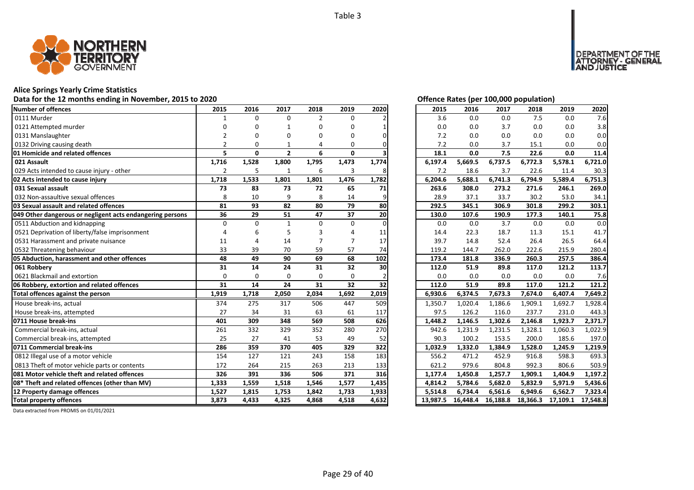

### **Alice Springs Yearly Crime Statistics**

### Data for the 12 months ending in November, 2015 to 2020<br>
Data for the 12 months ending in November, 2015 to 2020

| <b>Number of offences</b>                                 | 2015           | 2016         | 2017           | 2018           | 2019         | 2020  | 2015     | 2016     | 2017     | 2018     | 2019     | 2020     |
|-----------------------------------------------------------|----------------|--------------|----------------|----------------|--------------|-------|----------|----------|----------|----------|----------|----------|
| 0111 Murder                                               | $\mathbf{1}$   | $\Omega$     | $\Omega$       | $\overline{2}$ | 0            |       | 3.6      | 0.0      | 0.0      | 7.5      | 0.0      | 7.6      |
| 0121 Attempted murder                                     | n              | ŋ            | $\mathbf 1$    | O              | 0            |       | 0.0      | 0.0      | 3.7      | 0.0      | 0.0      | 3.8      |
| 0131 Manslaughter                                         |                | 0            | O              | ŋ              | 0            |       | 7.2      | 0.0      | 0.0      | 0.0      | 0.0      | 0.0      |
| 0132 Driving causing death                                |                | 0            |                | 4              | 0            |       | 7.2      | 0.0      | 3.7      | 15.1     | 0.0      | 0.0      |
| 01 Homicide and related offences                          | 5              | $\mathbf{0}$ | $\overline{2}$ | 6              | $\mathbf{0}$ |       | 18.1     | 0.0      | 7.5      | 22.6     | 0.0      | 11.4     |
| 021 Assault                                               | 1,716          | 1,528        | 1,800          | 1,795          | 1,473        | 1,774 | 6,197.4  | 5,669.5  | 6,737.5  | 6,772.3  | 5,578.1  | 6,721.0  |
| 029 Acts intended to cause injury - other                 | $\overline{2}$ | 5            | 1              | 6              | 3            | 8     | 7.2      | 18.6     | 3.7      | 22.6     | 11.4     | 30.3     |
| 02 Acts intended to cause injury                          | 1,718          | 1,533        | 1,801          | 1,801          | 1,476        | 1,782 | 6,204.6  | 5,688.1  | 6,741.3  | 6,794.9  | 5,589.4  | 6,751.3  |
| 031 Sexual assault                                        | 73             | 83           | 73             | 72             | 65           | 71    | 263.6    | 308.0    | 273.2    | 271.6    | 246.1    | 269.0    |
| 032 Non-assaultive sexual offences                        | 8              | 10           | 9              | 8              | 14           |       | 28.9     | 37.1     | 33.7     | 30.2     | 53.0     | 34.1     |
| 03 Sexual assault and related offences                    | 81             | 93           | 82             | 80             | 79           | 80    | 292.5    | 345.1    | 306.9    | 301.8    | 299.2    | 303.1    |
| 049 Other dangerous or negligent acts endangering persons | 36             | 29           | 51             | 47             | 37           | 20    | 130.0    | 107.6    | 190.9    | 177.3    | 140.1    | 75.8     |
| 0511 Abduction and kidnapping                             | $\Omega$       | $\Omega$     | $\mathbf{1}$   | $\Omega$       | 0            |       | 0.0      | 0.0      | 3.7      | 0.0      | 0.0      | 0.0      |
| 0521 Deprivation of liberty/false imprisonment            |                | 6            |                |                |              | 11    | 14.4     | 22.3     | 18.7     | 11.3     | 15.1     | 41.7     |
| 0531 Harassment and private nuisance                      | 11             | Δ            | 14             |                |              | 17    | 39.7     | 14.8     | 52.4     | 26.4     | 26.5     | 64.4     |
| 0532 Threatening behaviour                                | 33             | 39           | 70             | 59             | 57           | 74    | 119.2    | 144.7    | 262.0    | 222.6    | 215.9    | 280.4    |
| 05 Abduction, harassment and other offences               | 48             | 49           | 90             | 69             | 68           | 102   | 173.4    | 181.8    | 336.9    | 260.3    | 257.5    | 386.4    |
| 061 Robbery                                               | 31             | 14           | 24             | 31             | 32           | 30    | 112.0    | 51.9     | 89.8     | 117.0    | 121.2    | 113.7    |
| 0621 Blackmail and extortion                              | $\Omega$       | $\Omega$     | 0              | $\mathbf 0$    | $\Omega$     |       | 0.0      | 0.0      | 0.0      | 0.0      | 0.0      | 7.6      |
| 06 Robbery, extortion and related offences                | 31             | 14           | 24             | 31             | 32           | 32    | 112.0    | 51.9     | 89.8     | 117.0    | 121.2    | 121.2    |
| Total offences against the person                         | 1,919          | 1,718        | 2,050          | 2,034          | 1,692        | 2,019 | 6,930.6  | 6,374.5  | 7,673.3  | 7,674.0  | 6,407.4  | 7,649.2  |
| House break-ins, actual                                   | 374            | 275          | 317            | 506            | 447          | 509   | 1,350.7  | 1,020.4  | 1,186.6  | 1,909.1  | 1,692.7  | 1,928.4  |
| House break-ins, attempted                                | 27             | 34           | 31             | 63             | 61           | 117   | 97.5     | 126.2    | 116.0    | 237.7    | 231.0    | 443.3    |
| 0711 House break-ins                                      | 401            | 309          | 348            | 569            | 508          | 626   | 1,448.2  | 1,146.5  | 1,302.6  | 2,146.8  | 1,923.7  | 2,371.7  |
| Commercial break-ins, actual                              | 261            | 332          | 329            | 352            | 280          | 270   | 942.6    | 1,231.9  | 1,231.5  | 1,328.1  | 1,060.3  | 1,022.9  |
| Commercial break-ins, attempted                           | 25             | 27           | 41             | 53             | 49           | 52    | 90.3     | 100.2    | 153.5    | 200.0    | 185.6    | 197.0    |
| 0711 Commercial break-ins                                 | 286            | 359          | 370            | 405            | 329          | 322   | 1,032.9  | 1,332.0  | 1,384.9  | 1,528.0  | 1,245.9  | 1,219.9  |
| 0812 Illegal use of a motor vehicle                       | 154            | 127          | 121            | 243            | 158          | 183   | 556.2    | 471.2    | 452.9    | 916.8    | 598.3    | 693.3    |
| 0813 Theft of motor vehicle parts or contents             | 172            | 264          | 215            | 263            | 213          | 133   | 621.2    | 979.6    | 804.8    | 992.3    | 806.6    | 503.9    |
| 081 Motor vehicle theft and related offences              | 326            | 391          | 336            | 506            | 371          | 316   | 1,177.4  | 1,450.8  | 1,257.7  | 1,909.1  | 1,404.9  | 1,197.2  |
| 08* Theft and related offences (other than MV)            | 1,333          | 1,559        | 1,518          | 1,546          | 1,577        | 1,435 | 4,814.2  | 5,784.6  | 5,682.0  | 5,832.9  | 5,971.9  | 5,436.6  |
| 12 Property damage offences                               | 1,527          | 1,815        | 1,753          | 1,842          | 1,733        | 1,933 | 5,514.8  | 6,734.4  | 6,561.6  | 6,949.6  | 6,562.7  | 7,323.4  |
| <b>Total property offences</b>                            | 3,873          | 4,433        | 4,325          | 4,868          | 4,518        | 4,632 | 13,987.5 | 16.448.4 | 16,188.8 | 18,366.3 | 17,109.1 | 17,548.8 |

DEPARTMENT OF THE<br>ATTORNEY - GENERAL ÜSTICE

| 2015     | 2016     | 2017     | 2018     | 2019     | 2020     |
|----------|----------|----------|----------|----------|----------|
| 3.6      | 0.0      | 0.0      | 7.5      | 0.0      | 7.6      |
| 0.0      | 0.0      | 3.7      | 0.0      | 0.0      | 3.8      |
| 7.2      | 0.0      | 0.0      | 0.0      | 0.0      | 0.0      |
| 7.2      | 0.0      | 3.7      | 15.1     | 0.0      | 0.0      |
| 18.1     | 0.0      | 7.5      | 22.6     | 0.0      | 11.4     |
| 6,197.4  | 5,669.5  | 6,737.5  | 6,772.3  | 5,578.1  | 6,721.0  |
| 7.2      | 18.6     | 3.7      | 22.6     | 11.4     | 30.3     |
| 6,204.6  | 5,688.1  | 6,741.3  | 6,794.9  | 5,589.4  | 6,751.3  |
| 263.6    | 308.0    | 273.2    | 271.6    | 246.1    | 269.0    |
| 28.9     | 37.1     | 33.7     | 30.2     | 53.0     | 34.1     |
| 292.5    | 345.1    | 306.9    | 301.8    | 299.2    | 303.1    |
| 130.0    | 107.6    | 190.9    | 177.3    | 140.1    | 75.8     |
| 0.0      | 0.0      | 3.7      | 0.0      | 0.0      | 0.0      |
| 14.4     | 22.3     | 18.7     | 11.3     | 15.1     | 41.7     |
| 39.7     | 14.8     | 52.4     | 26.4     | 26.5     | 64.4     |
| 119.2    | 144.7    | 262.0    | 222.6    | 215.9    | 280.4    |
| 173.4    | 181.8    | 336.9    | 260.3    | 257.5    | 386.4    |
| 112.0    | 51.9     | 89.8     | 117.0    | 121.2    | 113.7    |
| 0.0      | 0.0      | 0.0      | 0.0      | 0.0      | 7.6      |
| 112.0    | 51.9     | 89.8     | 117.0    | 121.2    | 121.2    |
| 6,930.6  | 6,374.5  | 7,673.3  | 7,674.0  | 6,407.4  | 7,649.2  |
| 1,350.7  | 1,020.4  | 1,186.6  | 1,909.1  | 1,692.7  | 1,928.4  |
| 97.5     | 126.2    | 116.0    | 237.7    | 231.0    | 443.3    |
| 1,448.2  | 1,146.5  | 1,302.6  | 2,146.8  | 1,923.7  | 2,371.7  |
| 942.6    | 1,231.9  | 1,231.5  | 1,328.1  | 1,060.3  | 1,022.9  |
| 90.3     | 100.2    | 153.5    | 200.0    | 185.6    | 197.0    |
| 1,032.9  | 1,332.0  | 1,384.9  | 1,528.0  | 1,245.9  | 1,219.9  |
| 556.2    | 471.2    | 452.9    | 916.8    | 598.3    | 693.3    |
| 621.2    | 979.6    | 804.8    | 992.3    | 806.6    | 503.9    |
| 1,177.4  | 1,450.8  | 1,257.7  | 1,909.1  | 1,404.9  | 1,197.2  |
| 4,814.2  | 5,784.6  | 5,682.0  | 5,832.9  | 5,971.9  | 5,436.6  |
| 5,514.8  | 6,734.4  | 6,561.6  | 6,949.6  | 6,562.7  | 7,323.4  |
| 13,987.5 | 16,448.4 | 16,188.8 | 18,366.3 | 17,109.1 | 17,548.8 |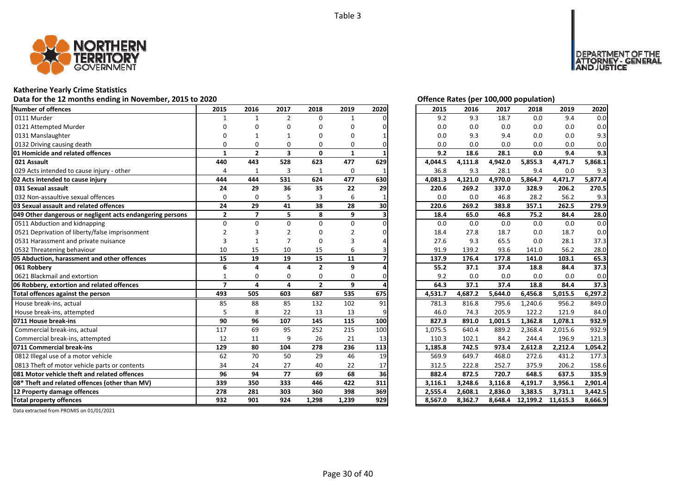

### **Katherine Yearly Crime Statistics**

### **Data for the 12 months ending in November, 2015 to 2020** *Offering State Rates (CO)*

| <b>Number of offences</b>                                 | 2015                     | 2016           | 2017                    | 2018           | 2019     | 2020 | 2015    | 2016    | 2017    | 2018     | 2019     | 2020    |
|-----------------------------------------------------------|--------------------------|----------------|-------------------------|----------------|----------|------|---------|---------|---------|----------|----------|---------|
| 0111 Murder                                               |                          | 1              | $\overline{2}$          | $\Omega$       | 1        |      | 9.2     | 9.3     | 18.7    | 0.0      | 9.4      | 0.0     |
| 0121 Attempted Murder                                     | n                        | n              | O                       | n              | O        |      | 0.0     | 0.0     | 0.0     | 0.0      | 0.0      | 0.0     |
| 0131 Manslaughter                                         |                          |                |                         |                | ი        |      | 0.0     | 9.3     | 9.4     | 0.0      | 0.0      | 9.3     |
| 0132 Driving causing death                                | ŋ                        | ŋ              | O                       | 0              | 0        |      | 0.0     | 0.0     | 0.0     | 0.0      | 0.0      | 0.0     |
| 01 Homicide and related offences                          | 1                        | $\overline{2}$ | $\overline{\mathbf{3}}$ | $\mathbf{0}$   | 1        |      | 9.2     | 18.6    | 28.1    | 0.0      | 9.4      | 9.3     |
| 021 Assault                                               | 440                      | 443            | 528                     | 623            | 477      | 629  | 4,044.5 | 4,111.8 | 4,942.0 | 5,855.3  | 4,471.7  | 5,868.1 |
| 029 Acts intended to cause injury - other                 | 4                        | 1              | $\overline{3}$          | $\mathbf{1}$   | 0        |      | 36.8    | 9.3     | 28.1    | 9.4      | 0.0      | 9.3     |
| 02 Acts intended to cause injury                          | 444                      | 444            | 531                     | 624            | 477      | 630  | 4,081.3 | 4,121.0 | 4,970.0 | 5,864.7  | 4,471.7  | 5,877.4 |
| 031 Sexual assault                                        | 24                       | 29             | 36                      | 35             | 22       | 29   | 220.6   | 269.2   | 337.0   | 328.9    | 206.2    | 270.5   |
| 032 Non-assaultive sexual offences                        | $\Omega$                 | $\Omega$       | 5                       | 3              | 6        |      | 0.0     | 0.0     | 46.8    | 28.2     | 56.2     | 9.3     |
| 03 Sexual assault and related offences                    | 24                       | 29             | 41                      | 38             | 28       | 30   | 220.6   | 269.2   | 383.8   | 357.1    | 262.5    | 279.9   |
| 049 Other dangerous or negligent acts endangering persons | $\overline{2}$           | $\overline{7}$ | 5                       | 8              | 9        |      | 18.4    | 65.0    | 46.8    | 75.2     | 84.4     | 28.0    |
| 0511 Abduction and kidnapping                             | $\Omega$                 | $\Omega$       | 0                       | 0              | 0        |      | 0.0     | 0.0     | 0.0     | 0.0      | 0.0      | 0.0     |
| 0521 Deprivation of liberty/false imprisonment            |                          |                |                         |                |          |      | 18.4    | 27.8    | 18.7    | 0.0      | 18.7     | 0.0     |
| 0531 Harassment and private nuisance                      |                          |                |                         | 0              |          |      | 27.6    | 9.3     | 65.5    | 0.0      | 28.1     | 37.3    |
| 0532 Threatening behaviour                                | 10                       | 15             | 10                      | 15             | 6        |      | 91.9    | 139.2   | 93.6    | 141.0    | 56.2     | 28.0    |
| 05 Abduction, harassment and other offences               | 15                       | 19             | 19                      | 15             | 11       |      | 137.9   | 176.4   | 177.8   | 141.0    | 103.1    | 65.3    |
| 061 Robbery                                               | 6                        | Δ              | Δ                       | $\overline{2}$ | 9        |      | 55.2    | 37.1    | 37.4    | 18.8     | 84.4     | 37.3    |
| 0621 Blackmail and extortion                              | $\mathbf{1}$             | 0              | 0                       | 0              | $\Omega$ |      | 9.2     | 0.0     | 0.0     | 0.0      | 0.0      | 0.0     |
| 06 Robbery, extortion and related offences                | $\overline{\phantom{a}}$ | 4              | 4                       | $\overline{2}$ | 9        |      | 64.3    | 37.1    | 37.4    | 18.8     | 84.4     | 37.3    |
| Total offences against the person                         | 493                      | 505            | 603                     | 687            | 535      | 675  | 4,531.7 | 4,687.2 | 5,644.0 | 6,456.8  | 5,015.5  | 6,297.2 |
| House break-ins, actual                                   | 85                       | 88             | 85                      | 132            | 102      | 91   | 781.3   | 816.8   | 795.6   | 1,240.6  | 956.2    | 849.0   |
| House break-ins, attempted                                | 5                        | 8              | 22                      | 13             | 13       |      | 46.0    | 74.3    | 205.9   | 122.2    | 121.9    | 84.0    |
| 0711 House break-ins                                      | 90                       | 96             | 107                     | 145            | 115      | 100  | 827.3   | 891.0   | 1,001.5 | 1,362.8  | 1,078.1  | 932.9   |
| Commercial break-ins, actual                              | 117                      | 69             | 95                      | 252            | 215      | 100  | 1,075.5 | 640.4   | 889.2   | 2,368.4  | 2,015.6  | 932.9   |
| Commercial break-ins, attempted                           | 12                       | 11             | q                       | 26             | 21       | 13   | 110.3   | 102.1   | 84.2    | 244.4    | 196.9    | 121.3   |
| 0711 Commercial break-ins                                 | 129                      | 80             | 104                     | 278            | 236      | 113  | 1,185.8 | 742.5   | 973.4   | 2,612.8  | 2,212.4  | 1,054.2 |
| 0812 Illegal use of a motor vehicle                       | 62                       | 70             | 50                      | 29             | 46       | 19   | 569.9   | 649.7   | 468.0   | 272.6    | 431.2    | 177.3   |
| 0813 Theft of motor vehicle parts or contents             | 34                       | 24             | 27                      | 40             | 22       | 17   | 312.5   | 222.8   | 252.7   | 375.9    | 206.2    | 158.6   |
| 081 Motor vehicle theft and related offences              | 96                       | 94             | 77                      | 69             | 68       | 36   | 882.4   | 872.5   | 720.7   | 648.5    | 637.5    | 335.9   |
| 08* Theft and related offences (other than MV)            | 339                      | 350            | 333                     | 446            | 422      | 311  | 3,116.1 | 3,248.6 | 3,116.8 | 4,191.7  | 3,956.1  | 2,901.4 |
| 12 Property damage offences                               | 278                      | 281            | 303                     | 360            | 398      | 369  | 2,555.4 | 2,608.1 | 2,836.0 | 3,383.5  | 3,731.1  | 3,442.5 |
| <b>Total property offences</b>                            | 932                      | 901            | 924                     | 1,298          | 1,239    | 929  | 8,567.0 | 8,362.7 | 8,648.4 | 12,199.2 | 11,615.3 | 8,666.9 |

|  |  | Offence Rates (per 100,000 population) |  |
|--|--|----------------------------------------|--|
|  |  |                                        |  |

DEPARTMENT OF THE<br>ATTORNEY - GENERAL **JSTICE** 

| 2015    | 2016    | 2017    | 2018     | 2019     | 2020    |
|---------|---------|---------|----------|----------|---------|
| 9.2     | 9.3     | 18.7    | 0.0      | 9.4      | 0.0     |
| 0.0     | 0.0     | 0.0     | 0.0      | 0.0      | 0.0     |
| 0.0     | 9.3     | 9.4     | 0.0      | 0.0      | 9.3     |
| 0.0     | 0.0     | 0.0     | 0.0      | 0.0      | 0.0     |
| 9.2     | 18.6    | 28.1    | 0.0      | 9.4      | 9.3     |
| 4,044.5 | 4,111.8 | 4,942.0 | 5,855.3  | 4,471.7  | 5,868.1 |
| 36.8    | 9.3     | 28.1    | 9.4      | 0.0      | 9.3     |
| 4,081.3 | 4,121.0 | 4,970.0 | 5,864.7  | 4,471.7  | 5,877.4 |
| 220.6   | 269.2   | 337.0   | 328.9    | 206.2    | 270.5   |
| 0.0     | 0.0     | 46.8    | 28.2     | 56.2     | 9.3     |
| 220.6   | 269.2   | 383.8   | 357.1    | 262.5    | 279.9   |
| 18.4    | 65.0    | 46.8    | 75.2     | 84.4     | 28.0    |
| 0.0     | 0.0     | 0.0     | 0.0      | 0.0      | 0.0     |
| 18.4    | 27.8    | 18.7    | 0.0      | 18.7     | 0.0     |
| 27.6    | 9.3     | 65.5    | 0.0      | 28.1     | 37.3    |
| 91.9    | 139.2   | 93.6    | 141.0    | 56.2     | 28.0    |
| 137.9   | 176.4   | 177.8   | 141.0    | 103.1    | 65.3    |
| 55.2    | 37.1    | 37.4    | 18.8     | 84.4     | 37.3    |
| 9.2     | 0.0     | 0.0     | 0.0      | 0.0      | 0.0     |
| 64.3    | 37.1    | 37.4    | 18.8     | 84.4     | 37.3    |
| 4,531.7 | 4,687.2 | 5,644.0 | 6,456.8  | 5,015.5  | 6,297.2 |
| 781.3   | 816.8   | 795.6   | 1,240.6  | 956.2    | 849.0   |
| 46.0    | 74.3    | 205.9   | 122.2    | 121.9    | 84.0    |
| 827.3   | 891.0   | 1,001.5 | 1,362.8  | 1,078.1  | 932.9   |
| 1,075.5 | 640.4   | 889.2   | 2,368.4  | 2,015.6  | 932.9   |
| 110.3   | 102.1   | 84.2    | 244.4    | 196.9    | 121.3   |
| 1,185.8 | 742.5   | 973.4   | 2,612.8  | 2,212.4  | 1,054.2 |
| 569.9   | 649.7   | 468.0   | 272.6    | 431.2    | 177.3   |
| 312.5   | 222.8   | 252.7   | 375.9    | 206.2    | 158.6   |
| 882.4   | 872.5   | 720.7   | 648.5    | 637.5    | 335.9   |
| 3,116.1 | 3,248.6 | 3,116.8 | 4,191.7  | 3,956.1  | 2,901.4 |
| 2,555.4 | 2,608.1 | 2,836.0 | 3,383.5  | 3,731.1  | 3,442.5 |
| 8,567.0 | 8,362.7 | 8,648.4 | 12,199.2 | 11,615.3 | 8,666.9 |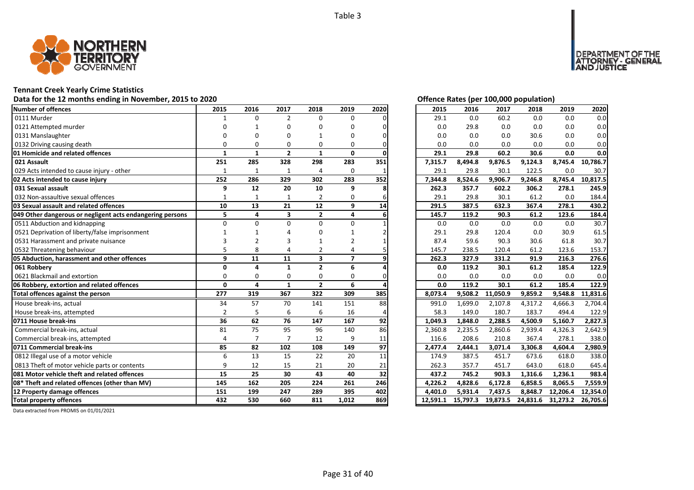

### **Tennant Creek Yearly Crime Statistics**

# Data for the 12 months ending in November, 2015 to 2020<br> **Data for the 12 months ending in November, 2015 to 2020**

| Number of offences                                        | 2015           | 2016         | 2017                    | 2018           | 2019           | 2020 | 2015     | 2016     | 2017     | 2018     | 2019     | 2020     |
|-----------------------------------------------------------|----------------|--------------|-------------------------|----------------|----------------|------|----------|----------|----------|----------|----------|----------|
| 0111 Murder                                               | 1              | $\Omega$     | $\overline{2}$          | $\Omega$       | $\Omega$       |      | 29.1     | 0.0      | 60.2     | 0.0      | 0.0      | 0.0      |
| 0121 Attempted murder                                     | 0              |              | U                       | U              | O              |      | 0.0      | 29.8     | 0.0      | 0.0      | 0.0      | 0.0      |
| 0131 Manslaughter                                         | O              | n            | n                       |                | O              |      | 0.0      | 0.0      | 0.0      | 30.6     | 0.0      | 0.0      |
| 0132 Driving causing death                                | $\Omega$       | $\Omega$     | 0                       | 0              | 0              |      | 0.0      | 0.0      | 0.0      | 0.0      | 0.0      | 0.0      |
| 01 Homicide and related offences                          | 1              | $\mathbf{1}$ | $\overline{2}$          | 1              | 0              |      | 29.1     | 29.8     | 60.2     | 30.6     | 0.0      | 0.0      |
| 021 Assault                                               | 251            | 285          | 328                     | 298            | 283            | 351  | 7,315.7  | 8,494.8  | 9,876.5  | 9,124.3  | 8,745.4  | 10,786.7 |
| 029 Acts intended to cause injury - other                 | $\mathbf{1}$   | $\mathbf{1}$ | $\mathbf{1}$            | $\overline{4}$ | 0              |      | 29.1     | 29.8     | 30.1     | 122.5    | 0.0      | 30.7     |
| 02 Acts intended to cause injury                          | 252            | 286          | 329                     | 302            | 283            | 352  | 7,344.8  | 8,524.6  | 9,906.7  | 9,246.8  | 8,745.4  | 10,817.5 |
| 031 Sexual assault                                        | 9              | 12           | 20                      | 10             | 9              |      | 262.3    | 357.7    | 602.2    | 306.2    | 278.1    | 245.9    |
| 032 Non-assaultive sexual offences                        | $\mathbf{1}$   | 1            |                         | $\overline{2}$ | 0              |      | 29.1     | 29.8     | 30.1     | 61.2     | 0.0      | 184.4    |
| 03 Sexual assault and related offences                    | 10             | 13           | 21                      | 12             | 9              | 14   | 291.5    | 387.5    | 632.3    | 367.4    | 278.1    | 430.2    |
| 049 Other dangerous or negligent acts endangering persons | 5              | 4            | $\overline{\mathbf{3}}$ | $\mathbf{2}$   | 4              |      | 145.7    | 119.2    | 90.3     | 61.2     | 123.6    | 184.4    |
| 0511 Abduction and kidnapping                             | $\Omega$       | $\Omega$     | $\Omega$                | O              | 0              |      | 0.0      | 0.0      | 0.0      | 0.0      | 0.0      | 30.7     |
| 0521 Deprivation of liberty/false imprisonment            |                |              |                         |                |                |      | 29.1     | 29.8     | 120.4    | 0.0      | 30.9     | 61.5     |
| 0531 Harassment and private nuisance                      |                |              | 3                       |                |                |      | 87.4     | 59.6     | 90.3     | 30.6     | 61.8     | 30.7     |
| 0532 Threatening behaviour                                |                | 8            |                         | 2              | 4              |      | 145.7    | 238.5    | 120.4    | 61.2     | 123.6    | 153.7    |
| 05 Abduction, harassment and other offences               | 9              | 11           | 11                      | 3              | $\overline{7}$ |      | 262.3    | 327.9    | 331.2    | 91.9     | 216.3    | 276.6    |
| 061 Robberv                                               | $\Omega$       | $\Delta$     | $\mathbf{1}$            | $\mathbf{2}$   | 6              |      | 0.0      | 119.2    | 30.1     | 61.2     | 185.4    | 122.9    |
| 0621 Blackmail and extortion                              | $\Omega$       | $\Omega$     | $\Omega$                | 0              | 0              |      | 0.0      | 0.0      | 0.0      | 0.0      | 0.0      | 0.0      |
| 06 Robbery, extortion and related offences                | $\mathbf{0}$   | 4            | $\mathbf{1}$            | $\mathbf{2}$   | 6              |      | 0.0      | 119.2    | 30.1     | 61.2     | 185.4    | 122.9    |
| Total offences against the person                         | 277            | 319          | 367                     | 322            | 309            | 385  | 8,073.4  | 9,508.2  | 11,050.9 | 9,859.2  | 9,548.8  | 11,831.6 |
| House break-ins, actual                                   | 34             | 57           | 70                      | 141            | 151            | 88   | 991.0    | 1,699.0  | 2,107.8  | 4,317.2  | 4,666.3  | 2,704.4  |
| House break-ins, attempted                                | $\overline{2}$ | 5            | 6                       | 6              | 16             |      | 58.3     | 149.0    | 180.7    | 183.7    | 494.4    | 122.9    |
| 0711 House break-ins                                      | 36             | 62           | 76                      | 147            | 167            | 92   | 1,049.3  | 1,848.0  | 2,288.5  | 4,500.9  | 5,160.7  | 2,827.3  |
| Commercial break-ins, actual                              | 81             | 75           | 95                      | 96             | 140            | 86   | 2,360.8  | 2,235.5  | 2,860.6  | 2,939.4  | 4,326.3  | 2,642.9  |
| Commercial break-ins, attempted                           | 4              |              |                         | 12             | 9              | 11   | 116.6    | 208.6    | 210.8    | 367.4    | 278.1    | 338.0    |
| 0711 Commercial break-ins                                 | 85             | 82           | 102                     | 108            | 149            | 97   | 2,477.4  | 2,444.1  | 3.071.4  | 3,306.8  | 4.604.4  | 2.980.9  |
| 0812 Illegal use of a motor vehicle                       | 6              | 13           | 15                      | 22             | 20             | 11   | 174.9    | 387.5    | 451.7    | 673.6    | 618.0    | 338.0    |
| 0813 Theft of motor vehicle parts or contents             | 9              | 12           | 15                      | 21             | 20             | 21   | 262.3    | 357.7    | 451.7    | 643.0    | 618.0    | 645.4    |
| 081 Motor vehicle theft and related offences              | 15             | 25           | 30                      | 43             | 40             | 32   | 437.2    | 745.2    | 903.3    | 1,316.6  | 1,236.1  | 983.4    |
| 08* Theft and related offences (other than MV)            | 145            | 162          | 205                     | 224            | 261            | 246  | 4.226.2  | 4,828.6  | 6,172.8  | 6,858.5  | 8,065.5  | 7,559.9  |
| 12 Property damage offences                               | 151            | 199          | 247                     | 289            | 395            | 402  | 4,401.0  | 5,931.4  | 7,437.5  | 8,848.7  | 12,206.4 | 12,354.0 |
| <b>Total property offences</b>                            | 432            | 530          | 660                     | 811            | 1.012          | 869  | 12.591.1 | 15.797.3 | 19,873.5 | 24,831.6 | 31,273.2 | 26,705.6 |

DEPARTMENT OF THE<br>ATTORNEY - GENERAL ÜSTICE

| 2015     | 2016     | 2017     | 2018     | 2019     | 2020     |
|----------|----------|----------|----------|----------|----------|
| 29.1     | 0.0      | 60.2     | 0.0      | 0.0      | 0.0      |
| 0.0      | 29.8     | 0.0      | 0.0      | 0.0      | 0.0      |
| 0.0      | 0.0      | 0.0      | 30.6     | 0.0      | 0.0      |
| 0.0      | 0.0      | 0.0      | 0.0      | 0.0      | 0.0      |
| 29.1     | 29.8     | 60.2     | 30.6     | 0.0      | 0.0      |
| 7,315.7  | 8,494.8  | 9,876.5  | 9,124.3  | 8,745.4  | 10,786.7 |
| 29.1     | 29.8     | 30.1     | 122.5    | 0.0      | 30.7     |
| 7,344.8  | 8,524.6  | 9,906.7  | 9,246.8  | 8,745.4  | 10,817.5 |
| 262.3    | 357.7    | 602.2    | 306.2    | 278.1    | 245.9    |
| 29.1     | 29.8     | 30.1     | 61.2     | 0.0      | 184.4    |
| 291.5    | 387.5    | 632.3    | 367.4    | 278.1    | 430.2    |
| 145.7    | 119.2    | 90.3     | 61.2     | 123.6    | 184.4    |
| 0.0      | 0.0      | 0.0      | 0.0      | 0.0      | 30.7     |
| 29.1     | 29.8     | 120.4    | 0.0      | 30.9     | 61.5     |
| 87.4     | 59.6     | 90.3     | 30.6     | 61.8     | 30.7     |
| 145.7    | 238.5    | 120.4    | 61.2     | 123.6    | 153.7    |
| 262.3    | 327.9    | 331.2    | 91.9     | 216.3    | 276.6    |
| 0.0      | 119.2    | 30.1     | 61.2     | 185.4    | 122.9    |
| 0.0      | 0.0      | 0.0      | 0.0      | 0.0      | 0.0      |
| 0.0      | 119.2    | 30.1     | 61.2     | 185.4    | 122.9    |
| 8,073.4  | 9,508.2  | 11,050.9 | 9,859.2  | 9,548.8  | 11,831.6 |
| 991.0    | 1,699.0  | 2,107.8  | 4,317.2  | 4,666.3  | 2,704.4  |
| 58.3     | 149.0    | 180.7    | 183.7    | 494.4    | 122.9    |
| 1,049.3  | 1,848.0  | 2,288.5  | 4,500.9  | 5,160.7  | 2,827.3  |
| 2,360.8  | 2,235.5  | 2,860.6  | 2,939.4  | 4,326.3  | 2,642.9  |
| 116.6    | 208.6    | 210.8    | 367.4    | 278.1    | 338.0    |
| 2,477.4  | 2,444.1  | 3,071.4  | 3,306.8  | 4,604.4  | 2,980.9  |
| 174.9    | 387.5    | 451.7    | 673.6    | 618.0    | 338.0    |
| 262.3    | 357.7    | 451.7    | 643.0    | 618.0    | 645.4    |
| 437.2    | 745.2    | 903.3    | 1,316.6  | 1,236.1  | 983.4    |
| 4,226.2  | 4,828.6  | 6,172.8  | 6,858.5  | 8,065.5  | 7,559.9  |
| 4,401.0  | 5,931.4  | 7,437.5  | 8,848.7  | 12,206.4 | 12,354.0 |
| 12,591.1 | 15,797.3 | 19,873.5 | 24,831.6 | 31,273.2 | 26,705.6 |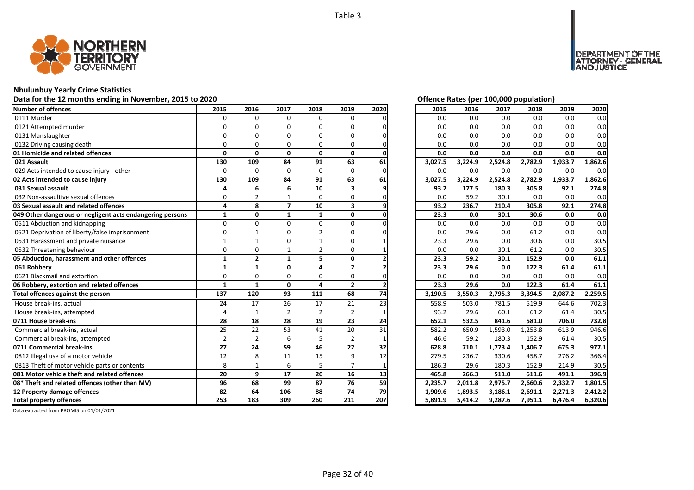

### **Nhulunbuy Yearly Crime Statistics**

# Data for the 12 months ending in November, 2015 to 2020<br> **Data for the 12 months ending in November, 2015 to 2020**

| Number of offences<br>0111 Murder<br>0121 Attempted murder<br>0131 Manslaughter<br>0132 Driving causing death<br>01 Homicide and related offences<br>021 Assault<br>029 Acts intended to cause injury - other<br>02 Acts intended to cause injury<br>031 Sexual assault<br>032 Non-assaultive sexual offences<br>03 Sexual assault and related offences<br>049 Other dangerous or negligent acts endangering persons<br>0511 Abduction and kidnapping<br>0521 Deprivation of liberty/false imprisonment<br>0531 Harassment and private nuisance<br>0532 Threatening behaviour<br>05 Abduction, harassment and other offences<br>061 Robbery | 2015<br>O<br>$\Omega$<br>130<br>0<br>130 | 2016<br>$\Omega$<br>O<br>$\mathbf{0}$<br>109 | 2017<br>$\Omega$<br>n<br>O<br>$\mathbf{0}$ | 2018<br>$\Omega$<br>n<br>$\Omega$<br>$\mathbf{0}$ | 2019<br>$\Omega$<br>n<br>በ<br>O | 2020 | 2015<br>0.0 | 2016<br>0.0<br>0.0 | 2017<br>0.0 | 2018<br>0.0 | 2019<br>0.0 | 2020    |
|---------------------------------------------------------------------------------------------------------------------------------------------------------------------------------------------------------------------------------------------------------------------------------------------------------------------------------------------------------------------------------------------------------------------------------------------------------------------------------------------------------------------------------------------------------------------------------------------------------------------------------------------|------------------------------------------|----------------------------------------------|--------------------------------------------|---------------------------------------------------|---------------------------------|------|-------------|--------------------|-------------|-------------|-------------|---------|
|                                                                                                                                                                                                                                                                                                                                                                                                                                                                                                                                                                                                                                             |                                          |                                              |                                            |                                                   |                                 |      |             |                    |             |             |             | 0.0     |
|                                                                                                                                                                                                                                                                                                                                                                                                                                                                                                                                                                                                                                             |                                          |                                              |                                            |                                                   |                                 |      |             |                    |             |             |             |         |
|                                                                                                                                                                                                                                                                                                                                                                                                                                                                                                                                                                                                                                             |                                          |                                              |                                            |                                                   |                                 |      | 0.0         |                    | 0.0         | 0.0         | 0.0         | 0.0     |
|                                                                                                                                                                                                                                                                                                                                                                                                                                                                                                                                                                                                                                             |                                          |                                              |                                            |                                                   |                                 |      | 0.0         | 0.0                | 0.0         | 0.0         | 0.0         | 0.0     |
|                                                                                                                                                                                                                                                                                                                                                                                                                                                                                                                                                                                                                                             |                                          |                                              |                                            |                                                   |                                 |      | 0.0         | 0.0                | 0.0         | 0.0         | 0.0         | 0.0     |
|                                                                                                                                                                                                                                                                                                                                                                                                                                                                                                                                                                                                                                             |                                          |                                              |                                            |                                                   | $\mathbf{0}$                    |      | 0.0         | 0.0                | 0.0         | 0.0         | 0.0         | 0.0     |
|                                                                                                                                                                                                                                                                                                                                                                                                                                                                                                                                                                                                                                             |                                          |                                              | 84                                         | 91                                                | 63                              | 61   | 3,027.5     | 3,224.9            | 2,524.8     | 2,782.9     | 1,933.7     | 1,862.6 |
|                                                                                                                                                                                                                                                                                                                                                                                                                                                                                                                                                                                                                                             |                                          | $\Omega$                                     | $\Omega$                                   | 0                                                 | $\Omega$                        |      | 0.0         | 0.0                | 0.0         | 0.0         | 0.0         | 0.0     |
|                                                                                                                                                                                                                                                                                                                                                                                                                                                                                                                                                                                                                                             |                                          | 109                                          | 84                                         | 91                                                | 63                              | 61   | 3,027.5     | 3,224.9            | 2,524.8     | 2,782.9     | 1,933.7     | 1,862.6 |
|                                                                                                                                                                                                                                                                                                                                                                                                                                                                                                                                                                                                                                             | 4                                        | 6                                            | 6                                          | 10                                                | 3                               |      | 93.2        | 177.5              | 180.3       | 305.8       | 92.1        | 274.8   |
|                                                                                                                                                                                                                                                                                                                                                                                                                                                                                                                                                                                                                                             | 0                                        |                                              |                                            | 0                                                 | 0                               |      | 0.0         | 59.2               | 30.1        | 0.0         | 0.0         | 0.0     |
|                                                                                                                                                                                                                                                                                                                                                                                                                                                                                                                                                                                                                                             | 4                                        | 8                                            | $\overline{ }$                             | 10                                                | $\overline{\mathbf{3}}$         |      | 93.2        | 236.7              | 210.4       | 305.8       | 92.1        | 274.8   |
|                                                                                                                                                                                                                                                                                                                                                                                                                                                                                                                                                                                                                                             | $\mathbf{1}$                             | $\mathbf{0}$                                 | $\mathbf{1}$                               | $\mathbf{1}$                                      | 0                               |      | 23.3        | 0.0                | 30.1        | 30.6        | 0.0         | 0.0     |
|                                                                                                                                                                                                                                                                                                                                                                                                                                                                                                                                                                                                                                             | $\Omega$                                 | $\Omega$                                     | U                                          | $\Omega$                                          | $\Omega$                        |      | 0.0         | 0.0                | 0.0         | 0.0         | 0.0         | 0.0     |
|                                                                                                                                                                                                                                                                                                                                                                                                                                                                                                                                                                                                                                             |                                          |                                              |                                            |                                                   |                                 |      | 0.0         | 29.6               | 0.0         | 61.2        | 0.0         | 0.0     |
|                                                                                                                                                                                                                                                                                                                                                                                                                                                                                                                                                                                                                                             |                                          |                                              |                                            |                                                   |                                 |      | 23.3        | 29.6               | 0.0         | 30.6        | 0.0         | 30.5    |
|                                                                                                                                                                                                                                                                                                                                                                                                                                                                                                                                                                                                                                             |                                          | ŋ                                            |                                            | $\overline{2}$                                    | 0                               |      | 0.0         | 0.0                | 30.1        | 61.2        | 0.0         | 30.5    |
|                                                                                                                                                                                                                                                                                                                                                                                                                                                                                                                                                                                                                                             | $\mathbf{1}$                             | $\overline{2}$                               | $\mathbf{1}$                               | 5.                                                | $\mathbf{0}$                    |      | 23.3        | 59.2               | 30.1        | 152.9       | 0.0         | 61.1    |
|                                                                                                                                                                                                                                                                                                                                                                                                                                                                                                                                                                                                                                             | $\mathbf{1}$                             | $\mathbf{1}$                                 | $\Omega$                                   | Δ                                                 | $\overline{2}$                  |      | 23.3        | 29.6               | 0.0         | 122.3       | 61.4        | 61.1    |
| 0621 Blackmail and extortion                                                                                                                                                                                                                                                                                                                                                                                                                                                                                                                                                                                                                | $\Omega$                                 | $\Omega$                                     | $\Omega$                                   | $\Omega$                                          | $\Omega$                        |      | 0.0         | 0.0                | 0.0         | 0.0         | 0.0         | 0.0     |
| 06 Robbery, extortion and related offences                                                                                                                                                                                                                                                                                                                                                                                                                                                                                                                                                                                                  | $\mathbf{1}$                             | $\mathbf{1}$                                 | $\mathbf{0}$                               | 4                                                 | $\overline{2}$                  |      | 23.3        | 29.6               | 0.0         | 122.3       | 61.4        | 61.1    |
| Total offences against the person                                                                                                                                                                                                                                                                                                                                                                                                                                                                                                                                                                                                           | 137                                      | 120                                          | 93                                         | 111                                               | 68                              | 74   | 3,190.5     | 3,550.3            | 2,795.3     | 3,394.5     | 2,087.2     | 2,259.5 |
| House break-ins, actual                                                                                                                                                                                                                                                                                                                                                                                                                                                                                                                                                                                                                     | 24                                       | 17                                           | 26                                         | 17                                                | 21                              | 23   | 558.9       | 503.0              | 781.5       | 519.9       | 644.6       | 702.3   |
| House break-ins, attempted                                                                                                                                                                                                                                                                                                                                                                                                                                                                                                                                                                                                                  |                                          | $\mathbf{1}$                                 | $\overline{2}$                             | $\overline{2}$                                    | $\overline{2}$                  |      | 93.2        | 29.6               | 60.1        | 61.2        | 61.4        | 30.5    |
| 0711 House break-ins                                                                                                                                                                                                                                                                                                                                                                                                                                                                                                                                                                                                                        | 28                                       | 18                                           | 28                                         | 19                                                | 23                              | 24   | 652.1       | 532.5              | 841.6       | 581.0       | 706.0       | 732.8   |
| Commercial break-ins, actual                                                                                                                                                                                                                                                                                                                                                                                                                                                                                                                                                                                                                | 25                                       | 22                                           | 53                                         | 41                                                | 20                              | 31   | 582.2       | 650.9              | 1,593.0     | 1,253.8     | 613.9       | 946.6   |
| Commercial break-ins, attempted                                                                                                                                                                                                                                                                                                                                                                                                                                                                                                                                                                                                             | $\overline{2}$                           | $\overline{2}$                               | 6                                          | 5                                                 | $\overline{2}$                  |      | 46.6        | 59.2               | 180.3       | 152.9       | 61.4        | 30.5    |
| 0711 Commercial break-ins                                                                                                                                                                                                                                                                                                                                                                                                                                                                                                                                                                                                                   | 27                                       | 24                                           | 59                                         | 46                                                | 22                              | 32   | 628.8       | 710.1              | 1,773.4     | 1,406.7     | 675.3       | 977.1   |
| 0812 Illegal use of a motor vehicle                                                                                                                                                                                                                                                                                                                                                                                                                                                                                                                                                                                                         | 12                                       | 8                                            | 11                                         | 15                                                | 9                               | 12   | 279.5       | 236.7              | 330.6       | 458.7       | 276.2       | 366.4   |
| 0813 Theft of motor vehicle parts or contents                                                                                                                                                                                                                                                                                                                                                                                                                                                                                                                                                                                               | 8                                        | 1                                            | 6                                          | 5                                                 | $\overline{7}$                  |      | 186.3       | 29.6               | 180.3       | 152.9       | 214.9       | 30.5    |
| 081 Motor vehicle theft and related offences                                                                                                                                                                                                                                                                                                                                                                                                                                                                                                                                                                                                | 20                                       | 9                                            | 17                                         | 20                                                | 16                              | 13   | 465.8       | 266.3              | 511.0       | 611.6       | 491.1       | 396.9   |
| 08* Theft and related offences (other than MV)                                                                                                                                                                                                                                                                                                                                                                                                                                                                                                                                                                                              | 96                                       | 68                                           | 99                                         | 87                                                | 76                              | 59   | 2,235.7     | 2,011.8            | 2,975.7     | 2,660.6     | 2,332.7     | 1,801.5 |
| 12 Property damage offences                                                                                                                                                                                                                                                                                                                                                                                                                                                                                                                                                                                                                 | 82                                       | 64                                           | 106                                        | 88                                                | 74                              | 79   | 1,909.6     | 1,893.5            | 3,186.1     | 2,691.1     | 2,271.3     | 2,412.2 |
| <b>Total property offences</b>                                                                                                                                                                                                                                                                                                                                                                                                                                                                                                                                                                                                              |                                          | 183                                          | 309                                        | 260                                               | 211                             | 207  | 5,891.9     | 5,414.2            | 9,287.6     | 7,951.1     | 6,476.4     | 6,320.6 |

DEPARTMENT OF THE<br>ATTORNEY - GENERAL ÜSTICE

| 2015    | 2016    | 2017    | 2018    | 2019    | 2020               |
|---------|---------|---------|---------|---------|--------------------|
| 0.0     | 0.0     | 0.0     | 0.0     | 0.0     | 0.0                |
| 0.0     | 0.0     | 0.0     | 0.0     | 0.0     | 0.0                |
| 0.0     | 0.0     | 0.0     | 0.0     | 0.0     | 0.0                |
| 0.0     | 0.0     | 0.0     | 0.0     | 0.0     | 0.0                |
| 0.0     | 0.0     | 0.0     | 0.0     | 0.0     | 0.0                |
| 3,027.5 | 3,224.9 | 2,524.8 | 2,782.9 | 1,933.7 | 1,862.6            |
| 0.0     | 0.0     | 0.0     | 0.0     | 0.0     | 0.0                |
| 3,027.5 | 3,224.9 | 2,524.8 | 2,782.9 | 1,933.7 | 1,862.6            |
| 93.2    | 177.5   | 180.3   | 305.8   | 92.1    | 274.8              |
| 0.0     | 59.2    | 30.1    | 0.0     | 0.0     | 0.0                |
| 93.2    | 236.7   | 210.4   | 305.8   | 92.1    | 274.8              |
| 23.3    | 0.0     | 30.1    | 30.6    | 0.0     | 0.0                |
| 0.0     | 0.0     | 0.0     | 0.0     | 0.0     | 0.0                |
| 0.0     | 29.6    | 0.0     | 61.2    | 0.0     | 0.0                |
| 23.3    | 29.6    | 0.0     | 30.6    | 0.0     | 30.5               |
| 0.0     | 0.0     | 30.1    | 61.2    | 0.0     | 30.5               |
| 23.3    | 59.2    | 30.1    | 152.9   | 0.0     | 61.1               |
| 23.3    | 29.6    | 0.0     | 122.3   | 61.4    | 61.1               |
| 0.0     | 0.0     | 0.0     | 0.0     | 0.0     | 0.0                |
| 23.3    | 29.6    | 0.0     | 122.3   | 61.4    | 61.1               |
| 3,190.5 | 3,550.3 | 2,795.3 | 3,394.5 | 2,087.2 | 2,259.5            |
| 558.9   | 503.0   | 781.5   | 519.9   | 644.6   | $702.\overline{3}$ |
| 93.2    | 29.6    | 60.1    | 61.2    | 61.4    | 30.5               |
| 652.1   | 532.5   | 841.6   | 581.0   | 706.0   | 732.8              |
| 582.2   | 650.9   | 1,593.0 | 1,253.8 | 613.9   | 946.6              |
| 46.6    | 59.2    | 180.3   | 152.9   | 61.4    | 30.5               |
| 628.8   | 710.1   | 1,773.4 | 1,406.7 | 675.3   | 977.1              |
| 279.5   | 236.7   | 330.6   | 458.7   | 276.2   | 366.4              |
| 186.3   | 29.6    | 180.3   | 152.9   | 214.9   | 30.5               |
| 465.8   | 266.3   | 511.0   | 611.6   | 491.1   | 396.9              |
| 2,235.7 | 2,011.8 | 2,975.7 | 2,660.6 | 2,332.7 | 1,801.5            |
| 1,909.6 | 1,893.5 | 3,186.1 | 2,691.1 | 2,271.3 | 2,412.2            |
| 5,891.9 | 5,414.2 | 9,287.6 | 7,951.1 | 6,476.4 | 6,320.6            |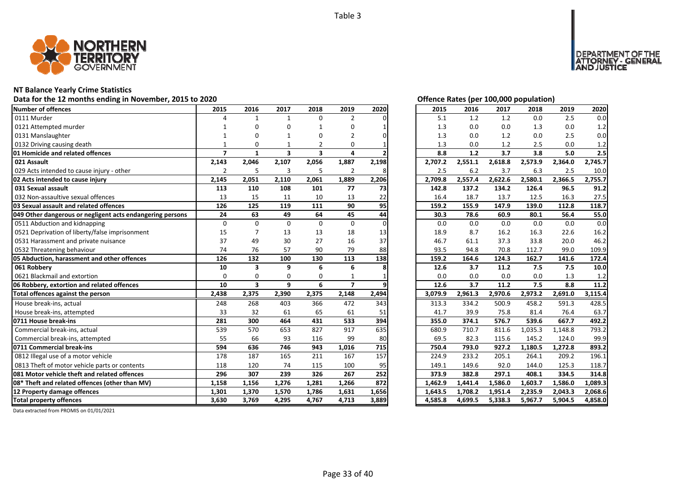

### **NT Balance Yearly Crime Statistics**

### Data for the 12 months ending in November, 2015 to 2020<br> **Data for the 12 months ending in November, 2015 to 2020**

| <b>Number of offences</b>                                 | 2015                     | 2016                    | 2017                    | 2018                    | 2019           | 2020  | 2015    | 2016    | 2017             | 2018    | 2019    | 2020    |
|-----------------------------------------------------------|--------------------------|-------------------------|-------------------------|-------------------------|----------------|-------|---------|---------|------------------|---------|---------|---------|
| 0111 Murder                                               |                          | $\mathbf{1}$            | $\mathbf{1}$            | $\Omega$                | $\overline{2}$ |       | 5.1     | 1.2     | 1.2              | 0.0     | 2.5     | 0.0     |
| 0121 Attempted murder                                     |                          | O                       | O                       |                         | 0              |       | 1.3     | 0.0     | 0.0              | 1.3     | 0.0     | 1.2     |
| 0131 Manslaughter                                         |                          | 0                       |                         |                         | $\overline{2}$ |       | 1.3     | 0.0     | 1.2              | 0.0     | 2.5     | 0.0     |
| 0132 Driving causing death                                |                          | $\Omega$                |                         | 2                       | 0              |       | 1.3     | 0.0     | 1.2              | 2.5     | 0.0     | 1.2     |
| 01 Homicide and related offences                          | $\overline{\phantom{a}}$ | $\mathbf{1}$            | $\overline{\mathbf{3}}$ | $\overline{\mathbf{3}}$ | 4              |       | 8.8     | $1.2$   | $\overline{3.7}$ | 3.8     | 5.0     | 2.5     |
| 021 Assault                                               | 2,143                    | 2,046                   | 2,107                   | 2,056                   | 1,887          | 2,198 | 2,707.2 | 2,551.1 | 2,618.8          | 2,573.9 | 2,364.0 | 2,745.7 |
| 029 Acts intended to cause injury - other                 | $\overline{2}$           | 5                       | $\overline{3}$          | 5                       | $\overline{2}$ |       | 2.5     | 6.2     | 3.7              | 6.3     | 2.5     | 10.0    |
| 02 Acts intended to cause injury                          | 2,145                    | 2,051                   | 2,110                   | 2,061                   | 1,889          | 2,206 | 2,709.8 | 2,557.4 | 2,622.6          | 2,580.1 | 2,366.5 | 2,755.7 |
| 031 Sexual assault                                        | 113                      | 110                     | 108                     | 101                     | 77             | 73    | 142.8   | 137.2   | 134.2            | 126.4   | 96.5    | 91.2    |
| 032 Non-assaultive sexual offences                        | 13                       | 15                      | 11                      | 10                      | 13             | 22    | 16.4    | 18.7    | 13.7             | 12.5    | 16.3    | 27.5    |
| 03 Sexual assault and related offences                    | 126                      | 125                     | 119                     | 111                     | 90             | 95    | 159.2   | 155.9   | 147.9            | 139.0   | 112.8   | 118.7   |
| 049 Other dangerous or negligent acts endangering persons | 24                       | 63                      | 49                      | 64                      | 45             | 44    | 30.3    | 78.6    | 60.9             | 80.1    | 56.4    | 55.0    |
| 0511 Abduction and kidnapping                             | 0                        | $\Omega$                | $\Omega$                | $\Omega$                | $\mathbf 0$    |       | 0.0     | 0.0     | 0.0              | 0.0     | 0.0     | 0.0     |
| 0521 Deprivation of liberty/false imprisonment            | 15                       |                         | 13                      | 13                      | 18             | 13    | 18.9    | 8.7     | 16.2             | 16.3    | 22.6    | 16.2    |
| 0531 Harassment and private nuisance                      | 37                       | 49                      | 30                      | 27                      | 16             | 37    | 46.7    | 61.1    | 37.3             | 33.8    | 20.0    | 46.2    |
| 0532 Threatening behaviour                                | 74                       | 76                      | 57                      | 90                      | 79             | 88    | 93.5    | 94.8    | 70.8             | 112.7   | 99.0    | 109.9   |
| 05 Abduction, harassment and other offences               | 126                      | 132                     | 100                     | 130                     | 113            | 138   | 159.2   | 164.6   | 124.3            | 162.7   | 141.6   | 172.4   |
| 061 Robbery                                               | 10                       | 3                       | 9                       | 6                       | 6              |       | 12.6    | 3.7     | 11.2             | 7.5     | 7.5     | 10.0    |
| 0621 Blackmail and extortion                              | $\Omega$                 | $\Omega$                | $\Omega$                | 0                       |                |       | 0.0     | 0.0     | 0.0              | 0.0     | 1.3     | 1.2     |
| 06 Robbery, extortion and related offences                | 10                       | $\overline{\mathbf{3}}$ | 9                       | 6                       | $\overline{7}$ |       | 12.6    | 3.7     | 11.2             | 7.5     | 8.8     | 11.2    |
| Total offences against the person                         | 2,438                    | 2,375                   | 2,390                   | 2,375                   | 2,148          | 2,494 | 3,079.9 | 2,961.3 | 2,970.6          | 2,973.2 | 2,691.0 | 3,115.4 |
| House break-ins, actual                                   | 248                      | 268                     | 403                     | 366                     | 472            | 343   | 313.3   | 334.2   | 500.9            | 458.2   | 591.3   | 428.5   |
| House break-ins, attempted                                | 33                       | 32                      | 61                      | 65                      | 61             | 51    | 41.7    | 39.9    | 75.8             | 81.4    | 76.4    | 63.7    |
| 0711 House break-ins                                      | 281                      | 300                     | 464                     | 431                     | 533            | 394   | 355.0   | 374.1   | 576.7            | 539.6   | 667.7   | 492.2   |
| Commercial break-ins, actual                              | 539                      | 570                     | 653                     | 827                     | 917            | 635   | 680.9   | 710.7   | 811.6            | 1,035.3 | 1,148.8 | 793.2   |
| Commercial break-ins, attempted                           | 55                       | 66                      | 93                      | 116                     | 99             | 80    | 69.5    | 82.3    | 115.6            | 145.2   | 124.0   | 99.9    |
| 0711 Commercial break-ins                                 | 594                      | 636                     | 746                     | 943                     | 1,016          | 715   | 750.4   | 793.0   | 927.2            | 1,180.5 | 1,272.8 | 893.2   |
| 0812 Illegal use of a motor vehicle                       | 178                      | 187                     | 165                     | 211                     | 167            | 157   | 224.9   | 233.2   | 205.1            | 264.1   | 209.2   | 196.1   |
| 0813 Theft of motor vehicle parts or contents             | 118                      | 120                     | 74                      | 115                     | 100            | 95    | 149.1   | 149.6   | 92.0             | 144.0   | 125.3   | 118.7   |
| 081 Motor vehicle theft and related offences              | 296                      | 307                     | 239                     | 326                     | 267            | 252   | 373.9   | 382.8   | 297.1            | 408.1   | 334.5   | 314.8   |
| 08* Theft and related offences (other than MV)            | 1,158                    | 1,156                   | 1,276                   | 1,281                   | 1,266          | 872   | 1,462.9 | 1,441.4 | 1,586.0          | 1,603.7 | 1,586.0 | 1,089.3 |
| 12 Property damage offences                               | 1,301                    | 1,370                   | 1,570                   | 1,786                   | 1,631          | 1,656 | 1,643.5 | 1,708.2 | 1,951.4          | 2,235.9 | 2,043.3 | 2,068.6 |
| <b>Total property offences</b>                            | 3,630                    | 3,769                   | 4,295                   | 4,767                   | 4,713          | 3,889 | 4,585.8 | 4,699.5 | 5,338.3          | 5,967.7 | 5,904.5 | 4,858.0 |

DEPARTMENT OF THE<br>ATTORNEY - GENERAL<br>AND JUSTICE

| 2015    | 2016    | 2017    | 2018    | 2019    | 2020    |
|---------|---------|---------|---------|---------|---------|
| 5.1     | 1.2     | 1.2     | 0.0     | 2.5     | 0.0     |
| 1.3     | 0.0     | 0.0     | 1.3     | 0.0     | 1.2     |
| 1.3     | 0.0     | 1.2     | 0.0     | 2.5     | 0.0     |
| 1.3     | 0.0     | 1.2     | 2.5     | 0.0     | 1.2     |
| 8.8     | 1.2     | 3.7     | 3.8     | 5.0     | 2.5     |
| 2,707.2 | 2,551.1 | 2,618.8 | 2,573.9 | 2,364.0 | 2,745.7 |
| 2.5     | 6.2     | 3.7     | 6.3     | 2.5     | 10.0    |
| 2,709.8 | 2,557.4 | 2,622.6 | 2,580.1 | 2,366.5 | 2,755.7 |
| 142.8   | 137.2   | 134.2   | 126.4   | 96.5    | 91.2    |
| 16.4    | 18.7    | 13.7    | 12.5    | 16.3    | 27.5    |
| 159.2   | 155.9   | 147.9   | 139.0   | 112.8   | 118.7   |
| 30.3    | 78.6    | 60.9    | 80.1    | 56.4    | 55.0    |
| 0.0     | 0.0     | 0.0     | 0.0     | 0.0     | 0.0     |
| 18.9    | 8.7     | 16.2    | 16.3    | 22.6    | 16.2    |
| 46.7    | 61.1    | 37.3    | 33.8    | 20.0    | 46.2    |
| 93.5    | 94.8    | 70.8    | 112.7   | 99.0    | 109.9   |
| 159.2   | 164.6   | 124.3   | 162.7   | 141.6   | 172.4   |
| 12.6    | 3.7     | 11.2    | 7.5     | 7.5     | 10.0    |
| 0.0     | 0.0     | 0.0     | 0.0     | 1.3     | 1.2     |
|         |         |         |         |         |         |
| 12.6    | 3.7     | 11.2    | 7.5     | 8.8     | 11.2    |
| 3,079.9 | 2,961.3 | 2,970.6 | 2,973.2 | 2,691.0 | 3,115.4 |
| 313.3   | 334.2   | 500.9   | 458.2   | 591.3   | 428.5   |
| 41.7    | 39.9    | 75.8    | 81.4    | 76.4    | 63.7    |
| 355.0   | 374.1   | 576.7   | 539.6   | 667.7   | 492.2   |
| 680.9   | 710.7   | 811.6   | 1,035.3 | 1,148.8 | 793.2   |
| 69.5    | 82.3    | 115.6   | 145.2   | 124.0   | 99.9    |
| 750.4   | 793.0   | 927.2   | 1,180.5 | 1,272.8 | 893.2   |
| 224.9   | 233.2   | 205.1   | 264.1   | 209.2   | 196.1   |
| 149.1   | 149.6   | 92.0    | 144.0   | 125.3   | 118.7   |
| 373.9   | 382.8   | 297.1   | 408.1   | 334.5   | 314.8   |
| 1,462.9 | 1,441.4 | 1,586.0 | 1,603.7 | 1,586.0 | 1,089.3 |
| 1,643.5 | 1,708.2 | 1,951.4 | 2,235.9 | 2,043.3 | 2,068.6 |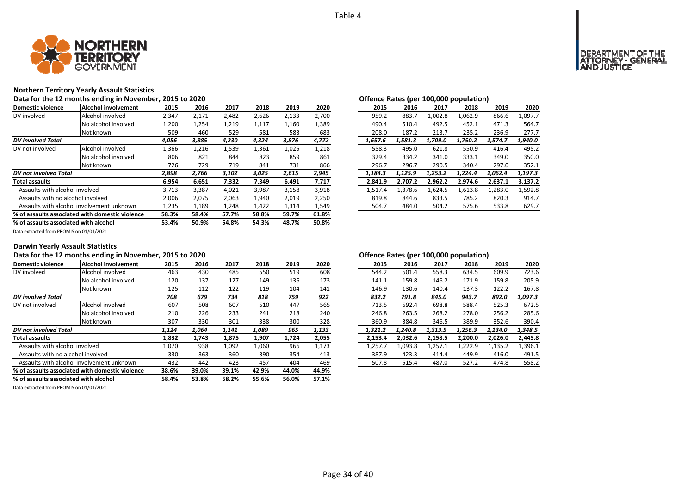

### **Northern Territory Yearly Assault Statistics**

Data for the 12 months ending in November, 2015 to 2020<br> **Data for the 12 months ending in November, 2015 to 2020** 

| Domestic violence                     | Alcohol involvement                              | 2015  | 2016  | 2017  | 2018  | 2019  | 2020  | 2015    | 2016    | 2017    | 2018    | 2019    | 2020    |
|---------------------------------------|--------------------------------------------------|-------|-------|-------|-------|-------|-------|---------|---------|---------|---------|---------|---------|
| DV involved                           | Alcohol involved                                 | 2,347 | 2,171 | 2,482 | 2,626 | 2,133 | 2,700 | 959.2   | 883.7   | 1.002.8 | 1,062.9 | 866.6   | 1,097.7 |
|                                       | No alcohol involved                              | 1,200 | 1,254 | 1,219 | 1,117 | 1,160 | 1,389 | 490.4   | 510.4   | 492.5   | 452.1   | 471.3   | 564.7   |
|                                       | Not known                                        | 509   | 460   | 529   | 581   | 583   | 683   | 208.0   | 187.2   | 213.7   | 235.2   | 236.9   | 277.7   |
| <b>DV</b> involved Total              |                                                  | 4,056 | 3,885 | 4,230 | 4,324 | 3,876 | 4,772 | 1,657.6 | 1,581.3 | 1,709.0 | 1,750.2 | 1,574.7 | 1,940.0 |
| DV not involved                       | Alcohol involved                                 | 1,366 | 1,216 | 1,539 | 1,361 | 1,025 | 1,218 | 558.3   | 495.0   | 621.8   | 550.9   | 416.4   | 495.2   |
|                                       | No alcohol involved                              | 806   | 821   | 844   | 823   | 859   | 861   | 329.4   | 334.2   | 341.0   | 333.1   | 349.0   | 350.0   |
|                                       | Not known                                        | 726   | 729   | 719   | 841   | 731   | 866   | 296.7   | 296.7   | 290.5   | 340.4   | 297.0   | 352.1   |
| DV not involved Total                 |                                                  | 2,898 | 2,766 | 3,102 | 3,025 | 2,615 | 2,945 | 1,184.3 | 1,125.9 | 1,253.2 | 1,224.4 | 1,062.4 | 1,197.3 |
| <b>Total assaults</b>                 |                                                  | 6,954 | 6,651 | 7,332 | 7,349 | 6,491 | 7,717 | 2,841.9 | 2,707.2 | 2,962.2 | 2,974.6 | 2,637.1 | 3,137.2 |
| Assaults with alcohol involved        |                                                  | 3,713 | 3,387 | 4,021 | 3,987 | 3,158 | 3,918 | 1,517.4 | 1.378.6 | 1.624.5 | 1,613.8 | 1,283.0 | 1,592.8 |
| Assaults with no alcohol involved     |                                                  | 2,006 | 2,075 | 2,063 | 1,940 | 2,019 | 2,250 | 819.8   | 844.6   | 833.5   | 785.2   | 820.3   | 914.7   |
|                                       | Assaults with alcohol involvement unknown        | 1,235 | 1,189 | 1,248 | 1,422 | 1,314 | 1,549 | 504.7   | 484.0   | 504.2   | 575.6   | 533.8   | 629.7   |
|                                       | 1% of assaults associated with domestic violence | 58.3% | 58.4% | 57.7% | 58.8% | 59.7% | 61.8% |         |         |         |         |         |         |
| % of assaults associated with alcohol |                                                  | 53.4% | 50.9% | 54.8% | 54.3% | 48.7% | 50.8% |         |         |         |         |         |         |

| ישווייני ווענכט נפטו |         |         | 100,000 population, |         |         |
|----------------------|---------|---------|---------------------|---------|---------|
| 2015                 | 2016    | 2017    | 2018                | 2019    | 2020    |
| 959.2                | 883.7   | 1.002.8 | 1,062.9             | 866.6   | 1,097.7 |
| 490.4                | 510.4   | 492.5   | 452.1               | 471.3   | 564.7   |
| 208.0                | 187.2   | 213.7   | 235.2               | 236.9   | 277.7   |
| 1.657.6              | 1.581.3 | 1.709.0 | 1.750.2             | 1.574.7 | 1.940.0 |
| 558.3                | 495.0   | 621.8   | 550.9               | 416.4   | 495.2   |
| 329.4                | 334.2   | 341.0   | 333.1               | 349.0   | 350.0   |
| 296.7                | 296.7   | 290.5   | 340.4               | 297.0   | 352.1   |
| 1.184.3              | 1.125.9 | 1.253.2 | 1.224.4             | 1.062.4 | 1.197.3 |
| 2.841.9              | 2,707.2 | 2,962.2 | 2.974.6             | 2,637.1 | 3,137.2 |
| 1.517.4              | 1.378.6 | 1.624.5 | 1,613.8             | 1,283.0 | 1,592.8 |
| 819.8                | 844.6   | 833.5   | 785.2               | 820.3   | 914.7   |
| 504.7                | 484.0   | 504.2   | 575.6               | 533.8   | 629.7   |

Data extracted from PROMIS on 01/01/2021

### **Darwin Yearly Assault Statistics**

### Data for the 12 months ending in November, 2015 to 2020<br> **Data for the 12 months ending in November, 2015 to 2020**

| Domestic violence                      | Alcohol involvement                              | 2015  | 2016  | 2017  | 2018  | 2019  | 2020  | 2015    | 2016    | 2017    | 2018    | 2019    | 2020    |
|----------------------------------------|--------------------------------------------------|-------|-------|-------|-------|-------|-------|---------|---------|---------|---------|---------|---------|
| DV involved                            | Alcohol involved                                 | 463   | 430   | 485   | 550   | 519   | 608   | 544.2   | 501.4   | 558.3   | 634.5   | 609.9   | 723.6   |
|                                        | No alcohol involved                              | 120   | 137   | 127   | 149   | 136   | 173   | 141.1   | 159.8   | 146.2   | 171.9   | 159.8   | 205.9   |
|                                        | Not known                                        | 125   | 112   | 122   | 119   | 104   | 141   | 146.9   | 130.6   | 140.4   | 137.3   | 122.2   | 167.8   |
| <b>DV</b> involved Total               |                                                  | 708   | 679   | 734   | 818   | 759   | 922   | 832.2   | 791.8   | 845.0   | 943.7   | 892.0   | 1,097.3 |
| DV not involved                        | Alcohol involved                                 | 607   | 508   | 607   | 510   | 447   | 565   | 713.5   | 592.4   | 698.8   | 588.4   | 525.3   | 672.5   |
|                                        | No alcohol involved                              | 210   | 226   | 233   | 241   | 218   | 240   | 246.8   | 263.5   | 268.2   | 278.0   | 256.2   | 285.6   |
|                                        | Not known                                        | 307   | 330   | 301   | 338   | 300   | 328   | 360.9   | 384.8   | 346.5   | 389.9   | 352.6   | 390.4   |
| <b>DV</b> not involved Total           |                                                  | 1,124 | 1,064 | 1,141 | 1,089 | 965   | 1,133 | 1,321.2 | 1.240.8 | 1,313.5 | 1,256.3 | 1,134.0 | 1,348.5 |
| <b>Total assaults</b>                  |                                                  | 1,832 | 1,743 | 1,875 | 1,907 | 1,724 | 2,055 | 2.153.4 | 2,032.6 | 2.158.5 | 2,200.0 | 2,026.0 | 2,445.8 |
| Assaults with alcohol involved         |                                                  | 1,070 | 938   | 1,092 | 1.060 | 966   | 1,173 | 1,257.7 | 1,093.8 | 1,257.1 | 1,222.9 | 1,135.2 | 1,396.1 |
| Assaults with no alcohol involved      |                                                  | 330   | 363   | 360   | 390   | 354   | 413   | 387.9   | 423.3   | 414.4   | 449.9   | 416.0   | 491.5   |
|                                        | Assaults with alcohol involvement unknown        | 432   | 442   | 423   | 457   | 404   | 469   | 507.8   | 515.4   | 487.0   | 527.2   | 474.8   | 558.2   |
|                                        | 1% of assaults associated with domestic violence | 38.6% | 39.0% | 39.1% | 42.9% | 44.0% | 44.9% |         |         |         |         |         |         |
| 1% of assaults associated with alcohol |                                                  | 58.4% | 53.8% | 58.2% | 55.6% | 56.0% | 57.1% |         |         |         |         |         |         |

|    |       |       |       |       |       |         |         |         | . .     |         |         |
|----|-------|-------|-------|-------|-------|---------|---------|---------|---------|---------|---------|
| .5 | 2016  | 2017  | 2018  | 2019  | 2020  | 2015    | 2016    | 2017    | 2018    | 2019    | 2020    |
| jЗ | 430   | 485   | 550   | 519   | 608   | 544.2   | 501.4   | 558.3   | 634.5   | 609.9   | 723.6   |
| 0؛ | 137   | 127   | 149   | 136   | 173   | 141.1   | 159.8   | 146.2   | 171.9   | 159.8   | 205.9   |
| :5 | 112   | 122   | 119   | 104   | 141   | 146.9   | 130.6   | 140.4   | 137.3   | 122.2   | 167.8   |
| 8  | 679   | 734   | 818   | 759   | 922   | 832.2   | 791.8   | 845.0   | 943.7   | 892.0   | 1.097.3 |
| 17 | 508   | 607   | 510   | 447   | 565   | 713.5   | 592.4   | 698.8   | 588.4   | 525.3   | 672.5   |
| .0 | 226   | 233   | 241   | 218   | 240   | 246.8   | 263.5   | 268.2   | 278.0   | 256.2   | 285.6   |
| 17 | 330   | 301   | 338   | 300   | 328   | 360.9   | 384.8   | 346.5   | 389.9   | 352.6   | 390.4   |
| 4  | 1,064 | 1,141 | 1.089 | 965   | 1,133 | 1.321.2 | 1.240.8 | 1.313.5 | 1.256.3 | 1.134.0 | 1,348.5 |
| 2  | 1,743 | 1.875 | 1,907 | 1,724 | 2,055 | 2.153.4 | 2.032.6 | 2,158.5 | 2.200.0 | 2.026.0 | 2,445.8 |
| 'n | 938   | 1,092 | 1,060 | 966   | 1,173 | 1.257.7 | 1.093.8 | 1.257.1 | 1.222.9 | 1,135.2 | 1,396.1 |
| 10 | 363   | 360   | 390   | 354   | 413   | 387.9   | 423.3   | 414.4   | 449.9   | 416.0   | 491.5   |
| 12 | 442   | 423   | 457   | 404   | 469   | 507.8   | 515.4   | 487.0   | 527.2   | 474.8   | 558.2   |
|    |       |       |       |       |       |         |         |         |         |         |         |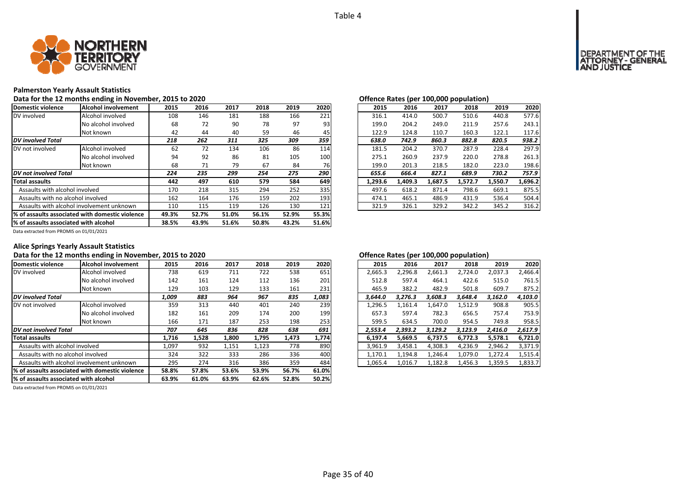

### **Palmerston Yearly Assault Statistics**

Data for the 12 months ending in November, 2015 to 2020<br> **Data for the 12 months ending in November, 2015 to 2020** 

| Domestic violence                     | lAlcohol involvement                             | 2015  | 2016  | 2017  | 2018  | 2019  | 2020  | 2015    | 2016    | 2017    | 2018    | 2019    | 2020    |
|---------------------------------------|--------------------------------------------------|-------|-------|-------|-------|-------|-------|---------|---------|---------|---------|---------|---------|
| DV involved                           | Alcohol involved                                 | 108   | 146   | 181   | 188   | 166   | 221   | 316.1   | 414.0   | 500.7   | 510.6   | 440.8   | 577.6   |
|                                       | No alcohol involved                              | 68    | 72    | 90    | 78    | 97    | 93    | 199.0   | 204.2   | 249.0   | 211.9   | 257.6   | 243.1   |
|                                       | Not known                                        | 42    | 44    | 40    | 59    | 46    | 45    | 122.9   | 124.8   | 110.7   | 160.3   | 122.1   | 117.6   |
| <b>DV</b> involved Total              |                                                  | 218   | 262   | 311   | 325   | 309   | 359   | 638.0   | 742.9   | 860.3   | 882.8   | 820.5   | 938.2   |
| DV not involved                       | Alcohol involved                                 | 62    | 72    | 134   | 106   | 86    | 114   | 181.5   | 204.2   | 370.7   | 287.9   | 228.4   | 297.9   |
|                                       | No alcohol involved                              | 94    | 92    | 86    | 81    | 105   | 100   | 275.1   | 260.9   | 237.9   | 220.0   | 278.8   | 261.3   |
|                                       | Not known                                        | 68    | 71    | 79    | 67    | 84    | 76    | 199.0   | 201.3   | 218.5   | 182.0   | 223.0   | 198.6   |
| <b>DV</b> not involved Total          |                                                  | 224   | 235   | 299   | 254   | 275   | 290   | 655.6   | 666.4   | 827.1   | 689.9   | 730.2   | 757.9   |
| <b>Total assaults</b>                 |                                                  | 442   | 497   | 610   | 579   | 584   | 649   | 1,293.6 | 1,409.3 | 1,687.5 | 1,572.7 | 1,550.7 | 1,696.2 |
| Assaults with alcohol involved        |                                                  | 170   | 218   | 315   | 294   | 252   | 335   | 497.6   | 618.2   | 871.4   | 798.6   | 669.1   | 875.5   |
| Assaults with no alcohol involved     |                                                  | 162   | 164   | 176   | 159   | 202   | 193   | 474.1   | 465.1   | 486.9   | 431.9   | 536.4   | 504.4   |
|                                       | Assaults with alcohol involvement unknown        | 110   | 115   | 119   | 126   | 130   | 121   | 321.9   | 326.1   | 329.2   | 342.2   | 345.2   | 316.2   |
|                                       | 1% of assaults associated with domestic violence |       | 52.7% | 51.0% | 56.1% | 52.9% | 55.3% |         |         |         |         |         |         |
| % of assaults associated with alcohol |                                                  | 38.5% | 43.9% | 51.6% | 50.8% | 43.2% | 51.6% |         |         |         |         |         |         |

|                |      |      |      |      |      |         |         | Onenee hates (per 100,000 population) |         |         |         |
|----------------|------|------|------|------|------|---------|---------|---------------------------------------|---------|---------|---------|
| .5             | 2016 | 2017 | 2018 | 2019 | 2020 | 2015    | 2016    | 2017                                  | 2018    | 2019    | 2020    |
| 18             | 146  | 181  | 188  | 166  | 221  | 316.1   | 414.0   | 500.7                                 | 510.6   | 440.8   | 577.6   |
| 58             | 72   | 90   | 78   | 97   | 93   | 199.0   | 204.2   | 249.0                                 | 211.9   | 257.6   | 243.1   |
| $\overline{2}$ | 44   | 40   | 59   | 46   | 45   | 122.9   | 124.8   | 110.7                                 | 160.3   | 122.1   | 117.6   |
| 8              | 262  | 311  | 325  | 309  | 359  | 638.0   | 742.9   | 860.3                                 | 882.8   | 820.5   | 938.2   |
| $\overline{2}$ | 72   | 134  | 106  | 86   | 114  | 181.5   | 204.2   | 370.7                                 | 287.9   | 228.4   | 297.9   |
| 14             | 92   | 86   | 81   | 105  | 100  | 275.1   | 260.9   | 237.9                                 | 220.0   | 278.8   | 261.3   |
| ò,             | 71   | 79   | 67   | 84   | 76   | 199.0   | 201.3   | 218.5                                 | 182.0   | 223.0   | 198.6   |
| 4              | 235  | 299  | 254  | 275  | 290  | 655.6   | 666.4   | 827.1                                 | 689.9   | 730.2   | 757.9   |
| 2              | 497  | 610  | 579  | 584  | 649  | 1.293.6 | 1,409.3 | 1,687.5                               | 1,572.7 | 1,550.7 | 1,696.2 |
| O'             | 218  | 315  | 294  | 252  | 335  | 497.6   | 618.2   | 871.4                                 | 798.6   | 669.1   | 875.5   |
| $\overline{2}$ | 164  | 176  | 159  | 202  | 193  | 474.1   | 465.1   | 486.9                                 | 431.9   | 536.4   | 504.4   |
| .0             | 115  | 119  | 126  | 130  | 121  | 321.9   | 326.1   | 329.2                                 | 342.2   | 345.2   | 316.2   |
|                |      |      |      |      |      |         |         |                                       |         |         |         |

Data extracted from PROMIS on 01/01/2021

### **Alice Springs Yearly Assault Statistics**

### Data for the 12 months ending in November, 2015 to 2020<br> **Data for the 12 months ending in November, 2015 to 2020**

| Domestic violence                 | Alcohol involvement                             | 2015  | 2016  | 2017  | 2018  | 2019  | 2020  | 2015    | 2016    | 2017    | 2018    | 2019    | 2020    |
|-----------------------------------|-------------------------------------------------|-------|-------|-------|-------|-------|-------|---------|---------|---------|---------|---------|---------|
| DV involved                       | Alcohol involved                                | 738   | 619   | 711   | 722   | 538   | 651   | 2,665.3 | 2,296.8 | 2,661.3 | 2,724.0 | 2,037.3 | 2.466.4 |
|                                   | No alcohol involved                             | 142   | 161   | 124   | 112   | 136   | 201   | 512.8   | 597.4   | 464.1   | 422.6   | 515.0   | 761.5   |
|                                   | Not known                                       | 129   | 103   | 129   | 133   | 161   | 231   | 465.9   | 382.2   | 482.9   | 501.8   | 609.7   | 875.2   |
| <b>DV</b> involved Total          |                                                 | 1,009 | 883   | 964   | 967   | 835   | 1,083 | 3.644.0 | 3.276.3 | 3.608.3 | 3,648.4 | 3,162.0 | 4,103.0 |
| DV not involved                   | Alcohol involved                                | 359   | 313   | 440   | 401   | 240   | 239   | 1,296.5 | 1,161.4 | 1,647.0 | 1,512.9 | 908.8   | 905.5   |
|                                   | No alcohol involved                             | 182   | 161   | 209   | 174   | 200   | 199   | 657.3   | 597.4   | 782.3   | 656.5   | 757.4   | 753.9   |
|                                   | Not known                                       | 166   | 171   | 187   | 253   | 198   | 253   | 599.5   | 634.5   | 700.0   | 954.5   | 749.8   | 958.5   |
| <b>DV</b> not involved Total      |                                                 | 707   | 645   | 836   | 828   | 638   | 691   | 2,553.4 | 2,393.2 | 3,129.2 | 3,123.9 | 2,416.0 | 2,617.9 |
| <b>Total assaults</b>             |                                                 | 1,716 | 1,528 | 1,800 | 1,795 | 1,473 | 1,774 | 6.197.4 | 5,669.5 | 6,737.5 | 6,772.3 | 5,578.1 | 6,721.0 |
| Assaults with alcohol involved    |                                                 | 1,097 | 932   | 1,151 | 1,123 | 778   | 890   | 3,961.9 | 3,458.1 | 4,308.3 | 4,236.9 | 2,946.2 | 3,371.9 |
| Assaults with no alcohol involved |                                                 | 324   | 322   | 333   | 286   | 336   | 400   | 1,170.1 | 1,194.8 | 1.246.4 | 1,079.0 | 1,272.4 | 1,515.4 |
|                                   | Assaults with alcohol involvement unknown       |       | 274   | 316   | 386   | 359   | 484   | 1,065.4 | 1,016.7 | 1,182.8 | 1,456.3 | 1,359.5 | 1,833.7 |
|                                   | % of assaults associated with domestic violence |       | 57.8% | 53.6% | 53.9% | 56.7% | 61.0% |         |         |         |         |         |         |
|                                   | % of assaults associated with alcohol           |       | 61.0% | 63.9% | 62.6% | 52.8% | 50.2% |         |         |         |         |         |         |

Data extracted from PROMIS on 01/01/2021

|               |       |       |       |       |       |         |  | . .     |         |         |         |         |
|---------------|-------|-------|-------|-------|-------|---------|--|---------|---------|---------|---------|---------|
| .5            | 2016  | 2017  | 2018  | 2019  | 2020  | 2015    |  | 2016    | 2017    | 2018    | 2019    | 2020    |
| 8             | 619   | 711   | 722   | 538   | 651   | 2,665.3 |  | 2,296.8 | 2,661.3 | 2,724.0 | 2,037.3 | 2,466.4 |
| 12            | 161   | 124   | 112   | 136   | 201   | 512.8   |  | 597.4   | 464.1   | 422.6   | 515.0   | 761.5   |
| و.            | 103   | 129   | 133   | 161   | 231   | 465.9   |  | 382.2   | 482.9   | 501.8   | 609.7   | 875.2   |
| 9             | 883   | 964   | 967   | 835   | 1,083 | 3.644.0 |  | 3.276.3 | 3.608.3 | 3.648.4 | 3.162.0 | 4,103.0 |
| 59            | 313   | 440   | 401   | 240   | 239   | 1,296.5 |  | 1,161.4 | 1,647.0 | 1,512.9 | 908.8   | 905.5   |
| 32            | 161   | 209   | 174   | 200   | 199   | 657.3   |  | 597.4   | 782.3   | 656.5   | 757.4   | 753.9   |
| i6            | 171   | 187   | 253   | 198   | 253   | 599.5   |  | 634.5   | 700.0   | 954.5   | 749.8   | 958.5   |
| 7             | 645   | 836   | 828   | 638   | 691   | 2.553.4 |  | 2,393.2 | 3,129.2 | 3,123.9 | 2,416.0 | 2,617.9 |
| 6             | 1.528 | 1.800 | 1.795 | 1.473 | 1,774 | 6.197.4 |  | 5.669.5 | 6.737.5 | 6.772.3 | 5.578.1 | 6,721.0 |
| 17            | 932   | 1,151 | 1,123 | 778   | 890   | 3.961.9 |  | 3.458.1 | 4.308.3 | 4.236.9 | 2.946.2 | 3,371.9 |
| $\frac{1}{4}$ | 322   | 333   | 286   | 336   | 400   | 1.170.1 |  | 1.194.8 | 1.246.4 | 1.079.0 | 1.272.4 | 1,515.4 |
| 15            | 274   | 316   | 386   | 359   | 484   | 1.065.4 |  | 1.016.7 | 1.182.8 | 1,456.3 | 1,359.5 | 1,833.7 |
|               |       |       |       |       |       |         |  |         |         |         |         |         |

# **OF THE**<br>GENERAL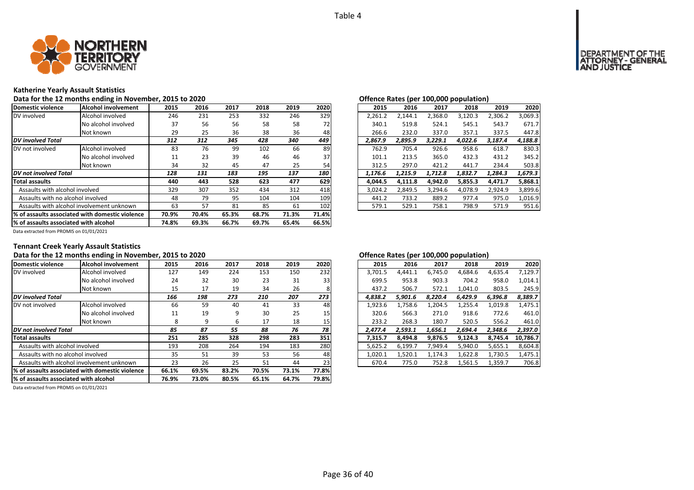

### **Katherine Yearly Assault Statistics**

Data for the 12 months ending in November, 2015 to 2020<br> **Data for the 12 months ending in November, 2015 to 2020** 

| Domestic violence                     | lAlcohol involvement                             | 2015  | 2016  | 2017  | 2018  | 2019  | 2020  | 2015    | 2016    | 2017    | 2018    | 2019    | 2020    |
|---------------------------------------|--------------------------------------------------|-------|-------|-------|-------|-------|-------|---------|---------|---------|---------|---------|---------|
| DV involved                           | Alcohol involved                                 | 246   | 231   | 253   | 332   | 246   | 329   | 2,261.2 | 2,144.1 | 2,368.0 | 3,120.3 | 2,306.2 | 3,069.3 |
|                                       | No alcohol involved                              | 37    | 56    | 56    | 58    | 58    | 72    | 340.1   | 519.8   | 524.1   | 545.1   | 543.7   | 671.7   |
|                                       | Not known                                        | 29    | 25    | 36    | 38    | 36    | 48    | 266.6   | 232.0   | 337.0   | 357.1   | 337.5   | 447.8   |
| <b>DV</b> involved Total              |                                                  | 312   | 312   | 345   | 428   | 340   | 449   | 2,867.9 | 2,895.9 | 3,229.1 | 4,022.6 | 3,187.4 | 4,188.8 |
| DV not involved                       | Alcohol involved                                 | 83    | 76    | 99    | 102   | 66    | 89    | 762.9   | 705.4   | 926.6   | 958.6   | 618.7   | 830.3   |
|                                       | No alcohol involved                              | 11    | 23    | 39    | 46    | 46    | 37    | 101.1   | 213.5   | 365.0   | 432.3   | 431.2   | 345.2   |
|                                       | Not known                                        | 34    | 32    | 45    | 47    | 25    | 54    | 312.5   | 297.0   | 421.2   | 441.7   | 234.4   | 503.8   |
| <b>DV</b> not involved Total          |                                                  | 128   | 131   | 183   | 195   | 137   | 180   | 1,176.6 | 1,215.9 | 1,712.8 | 1,832.7 | 1,284.3 | 1,679.3 |
| <b>Total assaults</b>                 |                                                  | 440   | 443   | 528   | 623   | 477   | 629   | 4,044.5 | 4,111.8 | 4,942.0 | 5,855.3 | 4,471.7 | 5,868.1 |
| Assaults with alcohol involved        |                                                  | 329   | 307   | 352   | 434   | 312   | 418   | 3,024.2 | 2,849.5 | 3,294.6 | 4,078.9 | 2,924.9 | 3,899.6 |
| Assaults with no alcohol involved     |                                                  | 48    | 79    | 95    | 104   | 104   | 109   | 441.2   | 733.2   | 889.2   | 977.4   | 975.0   | 1,016.9 |
|                                       | Assaults with alcohol involvement unknown        | 63    | 57    | 81    | 85    | 61    | 102   | 579.1   | 529.1   | 758.1   | 798.9   | 571.9   | 951.6   |
|                                       | 1% of assaults associated with domestic violence |       | 70.4% | 65.3% | 68.7% | 71.3% | 71.4% |         |         |         |         |         |         |
| % of assaults associated with alcohol |                                                  | 74.8% | 69.3% | 66.7% | 69.7% | 65.4% | 66.5% |         |         |         |         |         |         |

|              |      |      |      |      |      |         | $\cdot$ . |         |         |         |         |
|--------------|------|------|------|------|------|---------|-----------|---------|---------|---------|---------|
| .5           | 2016 | 2017 | 2018 | 2019 | 2020 | 2015    | 2016      | 2017    | 2018    | 2019    | 2020    |
| ŀб           | 231  | 253  | 332  | 246  | 329  | 2.261.2 | 2.144.1   | 2.368.0 | 3.120.3 | 2,306.2 | 3,069.3 |
| 17           | 56   | 56   | 58   | 58   | 72   | 340.1   | 519.8     | 524.1   | 545.1   | 543.7   | 671.7   |
| و.           | 25   | 36   | 38   | 36   | 48   | 266.6   | 232.0     | 337.0   | 357.1   | 337.5   | 447.8   |
| 2            | 312  | 345  | 428  | 340  | 449  | 2.867.9 | 2,895.9   | 3,229.1 | 4,022.6 | 3,187.4 | 4,188.8 |
| 33           | 76   | 99   | 102  | 66   | 89   | 762.9   | 705.4     | 926.6   | 958.6   | 618.7   | 830.3   |
| .1           | 23   | 39   | 46   | 46   | 37   | 101.1   | 213.5     | 365.0   | 432.3   | 431.2   | 345.2   |
| ١4           | 32   | 45   | 47   | 25   | 54   | 312.5   | 297.0     | 421.2   | 441.7   | 234.4   | 503.8   |
| 8            | 131  | 183  | 195  | 137  | 180  | 1.176.6 | 1.215.9   | 1.712.8 | 1,832.7 | 1.284.3 | 1,679.3 |
| 10           | 443  | 528  | 623  | 477  | 629  | 4.044.5 | 4,111.8   | 4,942.0 | 5,855.3 | 4.471.7 | 5,868.1 |
| و.           | 307  | 352  | 434  | 312  | 418  | 3.024.2 | 2.849.5   | 3.294.6 | 4.078.9 | 2.924.9 | 3,899.6 |
| ١8           | 79   | 95   | 104  | 104  | 109  | 441.2   | 733.2     | 889.2   | 977.4   | 975.0   | 1.016.9 |
| $\mathbf{3}$ | 57   | 81   | 85   | 61   | 102  | 579.1   | 529.1     | 758.1   | 798.9   | 571.9   | 951.6   |
|              |      |      |      |      |      |         |           |         |         |         |         |

Data extracted from PROMIS on 01/01/2021

### **Tennant Creek Yearly Assault Statistics**

### Data for the 12 months ending in November, 2015 to 2020<br> **Data for the 12 months ending in November, 2015 to 2020**

| Domestic violence                     | Alcohol involvement                              | 2015  | 2016  | 2017  | 2018  | 2019  | 2020  | 2015    | 2016    | 2017    | 2018    | 2019    | 2020     |
|---------------------------------------|--------------------------------------------------|-------|-------|-------|-------|-------|-------|---------|---------|---------|---------|---------|----------|
| DV involved                           | Alcohol involved                                 | 127   | 149   | 224   | 153   | 150   | 232   | 3,701.5 | 4.441.1 | 6.745.0 | 4,684.6 | 4,635.4 | 7,129.7  |
|                                       | No alcohol involved                              | 24    | 32    | 30    | 23    | 31    | 33    | 699.5   | 953.8   | 903.3   | 704.2   | 958.0   | 1.014.1  |
|                                       | Not known                                        | 15    | 17    | 19    | 34    | 26    |       | 437.2   | 506.7   | 572.1   | 1,041.0 | 803.5   | 245.9    |
| <b>DV</b> involved Total              |                                                  | 166   | 198   | 273   | 210   | 207   | 273   | 4.838.2 | 5.901.6 | 8.220.4 | 6.429.9 | 6,396.8 | 8,389.7  |
| DV not involved                       | Alcohol involved                                 | 66    | 59    | 40    | 41    | 33    | 48    | 1,923.6 | 1,758.6 | 1,204.5 | 1,255.4 | 1,019.8 | 1,475.1  |
|                                       | No alcohol involved                              | 11    | 19    | 9     | 30    | 25    | 15    | 320.6   | 566.3   | 271.0   | 918.6   | 772.6   | 461.0    |
|                                       | Not known                                        | 8     | 9     | ь     | 17    | 18    | 15    | 233.2   | 268.3   | 180.7   | 520.5   | 556.2   | 461.0    |
| DV not involved Total                 |                                                  | 85    | 87    | 55    | 88    | 76    | 78    | 2.477.4 | 2.593.1 | 1.656.1 | 2.694.4 | 2,348.6 | 2,397.0  |
| <b>Total assaults</b>                 |                                                  | 251   | 285   | 328   | 298   | 283   | 351   | 7,315.7 | 8,494.8 | 9,876.5 | 9,124.3 | 8.745.4 | 10.786.7 |
| Assaults with alcohol involved        |                                                  | 193   | 208   | 264   | 194   | 183   | 280   | 5,625.2 | 6,199.7 | 7,949.4 | 5,940.0 | 5,655.1 | 8,604.8  |
| Assaults with no alcohol involved     |                                                  | 35    | 51    | 39    | 53    | 56    | 48    | 1,020.1 | 1,520.1 | 1,174.3 | 1,622.8 | 1,730.5 | 1,475.1  |
|                                       | Assaults with alcohol involvement unknown        |       | 26    | 25    | 51    | 44    | 23    | 670.4   | 775.0   | 752.8   | 1,561.5 | 1,359.7 | 706.8    |
|                                       | 1% of assaults associated with domestic violence | 66.1% | 69.5% | 83.2% | 70.5% | 73.1% | 77.8% |         |         |         |         |         |          |
| % of assaults associated with alcohol |                                                  | 76.9% | 73.0% | 80.5% | 65.1% | 64.7% | 79.8% |         |         |         |         |         |          |

|              |      |      |      |      |                 |         |         |         | . .     |         |          |
|--------------|------|------|------|------|-----------------|---------|---------|---------|---------|---------|----------|
| .5           | 2016 | 2017 | 2018 | 2019 | 2020            | 2015    | 2016    | 2017    | 2018    | 2019    | 2020     |
| 27           | 149  | 224  | 153  | 150  | 232             | 3.701.5 | 4.441.1 | 6,745.0 | 4.684.6 | 4,635.4 | 7,129.7  |
| ؛4           | 32   | 30   | 23   | 31   | 33              | 699.5   | 953.8   | 903.3   | 704.2   | 958.0   | 1,014.1  |
| .5           | 17   | 19   | 34   | 26   | 8               | 437.2   | 506.7   | 572.1   | 1.041.0 | 803.5   | 245.9    |
| 6            | 198  | 273  | 210  | 207  | 273             | 4.838.2 | 5.901.6 | 8.220.4 | 6.429.9 | 6,396.8 | 8,389.7  |
| i6           | 59   | 40   | 41   | 33   | 48              | 1.923.6 | 1.758.6 | 1,204.5 | 1,255.4 | 1,019.8 | 1,475.1  |
| .1           | 19   | 9    | 30   | 25   | 15              | 320.6   | 566.3   | 271.0   | 918.6   | 772.6   | 461.0    |
| 8            | 9    | 6    | 17   | 18   | 15 <sub>l</sub> | 233.2   | 268.3   | 180.7   | 520.5   | 556.2   | 461.0    |
| 5            | 87   | 55   | 88   | 76   | 78              | 2.477.4 | 2.593.1 | 1.656.1 | 2.694.4 | 2.348.6 | 2.397.0  |
| $\mathbf{1}$ | 285  | 328  | 298  | 283  | 351             | 7.315.7 | 8.494.8 | 9.876.5 | 9.124.3 | 8.745.4 | 10.786.7 |
| 13           | 208  | 264  | 194  | 183  | 280             | 5.625.2 | 6.199.7 | 7.949.4 | 5.940.0 | 5.655.1 | 8,604.8  |
| ۱5           | 51   | 39   | 53   | 56   | 48              | 1.020.1 | 1.520.1 | 1.174.3 | 1.622.8 | 1.730.5 | 1,475.1  |
| !3           | 26   | 25   | 51   | 44   | 23              | 670.4   | 775.0   | 752.8   | 1,561.5 | 1,359.7 | 706.8    |
|              |      |      |      |      |                 |         |         |         |         |         |          |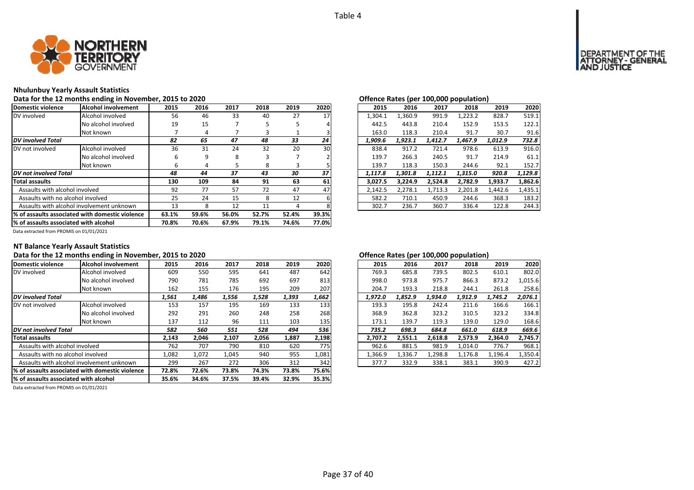

### **Nhulunbuy Yearly Assault Statistics**

Data for the 12 months ending in November, 2015 to 2020<br> **Data for the 12 months ending in November, 2015 to 2020** 

| Domestic violence                     | Alcohol involvement                              | 2015  | 2016  | 2017  | 2018  | 2019  | 2020  | 2015    | 2016    | 2017    | 2018    | 2019    | 2020    |
|---------------------------------------|--------------------------------------------------|-------|-------|-------|-------|-------|-------|---------|---------|---------|---------|---------|---------|
| DV involved                           | Alcohol involved                                 | 56    | 46    | 33    | 40    | 27    | 17    | 1,304.1 | 1.360.9 | 991.9   | 1,223.2 | 828.7   | 519.1   |
|                                       | No alcohol involved                              | 19    | 15    |       |       |       |       | 442.5   | 443.8   | 210.4   | 152.9   | 153.5   | 122.1   |
|                                       | Not known                                        |       | 4     |       |       |       |       | 163.0   | 118.3   | 210.4   | 91.7    | 30.7    | 91.6    |
| <b>DV</b> involved Total              |                                                  | 82    | 65    | 47    | 48    | 33    | 24    | 1.909.6 | 1,923.1 | 1.412.7 | 1.467.9 | 1,012.9 | 732.8   |
| DV not involved                       | Alcohol involved                                 | 36    | 31    | 24    | 32    | 20    | 30    | 838.4   | 917.2   | 721.4   | 978.6   | 613.9   | 916.0   |
|                                       | No alcohol involved                              |       | 9     | 8     | 3     |       |       | 139.7   | 266.3   | 240.5   | 91.7    | 214.9   | 61.1    |
|                                       | Not known                                        | ь     | 4     | כ     | 8     | 3     |       | 139.7   | 118.3   | 150.3   | 244.6   | 92.1    | 152.7   |
| DV not involved Total                 |                                                  | 48    | 44    | 37    | 43    | 30    | 37    | 1.117.8 | 1,301.8 | 1.112.1 | 1,315.0 | 920.8   | 1,129.8 |
| <b>Total assaults</b>                 |                                                  | 130   | 109   | 84    | 91    | 63    | 61    | 3.027.5 | 3.224.9 | 2.524.8 | 2,782.9 | 1,933.7 | 1,862.6 |
| Assaults with alcohol involved        |                                                  | 92    | 77    | 57    | 72    | 47    | 47    | 2,142.5 | 2,278.1 | 1,713.3 | 2,201.8 | 1,442.6 | 1,435.1 |
| Assaults with no alcohol involved     |                                                  | 25    | 24    | 15    | 8     | 12    |       | 582.2   | 710.1   | 450.9   | 244.6   | 368.3   | 183.2   |
|                                       | Assaults with alcohol involvement unknown        | 13    | 8     | 12    | 11    |       |       | 302.7   | 236.7   | 360.7   | 336.4   | 122.8   | 244.3   |
|                                       | 1% of assaults associated with domestic violence | 63.1% | 59.6% | 56.0% | 52.7% | 52.4% | 39.3% |         |         |         |         |         |         |
| % of assaults associated with alcohol |                                                  | 70.8% | 70.6% | 67.9% | 79.1% | 74.6% | 77.0% |         |         |         |         |         |         |

|    | J LU ŁUŁU |      |      |      |      |         |  | Offerice nates (per 100,000 population) |                |         |         |         |
|----|-----------|------|------|------|------|---------|--|-----------------------------------------|----------------|---------|---------|---------|
| .5 | 2016      | 2017 | 2018 | 2019 | 2020 | 2015    |  |                                         | 2016<br>2017   | 2018    | 2019    | 2020    |
| 56 | 46        | 33   | 40   | 27   | 17   | 1.304.1 |  | 1,360.9                                 | 991.9          | 1.223.2 | 828.7   | 519.1   |
| 9. | 15        |      | 5    | 5    |      | 442.5   |  | 443.8                                   | 210.4          | 152.9   | 153.5   | 122.1   |
| 7  | 4         |      | 3    |      |      | 163.0   |  | 118.3                                   | 210.4          | 91.7    | 30.7    | 91.6    |
|    | 65        | 47   | 48   | 33   | 24   | 1,909.6 |  | 1,923.1                                 | 1,412.7        | 1,467.9 | 1,012.9 | 732.8   |
| 86 | 31        | 24   | 32   | 20   | 30   | 838.4   |  | 917.2                                   | 721.4          | 978.6   | 613.9   | 916.0   |
| 6  | 9         | 8    | 3    |      |      | 139.7   |  |                                         | 266.3<br>240.5 | 91.7    | 214.9   | 61.1    |
| 6  | 4         | 5    | 8    | 3    |      | 139.7   |  | 118.3                                   | 150.3          | 244.6   | 92.1    | 152.7   |
| 8  | 44        | 37   | 43   | 30   | 37   | 1.117.8 |  | 1.301.8                                 | 1.112.1        | 1.315.0 | 920.8   | 1,129.8 |
| ١Ο | 109       | 84   | 91   | 63   | 61   | 3.027.5 |  | 3.224.9                                 | 2,524.8        | 2,782.9 | 1,933.7 | 1,862.6 |
| 12 | 77        | 57   | 72   | 47   | 47   | 2.142.5 |  | 2.278.1                                 | 1.713.3        | 2.201.8 | 1.442.6 | 1,435.1 |
| :5 | 24        | 15   | 8    | 12   | 6    | 582.2   |  | 710.1                                   | 450.9          | 244.6   | 368.3   | 183.2   |
| .3 | 8         | 12   | 11   | 4    | 8    | 302.7   |  | 236.7                                   | 360.7          | 336.4   | 122.8   | 244.3   |
|    |           |      |      |      |      |         |  |                                         |                |         |         |         |

Data extracted from PROMIS on 01/01/2021

### **NT Balance Yearly Assault Statistics**

### Data for the 12 months ending in November, 2015 to 2020<br> **Data for the 12 months ending in November, 2015 to 2020**

| Domestic violence                     | Alcohol involvement                             | 2015  | 2016  | 2017  | 2018  | 2019  | 2020  | 2015    | 2016    | 2017    | 2018    | 2019    | 2020    |
|---------------------------------------|-------------------------------------------------|-------|-------|-------|-------|-------|-------|---------|---------|---------|---------|---------|---------|
| DV involved                           | Alcohol involved                                | 609   | 550   | 595   | 641   | 487   | 642   | 769.3   | 685.8   | 739.5   | 802.5   | 610.1   | 802.0   |
|                                       | No alcohol involved                             | 790   | 781   | 785   | 692   | 697   | 813   | 998.0   | 973.8   | 975.7   | 866.3   | 873.2   | 1.015.6 |
|                                       | Not known                                       | 162   | 155   | 176   | 195   | 209   | 207   | 204.7   | 193.3   | 218.8   | 244.1   | 261.8   | 258.6   |
| <b>DV</b> involved Total              |                                                 | 1,561 | 1,486 | 1,556 | 1,528 | 1,393 | 1,662 | 1,972.0 | 1.852.9 | 1,934.0 | 1.912.9 | 1,745.2 | 2,076.1 |
| DV not involved                       | Alcohol involved                                | 153   | 157   | 195   | 169   | 133   | 133   | 193.3   | 195.8   | 242.4   | 211.6   | 166.6   | 166.1   |
|                                       | No alcohol involved                             | 292   | 291   | 260   | 248   | 258   | 268   | 368.9   | 362.8   | 323.2   | 310.5   | 323.2   | 334.8   |
|                                       | Not known                                       | 137   | 112   | 96    | 111   | 103   | 135   | 173.1   | 139.7   | 119.3   | 139.0   | 129.0   | 168.6   |
| DV not involved Total                 |                                                 | 582   | 560   | 551   | 528   | 494   | 536   | 735.2   | 698.3   | 684.8   | 661.0   | 618.9   | 669.6   |
| <b>Total assaults</b>                 |                                                 | 2,143 | 2,046 | 2,107 | 2,056 | 1,887 | 2,198 | 2.707.2 | 2,551.1 | 2.618.8 | 2,573.9 | 2.364.0 | 2,745.7 |
| Assaults with alcohol involved        |                                                 | 762   | 707   | 790   | 810   | 620   | 775   | 962.6   | 881.5   | 981.9   | 1,014.0 | 776.7   | 968.1   |
| Assaults with no alcohol involved     |                                                 | 1,082 | 1,072 | 1,045 | 940   | 955   | 1,081 | 1,366.9 | 1,336.7 | 1,298.8 | 1,176.8 | 1,196.4 | 1,350.4 |
|                                       | Assaults with alcohol involvement unknown       | 299   | 267   | 272   | 306   | 312   | 342   | 377.7   | 332.9   | 338.1   | 383.1   | 390.9   | 427.2   |
|                                       | % of assaults associated with domestic violence |       | 72.6% | 73.8% | 74.3% | 73.8% | 75.6% |         |         |         |         |         |         |
| % of assaults associated with alcohol |                                                 | 35.6% | 34.6% | 37.5% | 39.4% | 32.9% | 35.3% |         |         |         |         |         |         |

| 2015    | 2016    | 2017    | 2018    | 2019    | 2020    |
|---------|---------|---------|---------|---------|---------|
| 769.3   | 685.8   | 739.5   | 802.5   | 610.1   | 802.0   |
| 998.0   | 973.8   | 975.7   | 866.3   | 873.2   | 1,015.6 |
| 204.7   | 193.3   | 218.8   | 244.1   | 261.8   | 258.6   |
| 1,972.0 | 1,852.9 | 1,934.0 | 1,912.9 | 1,745.2 | 2,076.1 |
| 193.3   | 195.8   | 242.4   | 211.6   | 166.6   | 166.1   |
| 368.9   | 362.8   | 323.2   | 310.5   | 323.2   | 334.8   |
| 173.1   | 139.7   | 119.3   | 139.0   | 129.0   | 168.6   |
| 735.2   | 698.3   | 684.8   | 661.0   | 618.9   | 669.6   |
| 2,707.2 | 2,551.1 | 2,618.8 | 2,573.9 | 2,364.0 | 2,745.7 |
| 962.6   | 881.5   | 981.9   | 1.014.0 | 776.7   | 968.1   |
| 1,366.9 | 1,336.7 | 1,298.8 | 1,176.8 | 1,196.4 | 1,350.4 |
| 377.7   | 332.9   | 338.1   | 383.1   | 390.9   | 427.2   |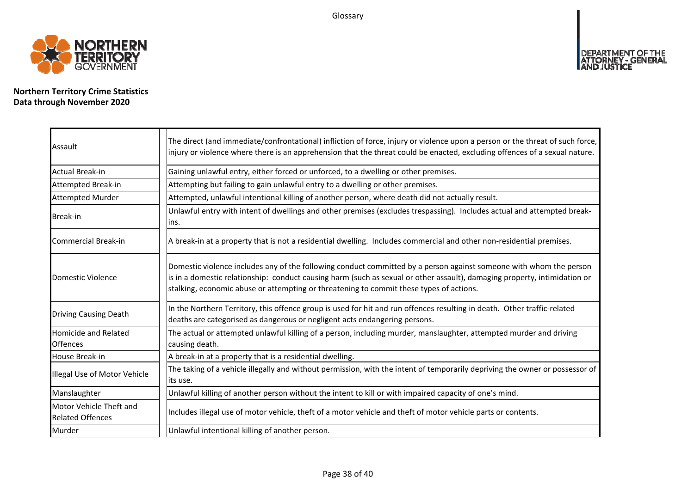Glossary



**Northern Territory Crime Statistics Data through November 2020**

| Assault                                            | The direct (and immediate/confrontational) infliction of force, injury or violence upon a person or the threat of such force,<br>injury or violence where there is an apprehension that the threat could be enacted, excluding offences of a sexual nature.                                                                                |
|----------------------------------------------------|--------------------------------------------------------------------------------------------------------------------------------------------------------------------------------------------------------------------------------------------------------------------------------------------------------------------------------------------|
| Actual Break-in                                    | Gaining unlawful entry, either forced or unforced, to a dwelling or other premises.                                                                                                                                                                                                                                                        |
| Attempted Break-in                                 | Attempting but failing to gain unlawful entry to a dwelling or other premises.                                                                                                                                                                                                                                                             |
| <b>Attempted Murder</b>                            | Attempted, unlawful intentional killing of another person, where death did not actually result.                                                                                                                                                                                                                                            |
| Break-in                                           | Unlawful entry with intent of dwellings and other premises (excludes trespassing). Includes actual and attempted break-<br>lins.                                                                                                                                                                                                           |
| Commercial Break-in                                | A break-in at a property that is not a residential dwelling. Includes commercial and other non-residential premises.                                                                                                                                                                                                                       |
| Domestic Violence                                  | Domestic violence includes any of the following conduct committed by a person against someone with whom the person<br>is in a domestic relationship: conduct causing harm (such as sexual or other assault), damaging property, intimidation or<br>stalking, economic abuse or attempting or threatening to commit these types of actions. |
| <b>Driving Causing Death</b>                       | In the Northern Territory, this offence group is used for hit and run offences resulting in death. Other traffic-related<br>deaths are categorised as dangerous or negligent acts endangering persons.                                                                                                                                     |
| Homicide and Related<br><b>Offences</b>            | The actual or attempted unlawful killing of a person, including murder, manslaughter, attempted murder and driving<br>causing death.                                                                                                                                                                                                       |
| House Break-in                                     | A break-in at a property that is a residential dwelling.                                                                                                                                                                                                                                                                                   |
| Illegal Use of Motor Vehicle                       | The taking of a vehicle illegally and without permission, with the intent of temporarily depriving the owner or possessor of<br>lits use.                                                                                                                                                                                                  |
| Manslaughter                                       | Unlawful killing of another person without the intent to kill or with impaired capacity of one's mind.                                                                                                                                                                                                                                     |
| Motor Vehicle Theft and<br><b>Related Offences</b> | Includes illegal use of motor vehicle, theft of a motor vehicle and theft of motor vehicle parts or contents.                                                                                                                                                                                                                              |
| Murder                                             | Unlawful intentional killing of another person.                                                                                                                                                                                                                                                                                            |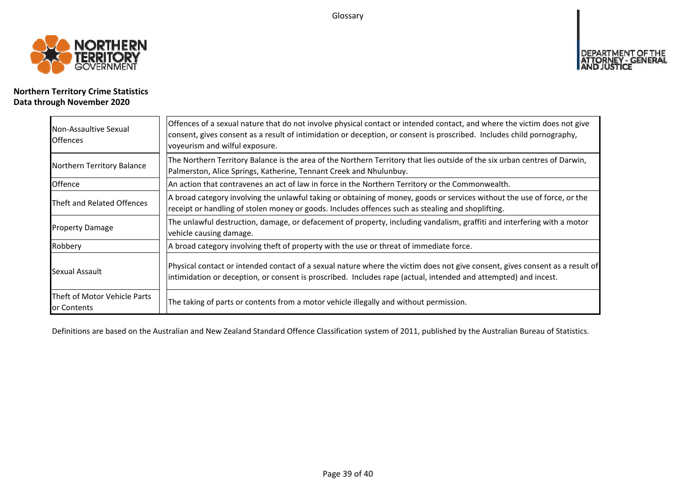Glossary



### **Northern Territory Crime Statistics Data through November 2020**

| Non-Assaultive Sexual<br><b>Offences</b>    | Offences of a sexual nature that do not involve physical contact or intended contact, and where the victim does not give<br>consent, gives consent as a result of intimidation or deception, or consent is proscribed. Includes child pornography,<br>voyeurism and wilful exposure. |
|---------------------------------------------|--------------------------------------------------------------------------------------------------------------------------------------------------------------------------------------------------------------------------------------------------------------------------------------|
| Northern Territory Balance                  | The Northern Territory Balance is the area of the Northern Territory that lies outside of the six urban centres of Darwin,<br>Palmerston, Alice Springs, Katherine, Tennant Creek and Nhulunbuy.                                                                                     |
| Offence                                     | An action that contravenes an act of law in force in the Northern Territory or the Commonwealth.                                                                                                                                                                                     |
| Theft and Related Offences                  | A broad category involving the unlawful taking or obtaining of money, goods or services without the use of force, or the<br>receipt or handling of stolen money or goods. Includes offences such as stealing and shoplifting.                                                        |
| <b>Property Damage</b>                      | The unlawful destruction, damage, or defacement of property, including vandalism, graffiti and interfering with a motor<br>vehicle causing damage.                                                                                                                                   |
| Robbery                                     | A broad category involving theft of property with the use or threat of immediate force.                                                                                                                                                                                              |
| Sexual Assault                              | Physical contact or intended contact of a sexual nature where the victim does not give consent, gives consent as a result of<br>intimidation or deception, or consent is proscribed. Includes rape (actual, intended and attempted) and incest.                                      |
| Theft of Motor Vehicle Parts<br>or Contents | The taking of parts or contents from a motor vehicle illegally and without permission.                                                                                                                                                                                               |

Definitions are based on the Australian and New Zealand Standard Offence Classification system of 2011, published by the Australian Bureau of Statistics.

**DEPART** 

IT OF THE